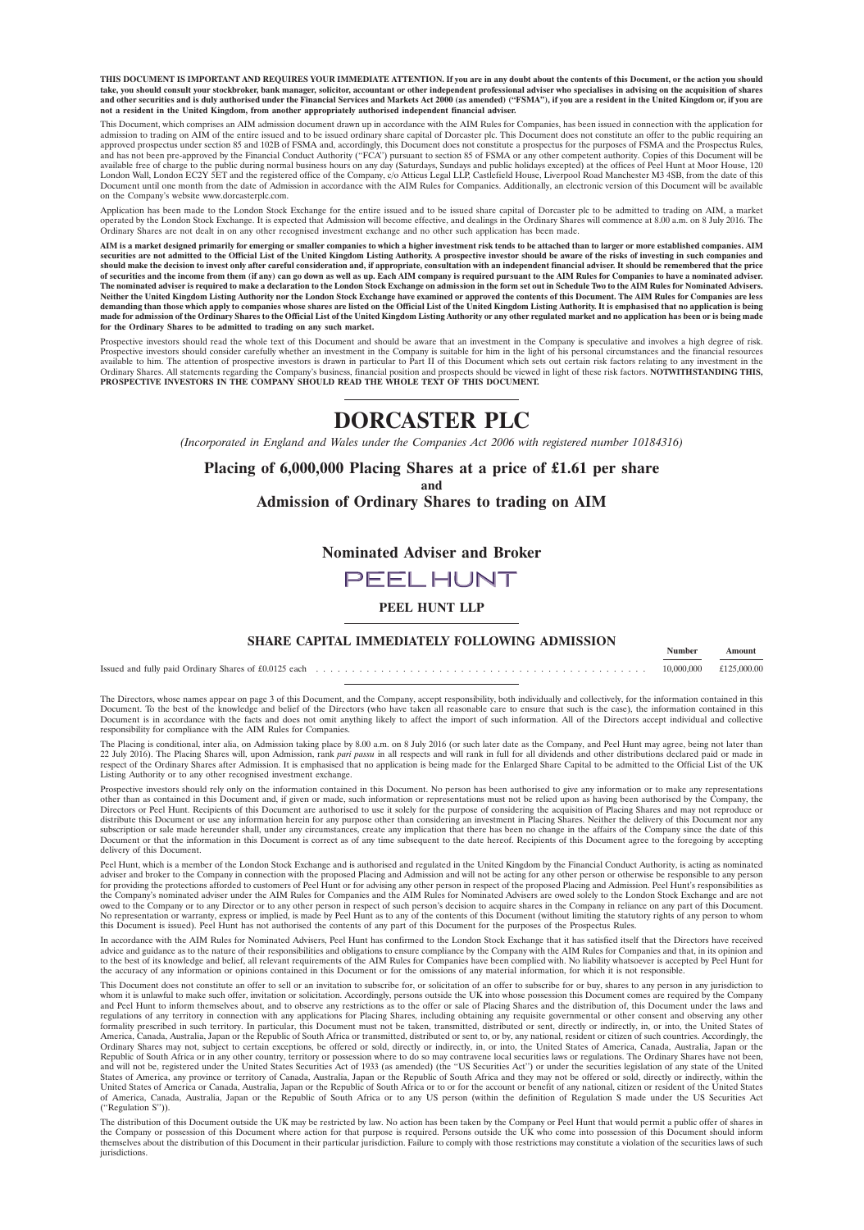**THIS DOCUMENT IS IMPORTANT AND REQUIRES YOUR IMMEDIATE ATTENTION. If you are in any doubt about the contents of this Document, or the action you should** take, you should consult your stockbroker, bank manager, solicitor, accountant or other independent professional adviser who specialises in advising on the acquisition of shares<br>and other securities and is duly authorised **not a resident in the United Kingdom, from another appropriately authorised independent financial adviser.**

This Document, which comprises an AIM admission document drawn up in accordance with the AIM Rules for Companies, has been issued in connection with the application for admission to trading on AIM of the entire issued and to be issued ordinary share capital of Dorcaster plc. This Document does not constitute an offer to the public requiring an<br>approved prospectus under section 85 and 102B available free of charge to the public during normal business hours on any day (Saturdays, Sundays and public holidays excepted) at the offices of Peel Hunt at Moor House, 120<br>London Wall, London EC2Y SET and the registere on the Company's website www.dorcasterplc.com.

Application has been made to the London Stock Exchange for the entire issued and to be issued share capital of Dorcaster plc to be admitted to trading on AIM, a market<br>operated by the London Stock Exchange. It is expected Ordinary Shares are not dealt in on any other recognised investment exchange and no other such application has been made.

AIM is a market designed primarily for emerging or smaller companies to which a higher investment risk tends to be attached than to larger or more established companies. AIM securities are not admitted to the Official List Neither the United Kingdom Listing Authority nor the London Stock Exchange have examined or approved the contents of this Document. The AIM Rules for Companies are less<br>demanding than those which apply to companies whose s **for the Ordinary Shares to be admitted to trading on any such market.**

Prospective investors should read the whole text of this Document and should be aware that an investment in the Company is speculative and involves a high degree of risk. Prospective investors should consider carefully whether an investment in the Company is suitable for him in the light of his personal circumstances and the financial resources<br>available to him. The attention of prospective

# **DORCASTER PLC**

*(Incorporated in England and Wales under the Companies Act 2006 with registered number 10184316)*

#### **Placing of 6,000,000 Placing Shares at a price of £1.61 per share and Admission of Ordinary Shares to trading on AIM**

**Nominated Adviser and Broker**

# **PEELHUNT**

**PEEL HUNT LLP**

# **SHARE CAPITAL IMMEDIATELY FOLLOWING ADMISSION Number** Amount

Issued and fully paid Ordinary Shares of £0.0125 each . . . . . . . . . . . . . . . . . . . . . . . . . . . . . . . . . . . . . . . . . . . . . . 10,000,000 £125,000.00

The Directors, whose names appear on page 3 of this Document, and the Company, accept responsibility, both individually and collectively, for the information contained in this<br>Document. To the best of the knowledge and bel Document is in accordance with the facts and does not omit anything likely to affect the import of such information. All of the Directors accept individual and collective responsibility for compliance with the AIM Rules for Companies.

The Placing is conditional, inter alia, on Admission taking place by 8.00 a.m. on 8 July 2016 (or such later date as the Company, and Peel Hunt may agree, being not later than 22 July 2016). The Placing Shares will, upon Admission, rank *pari passu* in all respects and will rank in full for all dividends and other distributions declared paid or made in bect of the Ordinary Shares after Admission. It is emphasised that no application is being made for the Enlarged Share Capital to be admitted to the Official List of the UK Listing Authority or to any other recognised investment exchange.

Prospective investors should rely only on the information contained in this Document. No person has been authorised to give any information or to make any representations<br>other than as contained in this Document and, if gi distribute this Document or use any information herein for any purpose other than considering an investment in Placing Shares. Neither the delivery of this Document nor any subscription or sale made hereunder shall, under any circumstances, create any implication that there has been no change in the affairs of the Company since the date of this<br>Document or that the information in this Documen delivery of this Document.

Peel Hunt, which is a member of the London Stock Exchange and is authorised and regulated in the United Kingdom by the Financial Conduct Authority, is acting as nominated adviser and broker to the Company in connection with the proposed Placing and Admission and will not be acting for any other person or otherwise be responsible to any person<br>for providing the protections afforded to custom the Company's nominated adviser under the AIM Rules for Companies and the AIM Rules for Nominated Advisers are owed solely to the London Stock Exchange and are not<br>owed to the Company or to any Director or to any other per No representation or warranty, express or implied, is made by Peel Hunt as to any of the contents of this Document (without limiting the statutory rights of any person to whom<br>this Document is issued). Peel Hunt has not au

In accordance with the AIM Rules for Nominated Advisers, Peel Hunt has confirmed to the London Stock Exchange that it has satisfied itself that the Directors have received advice and guidance as to the nature of their responsibilities and obligations to ensure compliance by the Company with the AIM Rules for Companies and that, in its opinion and to the best of its knowledge and belief, all relevant requirements of the AIM Rules for Companies have been complied with. No liability whatsoever is accepted by Peel Hunt for<br>the accuracy of any information or opinions co

This Document does not constitute an offer to sell or an invitation to subscribe for, or solicitation of an offer to subscribe for or buy, shares to any person in any jurisdiction to<br>whom it is unlawful to make such offer, regulations of any territory in connection with any applications for Placing Shares, including obtaining any requisite governmental or other consent and observing any other<br>formality prescribed in such territory. In partic Ordinary Shares may not, subject to certain exceptions, be offered or sold, directly or indirectly, in, or into, the United States of America, Canada, Australia, Japan or the<br>Republic of South Africa or in any other countr States of America, any province or territory of Canada, Australia, Japan or the Republic of South Africa and they may not be offered or sold, directly or indirectly, within the<br>United States of America or Canada, Australia of America, Canada, Australia, Japan or the Republic of South Africa or to any US person (within the definition of Regulation S made under the US Securities Act (''Regulation S'')).

The distribution of this Document outside the UK may be restricted by law. No action has been taken by the Company or Peel Hunt that would permit a public offer of shares in<br>the Company or possession of this Document where themselves about the distribution of this Document in their particular jurisdiction. Failure to comply with those restrictions may constitute a violation of the securities laws of such jurisdictions.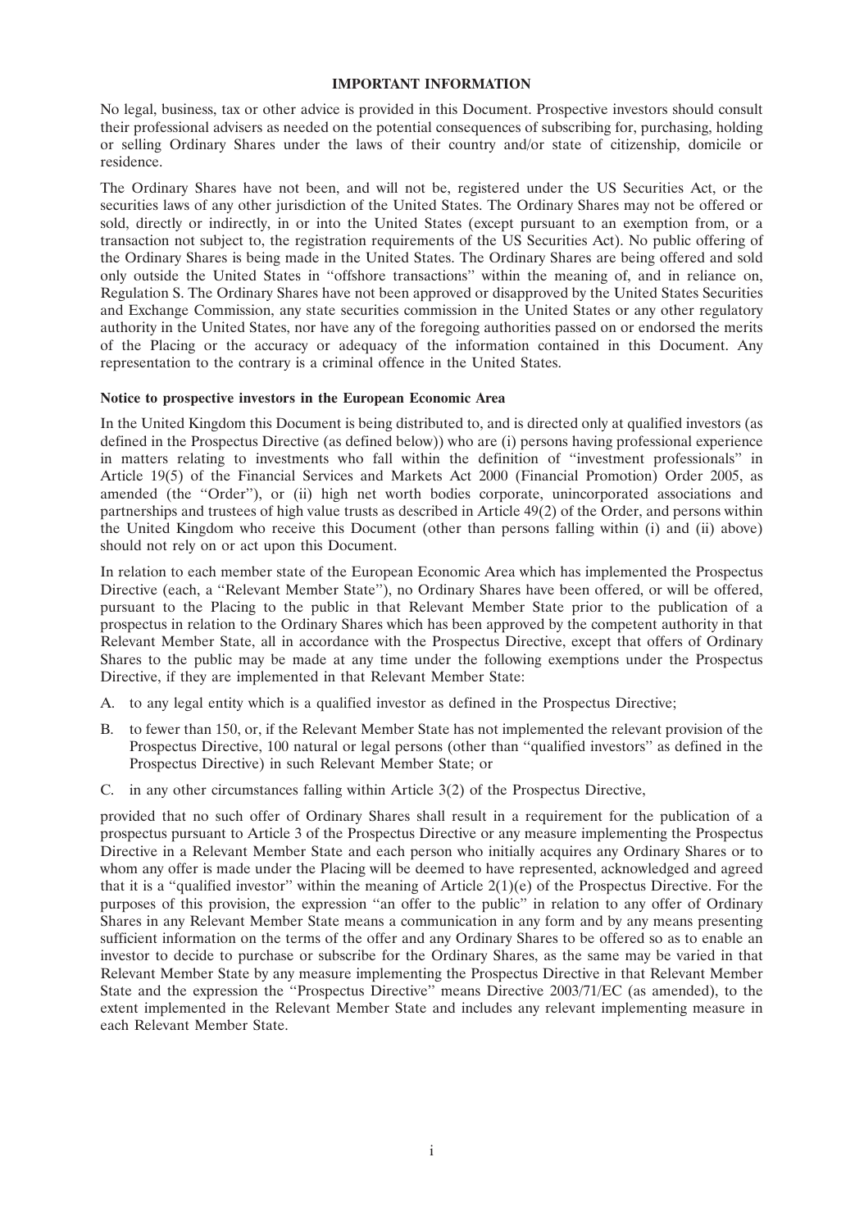#### **IMPORTANT INFORMATION**

No legal, business, tax or other advice is provided in this Document. Prospective investors should consult their professional advisers as needed on the potential consequences of subscribing for, purchasing, holding or selling Ordinary Shares under the laws of their country and/or state of citizenship, domicile or residence.

The Ordinary Shares have not been, and will not be, registered under the US Securities Act, or the securities laws of any other jurisdiction of the United States. The Ordinary Shares may not be offered or sold, directly or indirectly, in or into the United States (except pursuant to an exemption from, or a transaction not subject to, the registration requirements of the US Securities Act). No public offering of the Ordinary Shares is being made in the United States. The Ordinary Shares are being offered and sold only outside the United States in ''offshore transactions'' within the meaning of, and in reliance on, Regulation S. The Ordinary Shares have not been approved or disapproved by the United States Securities and Exchange Commission, any state securities commission in the United States or any other regulatory authority in the United States, nor have any of the foregoing authorities passed on or endorsed the merits of the Placing or the accuracy or adequacy of the information contained in this Document. Any representation to the contrary is a criminal offence in the United States.

#### **Notice to prospective investors in the European Economic Area**

In the United Kingdom this Document is being distributed to, and is directed only at qualified investors (as defined in the Prospectus Directive (as defined below)) who are (i) persons having professional experience in matters relating to investments who fall within the definition of ''investment professionals'' in Article 19(5) of the Financial Services and Markets Act 2000 (Financial Promotion) Order 2005, as amended (the "Order"), or (ii) high net worth bodies corporate, unincorporated associations and partnerships and trustees of high value trusts as described in Article 49(2) of the Order, and persons within the United Kingdom who receive this Document (other than persons falling within (i) and (ii) above) should not rely on or act upon this Document.

In relation to each member state of the European Economic Area which has implemented the Prospectus Directive (each, a "Relevant Member State"), no Ordinary Shares have been offered, or will be offered, pursuant to the Placing to the public in that Relevant Member State prior to the publication of a prospectus in relation to the Ordinary Shares which has been approved by the competent authority in that Relevant Member State, all in accordance with the Prospectus Directive, except that offers of Ordinary Shares to the public may be made at any time under the following exemptions under the Prospectus Directive, if they are implemented in that Relevant Member State:

- A. to any legal entity which is a qualified investor as defined in the Prospectus Directive;
- B. to fewer than 150, or, if the Relevant Member State has not implemented the relevant provision of the Prospectus Directive, 100 natural or legal persons (other than ''qualified investors'' as defined in the Prospectus Directive) in such Relevant Member State; or
- C. in any other circumstances falling within Article 3(2) of the Prospectus Directive,

provided that no such offer of Ordinary Shares shall result in a requirement for the publication of a prospectus pursuant to Article 3 of the Prospectus Directive or any measure implementing the Prospectus Directive in a Relevant Member State and each person who initially acquires any Ordinary Shares or to whom any offer is made under the Placing will be deemed to have represented, acknowledged and agreed that it is a "qualified investor" within the meaning of Article  $2(1)(e)$  of the Prospectus Directive. For the purposes of this provision, the expression "an offer to the public" in relation to any offer of Ordinary Shares in any Relevant Member State means a communication in any form and by any means presenting sufficient information on the terms of the offer and any Ordinary Shares to be offered so as to enable an investor to decide to purchase or subscribe for the Ordinary Shares, as the same may be varied in that Relevant Member State by any measure implementing the Prospectus Directive in that Relevant Member State and the expression the ''Prospectus Directive'' means Directive 2003/71/EC (as amended), to the extent implemented in the Relevant Member State and includes any relevant implementing measure in each Relevant Member State.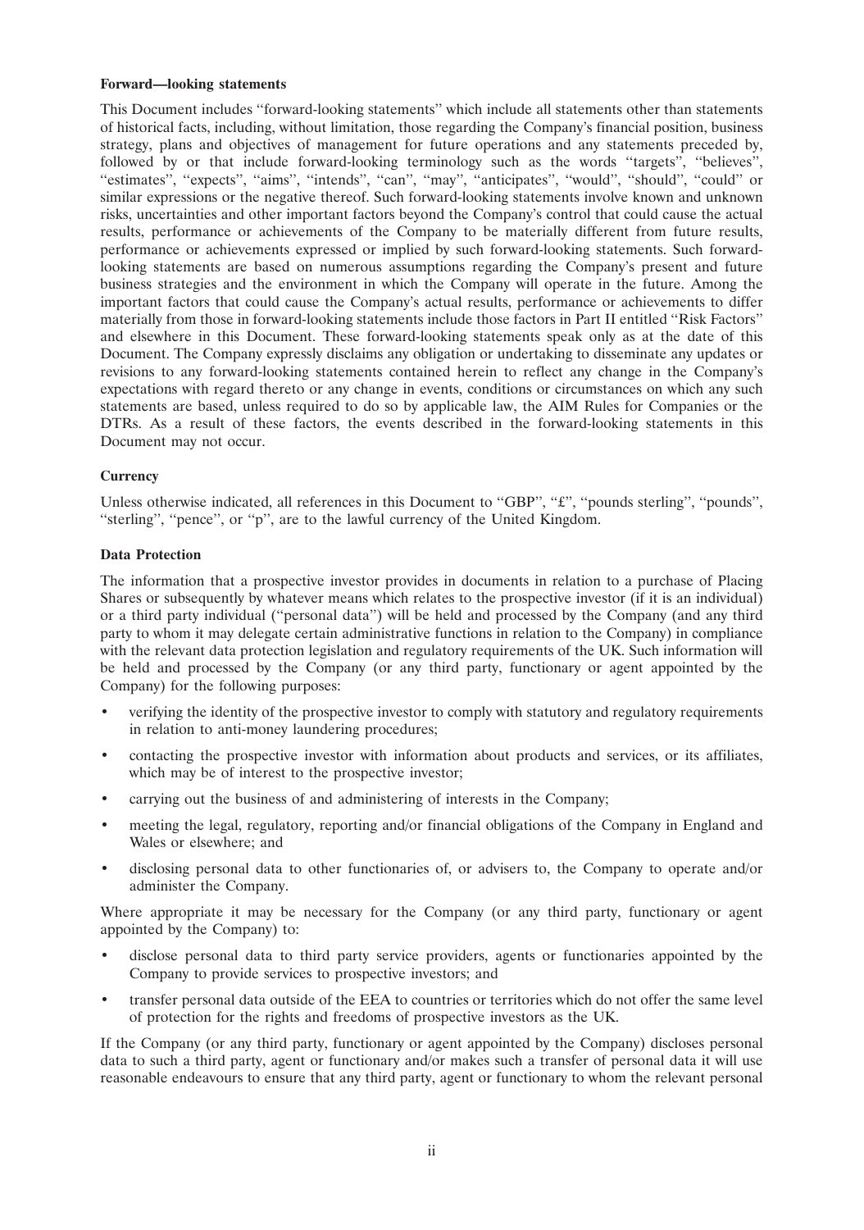#### **Forward—looking statements**

This Document includes ''forward-looking statements'' which include all statements other than statements of historical facts, including, without limitation, those regarding the Company's financial position, business strategy, plans and objectives of management for future operations and any statements preceded by, followed by or that include forward-looking terminology such as the words "targets", "believes", ''estimates'', ''expects'', ''aims'', ''intends'', ''can'', ''may'', ''anticipates'', ''would'', ''should'', ''could'' or similar expressions or the negative thereof. Such forward-looking statements involve known and unknown risks, uncertainties and other important factors beyond the Company's control that could cause the actual results, performance or achievements of the Company to be materially different from future results, performance or achievements expressed or implied by such forward-looking statements. Such forwardlooking statements are based on numerous assumptions regarding the Company's present and future business strategies and the environment in which the Company will operate in the future. Among the important factors that could cause the Company's actual results, performance or achievements to differ materially from those in forward-looking statements include those factors in Part II entitled ''Risk Factors'' and elsewhere in this Document. These forward-looking statements speak only as at the date of this Document. The Company expressly disclaims any obligation or undertaking to disseminate any updates or revisions to any forward-looking statements contained herein to reflect any change in the Company's expectations with regard thereto or any change in events, conditions or circumstances on which any such statements are based, unless required to do so by applicable law, the AIM Rules for Companies or the DTRs. As a result of these factors, the events described in the forward-looking statements in this Document may not occur.

# **Currency**

Unless otherwise indicated, all references in this Document to "GBP", "£", "pounds sterling", "pounds", "sterling", "pence", or "p", are to the lawful currency of the United Kingdom.

# **Data Protection**

The information that a prospective investor provides in documents in relation to a purchase of Placing Shares or subsequently by whatever means which relates to the prospective investor (if it is an individual) or a third party individual (''personal data'') will be held and processed by the Company (and any third party to whom it may delegate certain administrative functions in relation to the Company) in compliance with the relevant data protection legislation and regulatory requirements of the UK. Such information will be held and processed by the Company (or any third party, functionary or agent appointed by the Company) for the following purposes:

- verifying the identity of the prospective investor to comply with statutory and regulatory requirements in relation to anti-money laundering procedures;
- contacting the prospective investor with information about products and services, or its affiliates, which may be of interest to the prospective investor;
- carrying out the business of and administering of interests in the Company;
- meeting the legal, regulatory, reporting and/or financial obligations of the Company in England and Wales or elsewhere; and
- disclosing personal data to other functionaries of, or advisers to, the Company to operate and/or administer the Company.

Where appropriate it may be necessary for the Company (or any third party, functionary or agent appointed by the Company) to:

- disclose personal data to third party service providers, agents or functionaries appointed by the Company to provide services to prospective investors; and
- transfer personal data outside of the EEA to countries or territories which do not offer the same level of protection for the rights and freedoms of prospective investors as the UK.

If the Company (or any third party, functionary or agent appointed by the Company) discloses personal data to such a third party, agent or functionary and/or makes such a transfer of personal data it will use reasonable endeavours to ensure that any third party, agent or functionary to whom the relevant personal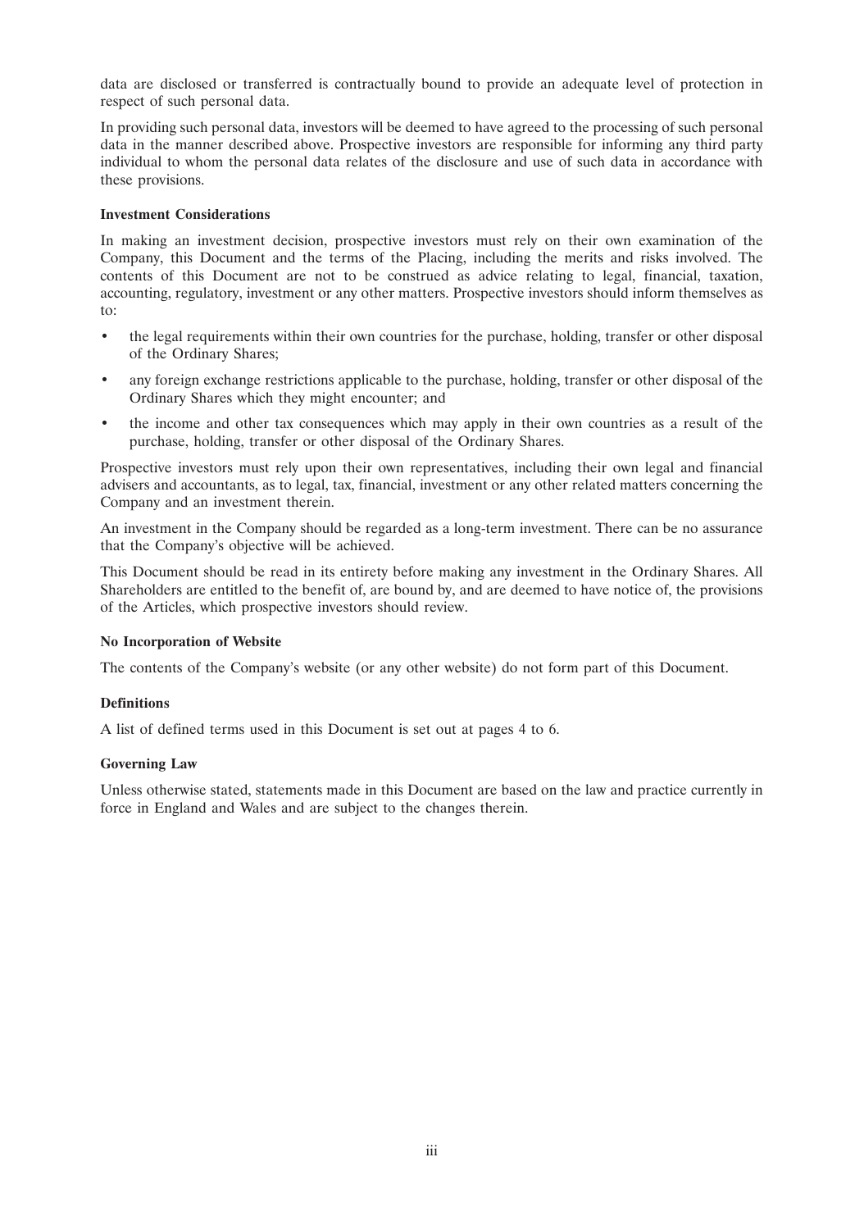data are disclosed or transferred is contractually bound to provide an adequate level of protection in respect of such personal data.

In providing such personal data, investors will be deemed to have agreed to the processing of such personal data in the manner described above. Prospective investors are responsible for informing any third party individual to whom the personal data relates of the disclosure and use of such data in accordance with these provisions.

# **Investment Considerations**

In making an investment decision, prospective investors must rely on their own examination of the Company, this Document and the terms of the Placing, including the merits and risks involved. The contents of this Document are not to be construed as advice relating to legal, financial, taxation, accounting, regulatory, investment or any other matters. Prospective investors should inform themselves as to:

- the legal requirements within their own countries for the purchase, holding, transfer or other disposal of the Ordinary Shares;
- any foreign exchange restrictions applicable to the purchase, holding, transfer or other disposal of the Ordinary Shares which they might encounter; and
- the income and other tax consequences which may apply in their own countries as a result of the purchase, holding, transfer or other disposal of the Ordinary Shares.

Prospective investors must rely upon their own representatives, including their own legal and financial advisers and accountants, as to legal, tax, financial, investment or any other related matters concerning the Company and an investment therein.

An investment in the Company should be regarded as a long-term investment. There can be no assurance that the Company's objective will be achieved.

This Document should be read in its entirety before making any investment in the Ordinary Shares. All Shareholders are entitled to the benefit of, are bound by, and are deemed to have notice of, the provisions of the Articles, which prospective investors should review.

#### **No Incorporation of Website**

The contents of the Company's website (or any other website) do not form part of this Document.

#### **Definitions**

A list of defined terms used in this Document is set out at pages 4 to 6.

#### **Governing Law**

Unless otherwise stated, statements made in this Document are based on the law and practice currently in force in England and Wales and are subject to the changes therein.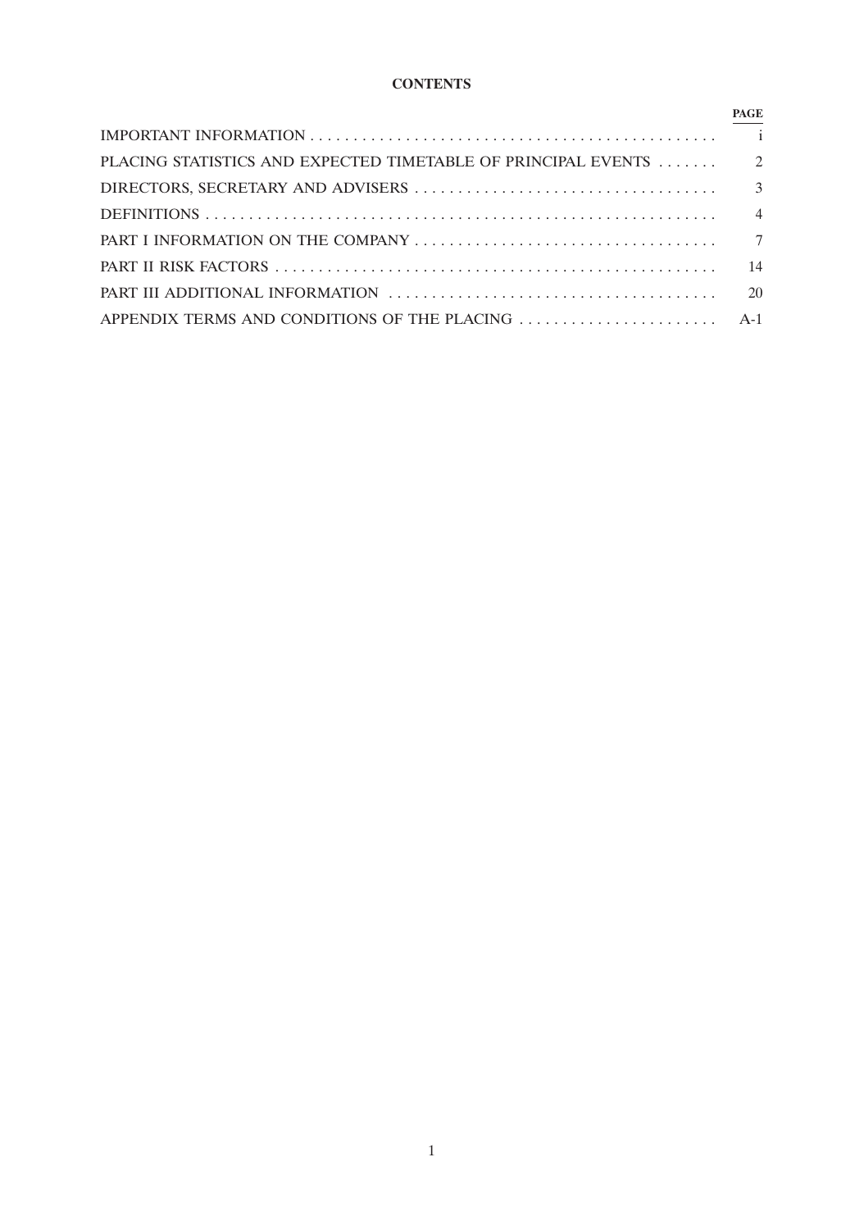# **CONTENTS**

|                                                                  | <b>PAGE</b> |
|------------------------------------------------------------------|-------------|
|                                                                  |             |
| PLACING STATISTICS AND EXPECTED TIMETABLE OF PRINCIPAL EVENTS  2 |             |
|                                                                  |             |
|                                                                  |             |
|                                                                  |             |
|                                                                  |             |
|                                                                  |             |
|                                                                  |             |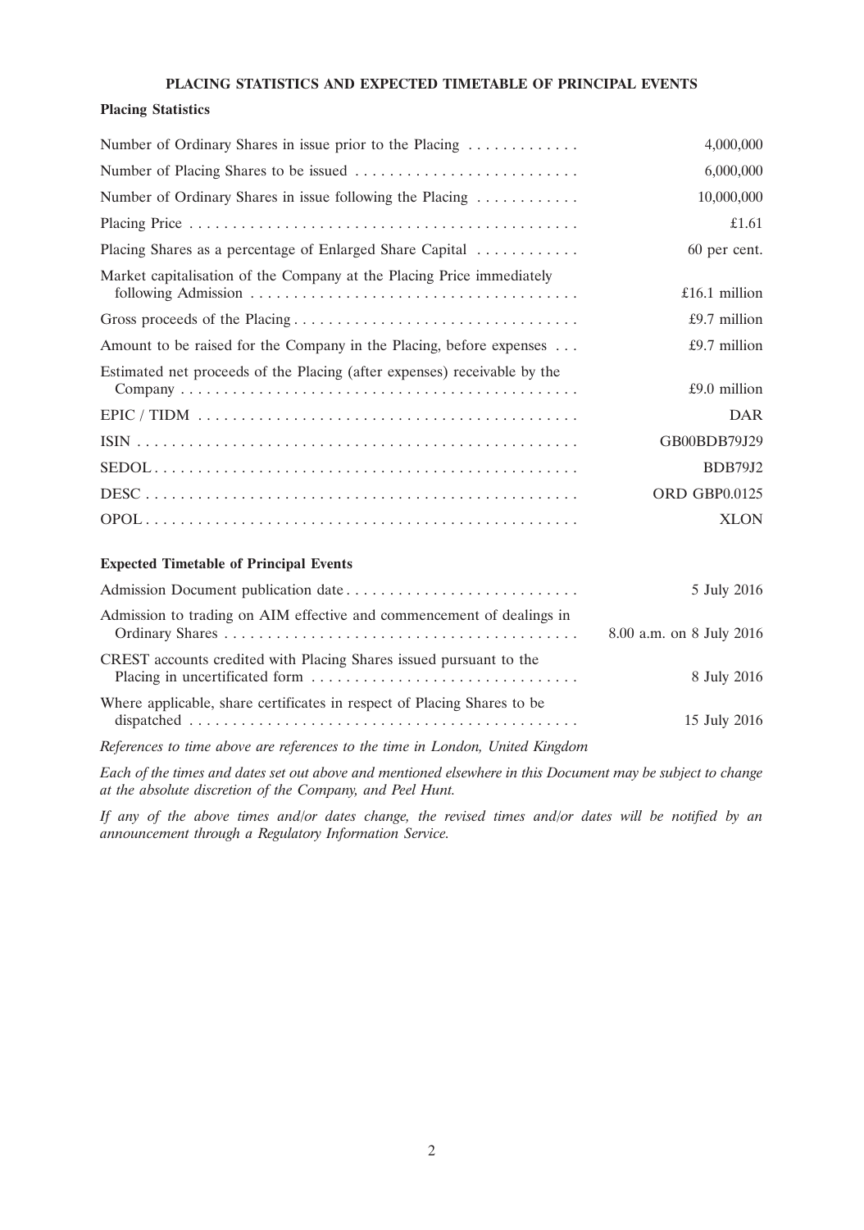# **PLACING STATISTICS AND EXPECTED TIMETABLE OF PRINCIPAL EVENTS**

### **Placing Statistics**

| Number of Ordinary Shares in issue prior to the Placing                      | 4,000,000     |
|------------------------------------------------------------------------------|---------------|
|                                                                              | 6,000,000     |
| Number of Ordinary Shares in issue following the Placing $\dots \dots \dots$ | 10,000,000    |
|                                                                              | £1.61         |
| Placing Shares as a percentage of Enlarged Share Capital                     | 60 per cent.  |
| Market capitalisation of the Company at the Placing Price immediately        | £16.1 million |
|                                                                              | £9.7 million  |
| Amount to be raised for the Company in the Placing, before expenses          | £9.7 million  |
| Estimated net proceeds of the Placing (after expenses) receivable by the     | £9.0 million  |
|                                                                              | <b>DAR</b>    |
|                                                                              | GB00BDB79J29  |
|                                                                              | BDB79J2       |
|                                                                              | ORD GBP0.0125 |
|                                                                              | <b>XLON</b>   |

# **Expected Timetable of Principal Events**

|                                                                               | 5 July 2016              |
|-------------------------------------------------------------------------------|--------------------------|
| Admission to trading on AIM effective and commencement of dealings in         | 8.00 a.m. on 8 July 2016 |
| CREST accounts credited with Placing Shares issued pursuant to the            | 8 July 2016              |
| Where applicable, share certificates in respect of Placing Shares to be       | 15 July 2016             |
| References to time above are references to the time in London, United Kingdom |                          |

*Each of the times and dates set out above and mentioned elsewhere in this Document may be subject to change at the absolute discretion of the Company, and Peel Hunt.*

*If any of the above times and/or dates change, the revised times and/or dates will be notified by an announcement through a Regulatory Information Service.*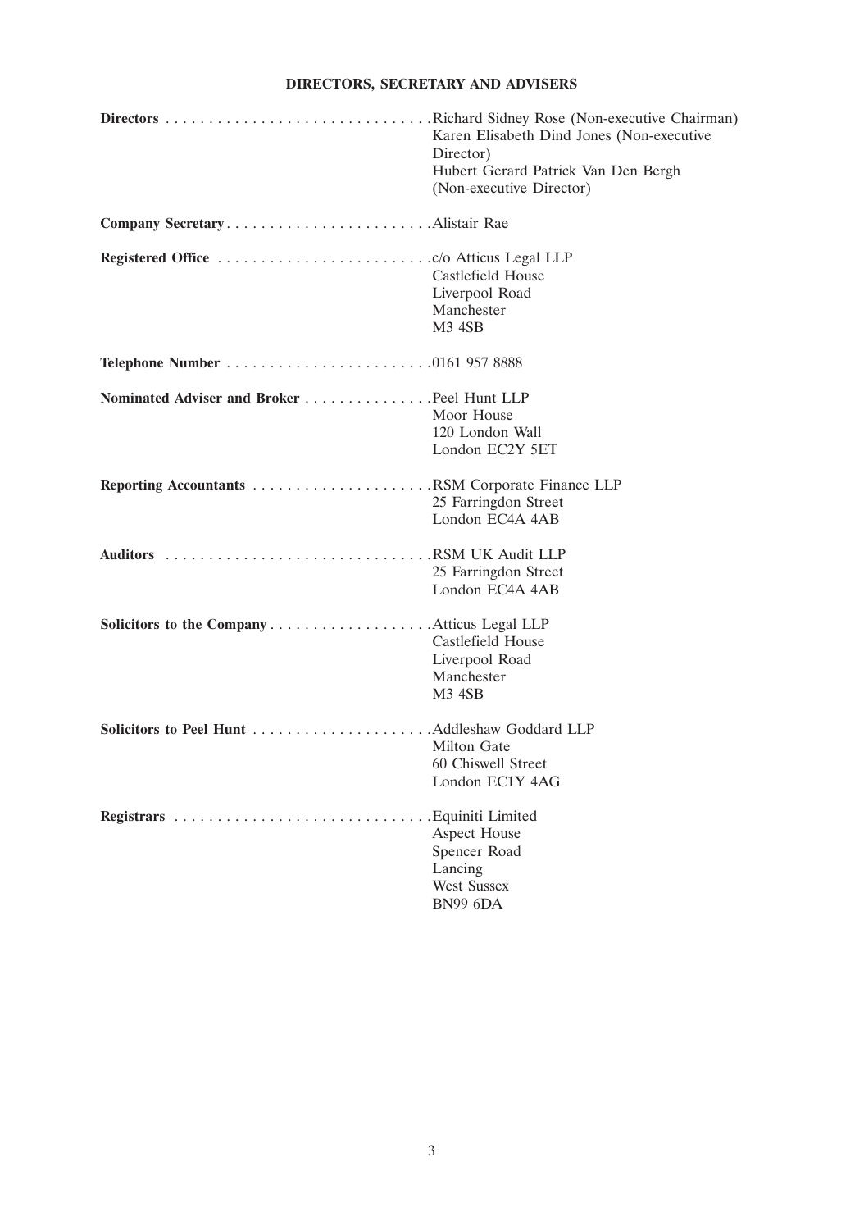# **DIRECTORS, SECRETARY AND ADVISERS**

|                                            | . Richard Sidney Rose (Non-executive Chairman)<br>Karen Elisabeth Dind Jones (Non-executive<br>Director)<br>Hubert Gerard Patrick Van Den Bergh<br>(Non-executive Director) |
|--------------------------------------------|-----------------------------------------------------------------------------------------------------------------------------------------------------------------------------|
| Company SecretaryAlistair Rae              |                                                                                                                                                                             |
|                                            | Castlefield House<br>Liverpool Road<br>Manchester<br><b>M3 4SB</b>                                                                                                          |
| <b>Telephone Number 0161 957 8888</b>      |                                                                                                                                                                             |
| Nominated Adviser and Broker Peel Hunt LLP | Moor House<br>120 London Wall<br>London EC2Y 5ET                                                                                                                            |
|                                            | 25 Farringdon Street<br>London EC4A 4AB                                                                                                                                     |
|                                            | 25 Farringdon Street<br>London EC4A 4AB                                                                                                                                     |
| Solicitors to the CompanyAtticus Legal LLP | Castlefield House<br>Liverpool Road<br>Manchester<br>M3 4SB                                                                                                                 |
|                                            | <b>Milton Gate</b><br>60 Chiswell Street<br>London EC1Y 4AG                                                                                                                 |
|                                            | . Equiniti Limited<br>Aspect House<br>Spencer Road<br>Lancing<br><b>West Sussex</b><br><b>BN99 6DA</b>                                                                      |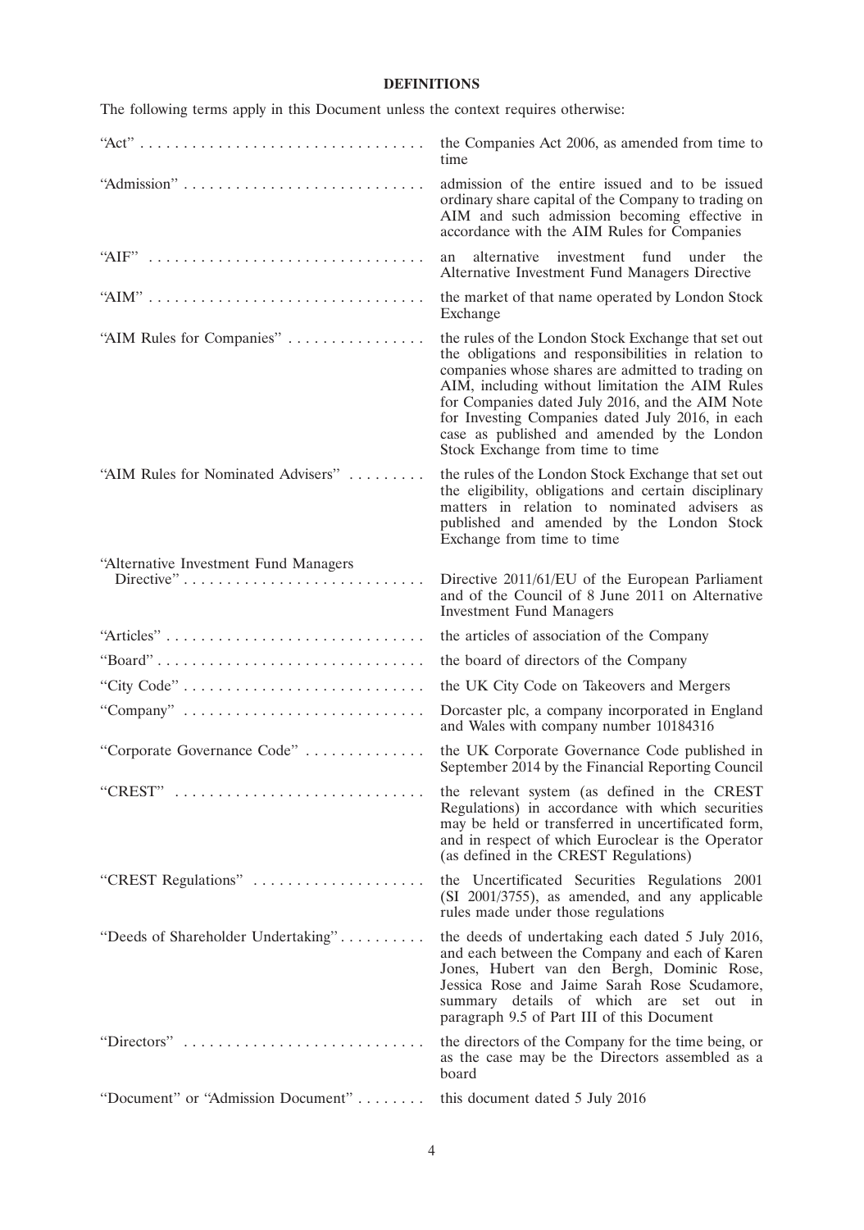# **DEFINITIONS**

|                                                                            | the Companies Act 2006, as amended from time to<br>time                                                                                                                                                                                                                                                                                                                                                      |
|----------------------------------------------------------------------------|--------------------------------------------------------------------------------------------------------------------------------------------------------------------------------------------------------------------------------------------------------------------------------------------------------------------------------------------------------------------------------------------------------------|
|                                                                            | admission of the entire issued and to be issued<br>ordinary share capital of the Company to trading on<br>AIM and such admission becoming effective in<br>accordance with the AIM Rules for Companies                                                                                                                                                                                                        |
|                                                                            | investment fund<br>alternative<br>under the<br>an<br>Alternative Investment Fund Managers Directive                                                                                                                                                                                                                                                                                                          |
|                                                                            | the market of that name operated by London Stock<br>Exchange                                                                                                                                                                                                                                                                                                                                                 |
| "AIM Rules for Companies"                                                  | the rules of the London Stock Exchange that set out<br>the obligations and responsibilities in relation to<br>companies whose shares are admitted to trading on<br>AIM, including without limitation the AIM Rules<br>for Companies dated July 2016, and the AIM Note<br>for Investing Companies dated July 2016, in each<br>case as published and amended by the London<br>Stock Exchange from time to time |
| "AIM Rules for Nominated Advisers"                                         | the rules of the London Stock Exchange that set out<br>the eligibility, obligations and certain disciplinary<br>matters in relation to nominated advisers as<br>published and amended by the London Stock<br>Exchange from time to time                                                                                                                                                                      |
| "Alternative Investment Fund Managers                                      | Directive 2011/61/EU of the European Parliament<br>and of the Council of 8 June 2011 on Alternative<br><b>Investment Fund Managers</b>                                                                                                                                                                                                                                                                       |
| "Articles"                                                                 | the articles of association of the Company                                                                                                                                                                                                                                                                                                                                                                   |
| "Board"                                                                    | the board of directors of the Company                                                                                                                                                                                                                                                                                                                                                                        |
| "City Code"                                                                | the UK City Code on Takeovers and Mergers                                                                                                                                                                                                                                                                                                                                                                    |
| "Company" $\ldots \ldots \ldots \ldots \ldots \ldots \ldots \ldots \ldots$ | Dorcaster plc, a company incorporated in England<br>and Wales with company number 10184316                                                                                                                                                                                                                                                                                                                   |
| "Corporate Governance Code"                                                | the UK Corporate Governance Code published in<br>September 2014 by the Financial Reporting Council                                                                                                                                                                                                                                                                                                           |
| "CREST"                                                                    | the relevant system (as defined in the CREST<br>Regulations) in accordance with which securities<br>may be held or transferred in uncertificated form,<br>and in respect of which Euroclear is the Operator<br>(as defined in the CREST Regulations)                                                                                                                                                         |
| "CREST Regulations"                                                        | the Uncertificated Securities Regulations 2001<br>(SI 2001/3755), as amended, and any applicable<br>rules made under those regulations                                                                                                                                                                                                                                                                       |
| "Deeds of Shareholder Undertaking"                                         | the deeds of undertaking each dated 5 July 2016,<br>and each between the Company and each of Karen<br>Jones, Hubert van den Bergh, Dominic Rose,<br>Jessica Rose and Jaime Sarah Rose Scudamore,<br>summary details of which are set out in<br>paragraph 9.5 of Part III of this Document                                                                                                                    |
| "Directors"                                                                | the directors of the Company for the time being, or<br>as the case may be the Directors assembled as a<br>board                                                                                                                                                                                                                                                                                              |
| "Document" or "Admission Document"                                         | this document dated 5 July 2016                                                                                                                                                                                                                                                                                                                                                                              |
|                                                                            |                                                                                                                                                                                                                                                                                                                                                                                                              |

The following terms apply in this Document unless the context requires otherwise: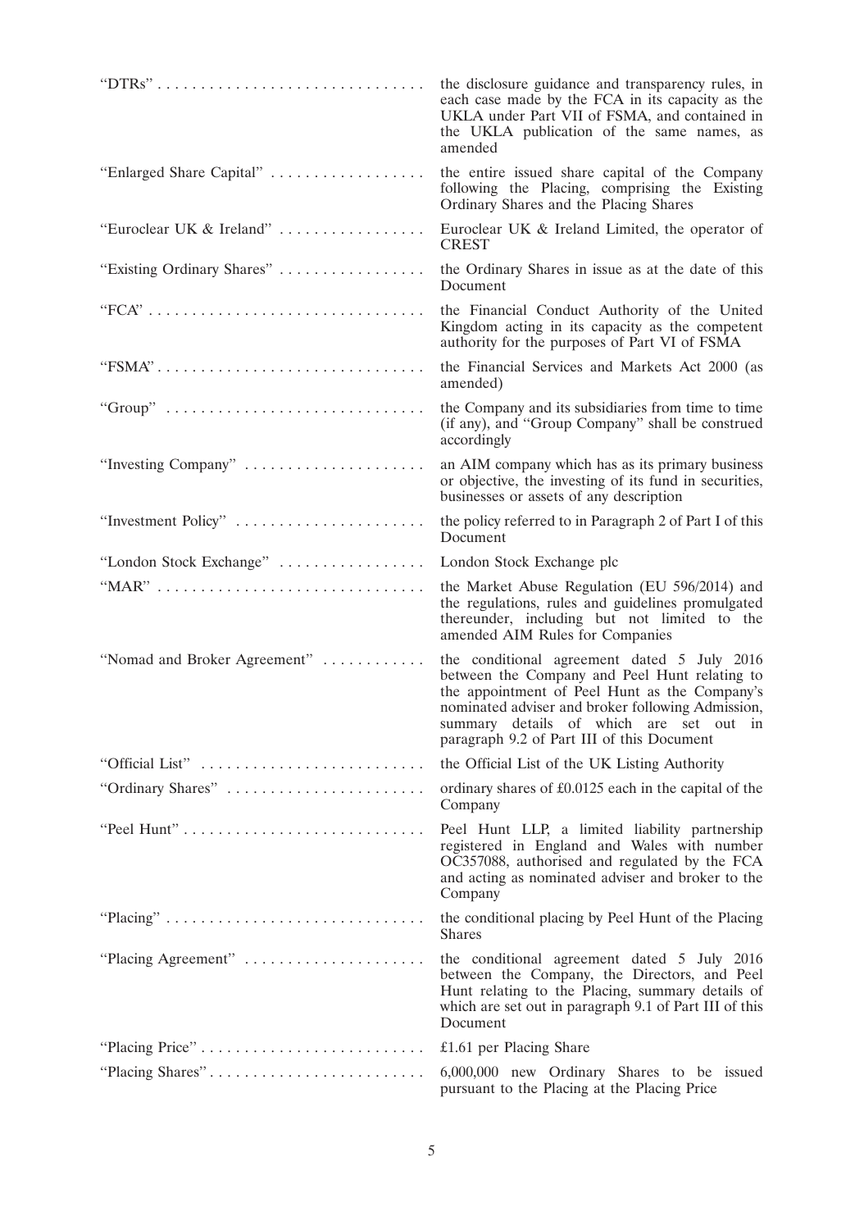|                                                                                      | the disclosure guidance and transparency rules, in<br>each case made by the FCA in its capacity as the<br>UKLA under Part VII of FSMA, and contained in<br>the UKLA publication of the same names, as<br>amended                                                                            |
|--------------------------------------------------------------------------------------|---------------------------------------------------------------------------------------------------------------------------------------------------------------------------------------------------------------------------------------------------------------------------------------------|
| "Enlarged Share Capital"                                                             | the entire issued share capital of the Company<br>following the Placing, comprising the Existing<br>Ordinary Shares and the Placing Shares                                                                                                                                                  |
| "Euroclear UK & Ireland"                                                             | Euroclear UK & Ireland Limited, the operator of<br><b>CREST</b>                                                                                                                                                                                                                             |
| "Existing Ordinary Shares"                                                           | the Ordinary Shares in issue as at the date of this<br>Document                                                                                                                                                                                                                             |
| $"FCA" \ldots \ldots \ldots \ldots \ldots \ldots \ldots \ldots \ldots \ldots \ldots$ | the Financial Conduct Authority of the United<br>Kingdom acting in its capacity as the competent<br>authority for the purposes of Part VI of FSMA                                                                                                                                           |
|                                                                                      | the Financial Services and Markets Act 2000 (as<br>amended)                                                                                                                                                                                                                                 |
|                                                                                      | the Company and its subsidiaries from time to time<br>(if any), and "Group Company" shall be construed<br>accordingly                                                                                                                                                                       |
| "Investing Company"                                                                  | an AIM company which has as its primary business<br>or objective, the investing of its fund in securities,<br>businesses or assets of any description                                                                                                                                       |
| "Investment Policy"                                                                  | the policy referred to in Paragraph 2 of Part I of this<br>Document                                                                                                                                                                                                                         |
| "London Stock Exchange"                                                              | London Stock Exchange plc                                                                                                                                                                                                                                                                   |
|                                                                                      | the Market Abuse Regulation (EU 596/2014) and<br>the regulations, rules and guidelines promulgated<br>thereunder, including but not limited to the<br>amended AIM Rules for Companies                                                                                                       |
| "Nomad and Broker Agreement"                                                         | the conditional agreement dated 5 July 2016<br>between the Company and Peel Hunt relating to<br>the appointment of Peel Hunt as the Company's<br>nominated adviser and broker following Admission,<br>summary details of which are set out in<br>paragraph 9.2 of Part III of this Document |
| "Official List"                                                                      | the Official List of the UK Listing Authority                                                                                                                                                                                                                                               |
| "Ordinary Shares"                                                                    | ordinary shares of £0.0125 each in the capital of the<br>Company                                                                                                                                                                                                                            |
|                                                                                      | Peel Hunt LLP, a limited liability partnership<br>registered in England and Wales with number<br>OC357088, authorised and regulated by the FCA<br>and acting as nominated adviser and broker to the<br>Company                                                                              |
|                                                                                      | the conditional placing by Peel Hunt of the Placing<br><b>Shares</b>                                                                                                                                                                                                                        |
| "Placing Agreement"                                                                  | the conditional agreement dated 5 July 2016<br>between the Company, the Directors, and Peel<br>Hunt relating to the Placing, summary details of<br>which are set out in paragraph 9.1 of Part III of this<br>Document                                                                       |
|                                                                                      | £1.61 per Placing Share                                                                                                                                                                                                                                                                     |
| "Placing Shares"                                                                     | 6,000,000 new Ordinary Shares to be issued<br>pursuant to the Placing at the Placing Price                                                                                                                                                                                                  |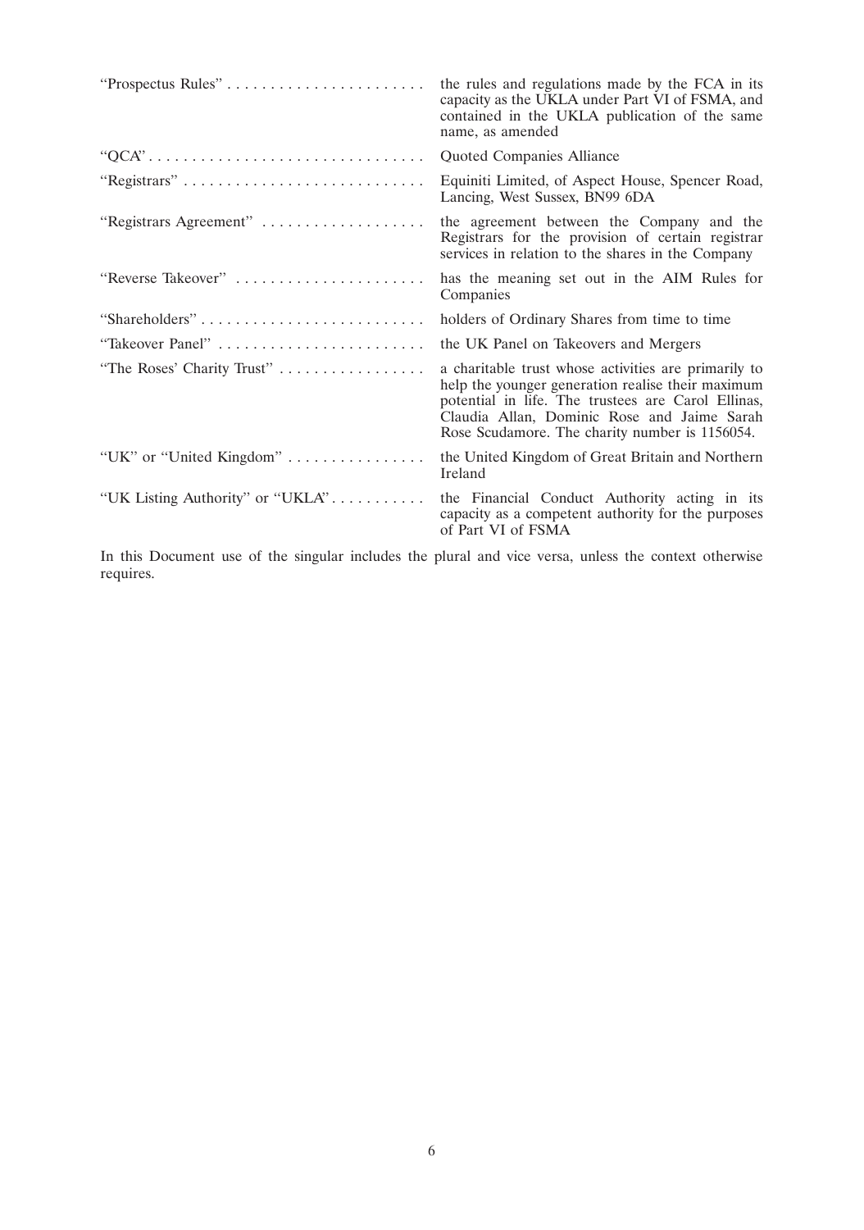| "Prospectus Rules"               | the rules and regulations made by the FCA in its<br>capacity as the UKLA under Part VI of FSMA, and<br>contained in the UKLA publication of the same<br>name, as amended                                                                                         |
|----------------------------------|------------------------------------------------------------------------------------------------------------------------------------------------------------------------------------------------------------------------------------------------------------------|
|                                  | Quoted Companies Alliance                                                                                                                                                                                                                                        |
|                                  | Equiniti Limited, of Aspect House, Spencer Road,<br>Lancing, West Sussex, BN99 6DA                                                                                                                                                                               |
| "Registrars Agreement"           | the agreement between the Company and the<br>Registrars for the provision of certain registrar<br>services in relation to the shares in the Company                                                                                                              |
| "Reverse Takeover"               | has the meaning set out in the AIM Rules for<br>Companies                                                                                                                                                                                                        |
| "Shareholders"                   | holders of Ordinary Shares from time to time                                                                                                                                                                                                                     |
|                                  | the UK Panel on Takeovers and Mergers                                                                                                                                                                                                                            |
| "The Roses' Charity Trust"       | a charitable trust whose activities are primarily to<br>help the younger generation realise their maximum<br>potential in life. The trustees are Carol Ellinas,<br>Claudia Allan, Dominic Rose and Jaime Sarah<br>Rose Scudamore. The charity number is 1156054. |
| "UK" or "United Kingdom"         | the United Kingdom of Great Britain and Northern<br>Ireland                                                                                                                                                                                                      |
| "UK Listing Authority" or "UKLA" | the Financial Conduct Authority acting in its<br>capacity as a competent authority for the purposes<br>of Part VI of FSMA                                                                                                                                        |

In this Document use of the singular includes the plural and vice versa, unless the context otherwise requires.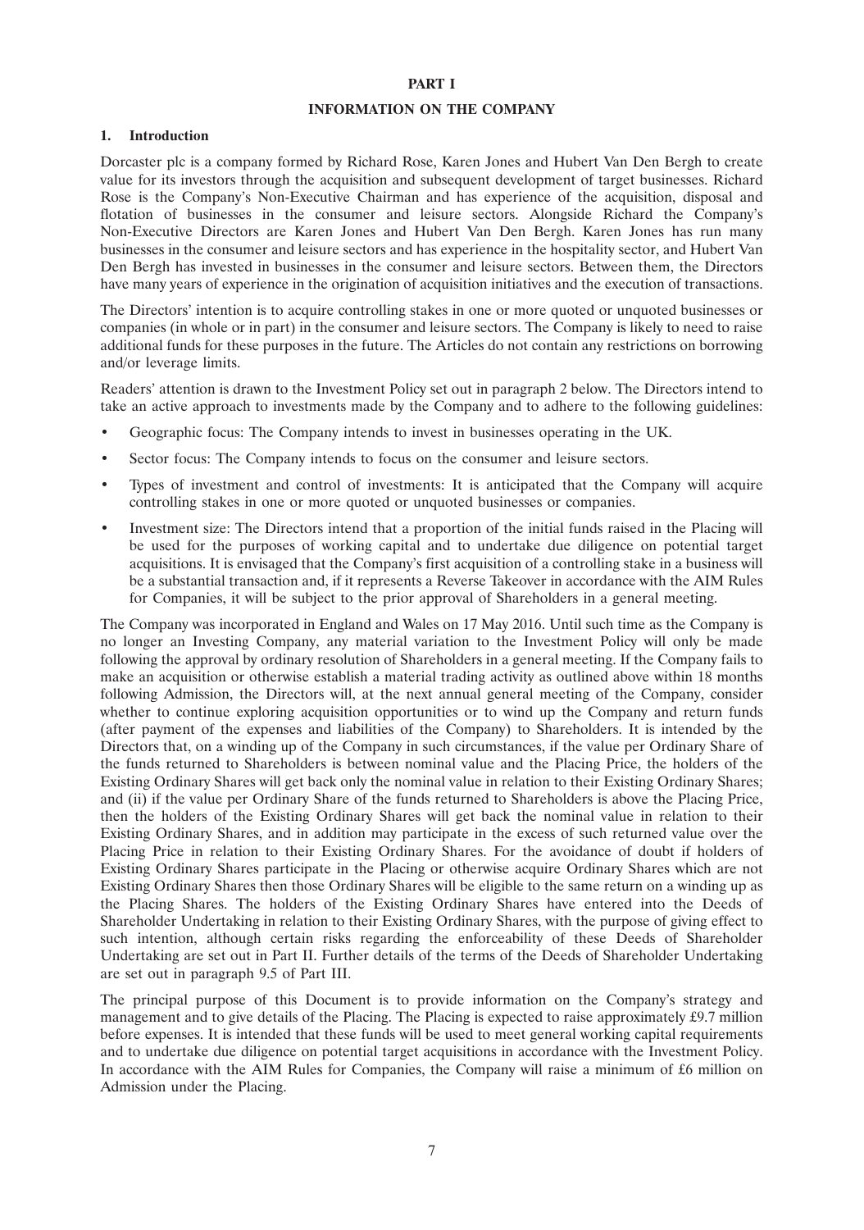#### **PART I**

#### **INFORMATION ON THE COMPANY**

### **1. Introduction**

Dorcaster plc is a company formed by Richard Rose, Karen Jones and Hubert Van Den Bergh to create value for its investors through the acquisition and subsequent development of target businesses. Richard Rose is the Company's Non-Executive Chairman and has experience of the acquisition, disposal and flotation of businesses in the consumer and leisure sectors. Alongside Richard the Company's Non-Executive Directors are Karen Jones and Hubert Van Den Bergh. Karen Jones has run many businesses in the consumer and leisure sectors and has experience in the hospitality sector, and Hubert Van Den Bergh has invested in businesses in the consumer and leisure sectors. Between them, the Directors have many years of experience in the origination of acquisition initiatives and the execution of transactions.

The Directors' intention is to acquire controlling stakes in one or more quoted or unquoted businesses or companies (in whole or in part) in the consumer and leisure sectors. The Company is likely to need to raise additional funds for these purposes in the future. The Articles do not contain any restrictions on borrowing and/or leverage limits.

Readers' attention is drawn to the Investment Policy set out in paragraph 2 below. The Directors intend to take an active approach to investments made by the Company and to adhere to the following guidelines:

- Geographic focus: The Company intends to invest in businesses operating in the UK.
- Sector focus: The Company intends to focus on the consumer and leisure sectors.
- Types of investment and control of investments: It is anticipated that the Company will acquire controlling stakes in one or more quoted or unquoted businesses or companies.
- Investment size: The Directors intend that a proportion of the initial funds raised in the Placing will be used for the purposes of working capital and to undertake due diligence on potential target acquisitions. It is envisaged that the Company's first acquisition of a controlling stake in a business will be a substantial transaction and, if it represents a Reverse Takeover in accordance with the AIM Rules for Companies, it will be subject to the prior approval of Shareholders in a general meeting.

The Company was incorporated in England and Wales on 17 May 2016. Until such time as the Company is no longer an Investing Company, any material variation to the Investment Policy will only be made following the approval by ordinary resolution of Shareholders in a general meeting. If the Company fails to make an acquisition or otherwise establish a material trading activity as outlined above within 18 months following Admission, the Directors will, at the next annual general meeting of the Company, consider whether to continue exploring acquisition opportunities or to wind up the Company and return funds (after payment of the expenses and liabilities of the Company) to Shareholders. It is intended by the Directors that, on a winding up of the Company in such circumstances, if the value per Ordinary Share of the funds returned to Shareholders is between nominal value and the Placing Price, the holders of the Existing Ordinary Shares will get back only the nominal value in relation to their Existing Ordinary Shares; and (ii) if the value per Ordinary Share of the funds returned to Shareholders is above the Placing Price, then the holders of the Existing Ordinary Shares will get back the nominal value in relation to their Existing Ordinary Shares, and in addition may participate in the excess of such returned value over the Placing Price in relation to their Existing Ordinary Shares. For the avoidance of doubt if holders of Existing Ordinary Shares participate in the Placing or otherwise acquire Ordinary Shares which are not Existing Ordinary Shares then those Ordinary Shares will be eligible to the same return on a winding up as the Placing Shares. The holders of the Existing Ordinary Shares have entered into the Deeds of Shareholder Undertaking in relation to their Existing Ordinary Shares, with the purpose of giving effect to such intention, although certain risks regarding the enforceability of these Deeds of Shareholder Undertaking are set out in Part II. Further details of the terms of the Deeds of Shareholder Undertaking are set out in paragraph 9.5 of Part III.

The principal purpose of this Document is to provide information on the Company's strategy and management and to give details of the Placing. The Placing is expected to raise approximately £9.7 million before expenses. It is intended that these funds will be used to meet general working capital requirements and to undertake due diligence on potential target acquisitions in accordance with the Investment Policy. In accordance with the AIM Rules for Companies, the Company will raise a minimum of £6 million on Admission under the Placing.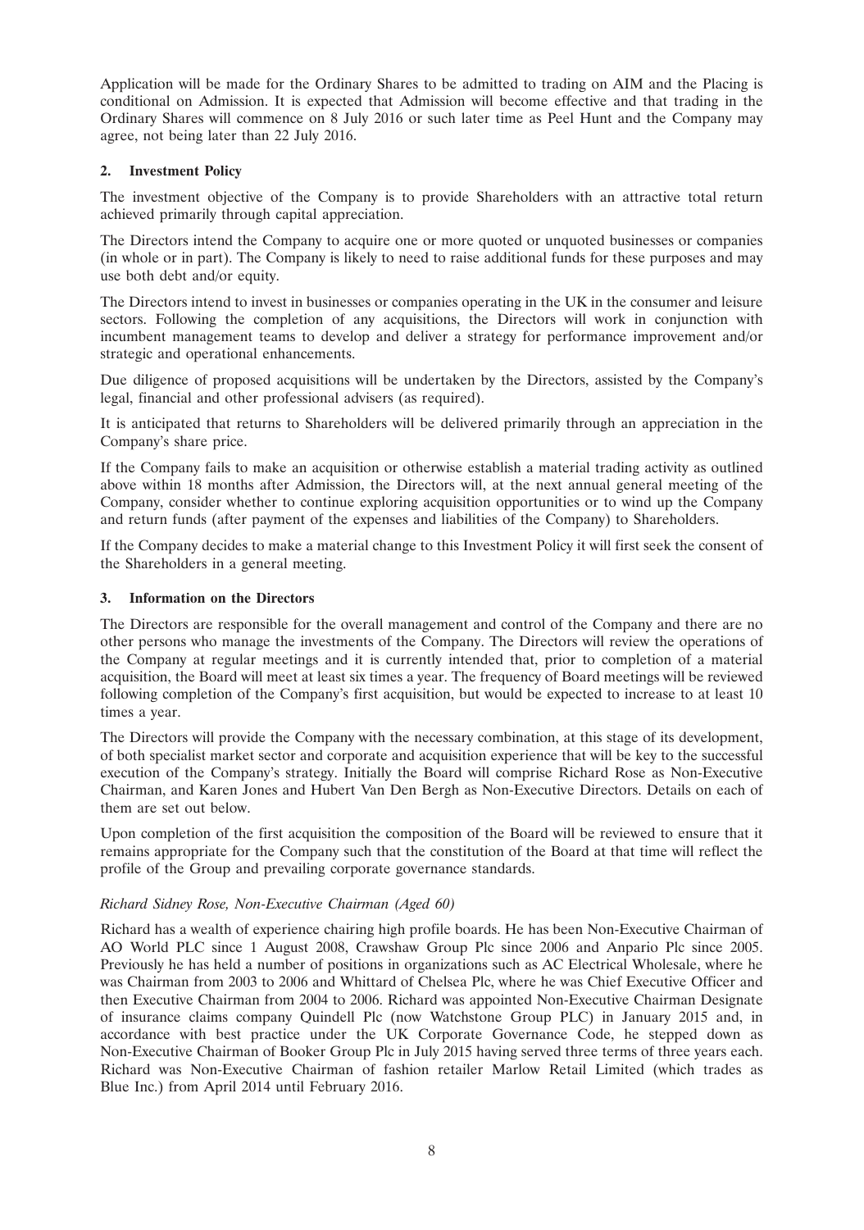Application will be made for the Ordinary Shares to be admitted to trading on AIM and the Placing is conditional on Admission. It is expected that Admission will become effective and that trading in the Ordinary Shares will commence on 8 July 2016 or such later time as Peel Hunt and the Company may agree, not being later than 22 July 2016.

# **2. Investment Policy**

The investment objective of the Company is to provide Shareholders with an attractive total return achieved primarily through capital appreciation.

The Directors intend the Company to acquire one or more quoted or unquoted businesses or companies (in whole or in part). The Company is likely to need to raise additional funds for these purposes and may use both debt and/or equity.

The Directors intend to invest in businesses or companies operating in the UK in the consumer and leisure sectors. Following the completion of any acquisitions, the Directors will work in conjunction with incumbent management teams to develop and deliver a strategy for performance improvement and/or strategic and operational enhancements.

Due diligence of proposed acquisitions will be undertaken by the Directors, assisted by the Company's legal, financial and other professional advisers (as required).

It is anticipated that returns to Shareholders will be delivered primarily through an appreciation in the Company's share price.

If the Company fails to make an acquisition or otherwise establish a material trading activity as outlined above within 18 months after Admission, the Directors will, at the next annual general meeting of the Company, consider whether to continue exploring acquisition opportunities or to wind up the Company and return funds (after payment of the expenses and liabilities of the Company) to Shareholders.

If the Company decides to make a material change to this Investment Policy it will first seek the consent of the Shareholders in a general meeting.

# **3. Information on the Directors**

The Directors are responsible for the overall management and control of the Company and there are no other persons who manage the investments of the Company. The Directors will review the operations of the Company at regular meetings and it is currently intended that, prior to completion of a material acquisition, the Board will meet at least six times a year. The frequency of Board meetings will be reviewed following completion of the Company's first acquisition, but would be expected to increase to at least 10 times a year.

The Directors will provide the Company with the necessary combination, at this stage of its development, of both specialist market sector and corporate and acquisition experience that will be key to the successful execution of the Company's strategy. Initially the Board will comprise Richard Rose as Non-Executive Chairman, and Karen Jones and Hubert Van Den Bergh as Non-Executive Directors. Details on each of them are set out below.

Upon completion of the first acquisition the composition of the Board will be reviewed to ensure that it remains appropriate for the Company such that the constitution of the Board at that time will reflect the profile of the Group and prevailing corporate governance standards.

# *Richard Sidney Rose, Non-Executive Chairman (Aged 60)*

Richard has a wealth of experience chairing high profile boards. He has been Non-Executive Chairman of AO World PLC since 1 August 2008, Crawshaw Group Plc since 2006 and Anpario Plc since 2005. Previously he has held a number of positions in organizations such as AC Electrical Wholesale, where he was Chairman from 2003 to 2006 and Whittard of Chelsea Plc, where he was Chief Executive Officer and then Executive Chairman from 2004 to 2006. Richard was appointed Non-Executive Chairman Designate of insurance claims company Quindell Plc (now Watchstone Group PLC) in January 2015 and, in accordance with best practice under the UK Corporate Governance Code, he stepped down as Non-Executive Chairman of Booker Group Plc in July 2015 having served three terms of three years each. Richard was Non-Executive Chairman of fashion retailer Marlow Retail Limited (which trades as Blue Inc.) from April 2014 until February 2016.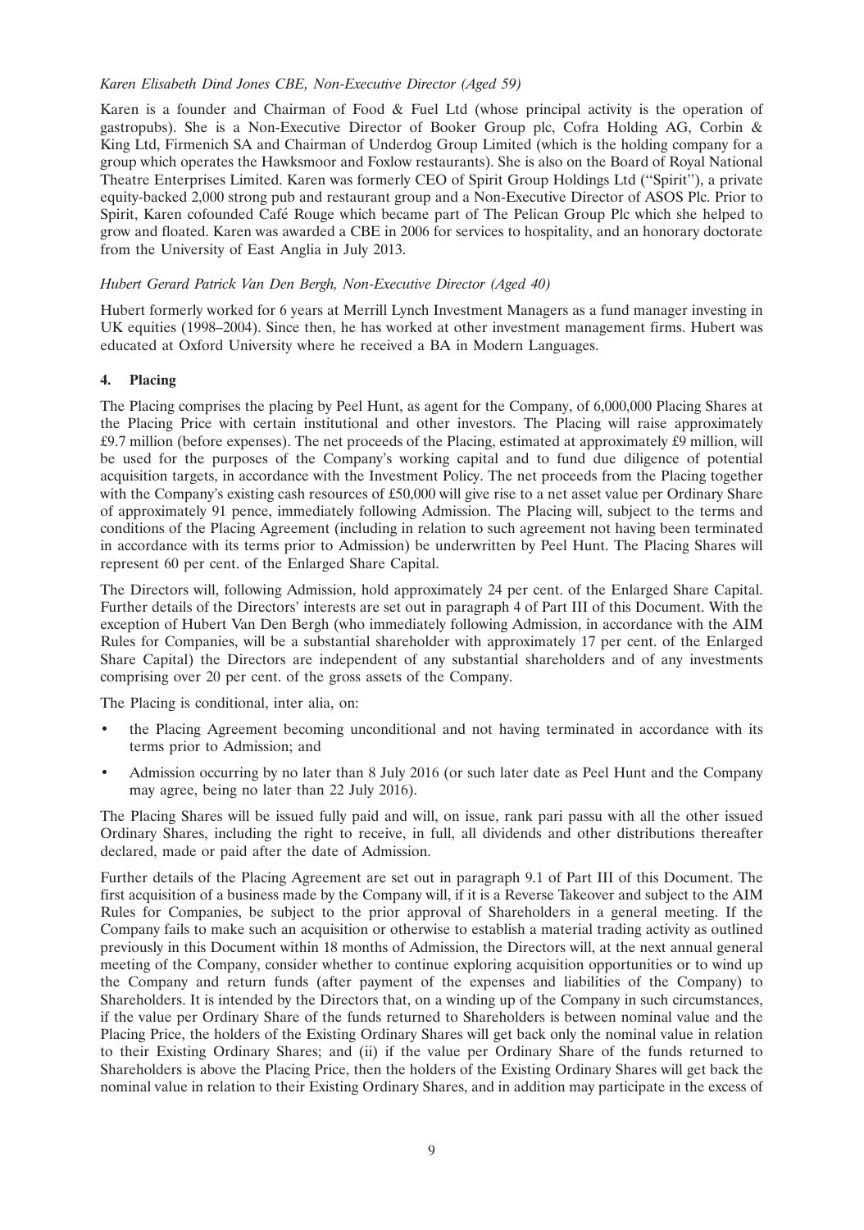# *Karen Elisabeth Dind Jones CBE, Non-Executive Director (Aged 59)*

Karen is a founder and Chairman of Food & Fuel Ltd (whose principal activity is the operation of gastropubs). She is a Non-Executive Director of Booker Group plc, Cofra Holding AG, Corbin & King Ltd, Firmenich SA and Chairman of Underdog Group Limited (which is the holding company for a group which operates the Hawksmoor and Foxlow restaurants). She is also on the Board of Royal National Theatre Enterprises Limited. Karen was formerly CEO of Spirit Group Holdings Ltd (''Spirit''), a private equity-backed 2,000 strong pub and restaurant group and a Non-Executive Director of ASOS Plc. Prior to Spirit, Karen cofounded Café Rouge which became part of The Pelican Group Plc which she helped to grow and floated. Karen was awarded a CBE in 2006 for services to hospitality, and an honorary doctorate from the University of East Anglia in July 2013.

# *Hubert Gerard Patrick Van Den Bergh, Non-Executive Director (Aged 40)*

Hubert formerly worked for 6 years at Merrill Lynch Investment Managers as a fund manager investing in UK equities (1998–2004). Since then, he has worked at other investment management firms. Hubert was educated at Oxford University where he received a BA in Modern Languages.

# **4. Placing**

The Placing comprises the placing by Peel Hunt, as agent for the Company, of 6,000,000 Placing Shares at the Placing Price with certain institutional and other investors. The Placing will raise approximately £9.7 million (before expenses). The net proceeds of the Placing, estimated at approximately  $\hat{L}^0$  million, will be used for the purposes of the Company's working capital and to fund due diligence of potential acquisition targets, in accordance with the Investment Policy. The net proceeds from the Placing together with the Company's existing cash resources of £50,000 will give rise to a net asset value per Ordinary Share of approximately 91 pence, immediately following Admission. The Placing will, subject to the terms and conditions of the Placing Agreement (including in relation to such agreement not having been terminated in accordance with its terms prior to Admission) be underwritten by Peel Hunt. The Placing Shares will represent 60 per cent. of the Enlarged Share Capital.

The Directors will, following Admission, hold approximately 24 per cent. of the Enlarged Share Capital. Further details of the Directors' interests are set out in paragraph 4 of Part III of this Document. With the exception of Hubert Van Den Bergh (who immediately following Admission, in accordance with the AIM Rules for Companies, will be a substantial shareholder with approximately 17 per cent. of the Enlarged Share Capital) the Directors are independent of any substantial shareholders and of any investments comprising over 20 per cent. of the gross assets of the Company.

The Placing is conditional, inter alia, on:

- the Placing Agreement becoming unconditional and not having terminated in accordance with its terms prior to Admission; and
- Admission occurring by no later than 8 July 2016 (or such later date as Peel Hunt and the Company may agree, being no later than 22 July 2016).

The Placing Shares will be issued fully paid and will, on issue, rank pari passu with all the other issued Ordinary Shares, including the right to receive, in full, all dividends and other distributions thereafter declared, made or paid after the date of Admission.

Further details of the Placing Agreement are set out in paragraph 9.1 of Part III of this Document. The first acquisition of a business made by the Company will, if it is a Reverse Takeover and subject to the AIM Rules for Companies, be subject to the prior approval of Shareholders in a general meeting. If the Company fails to make such an acquisition or otherwise to establish a material trading activity as outlined previously in this Document within 18 months of Admission, the Directors will, at the next annual general meeting of the Company, consider whether to continue exploring acquisition opportunities or to wind up the Company and return funds (after payment of the expenses and liabilities of the Company) to Shareholders. It is intended by the Directors that, on a winding up of the Company in such circumstances, if the value per Ordinary Share of the funds returned to Shareholders is between nominal value and the Placing Price, the holders of the Existing Ordinary Shares will get back only the nominal value in relation to their Existing Ordinary Shares; and (ii) if the value per Ordinary Share of the funds returned to Shareholders is above the Placing Price, then the holders of the Existing Ordinary Shares will get back the nominal value in relation to their Existing Ordinary Shares, and in addition may participate in the excess of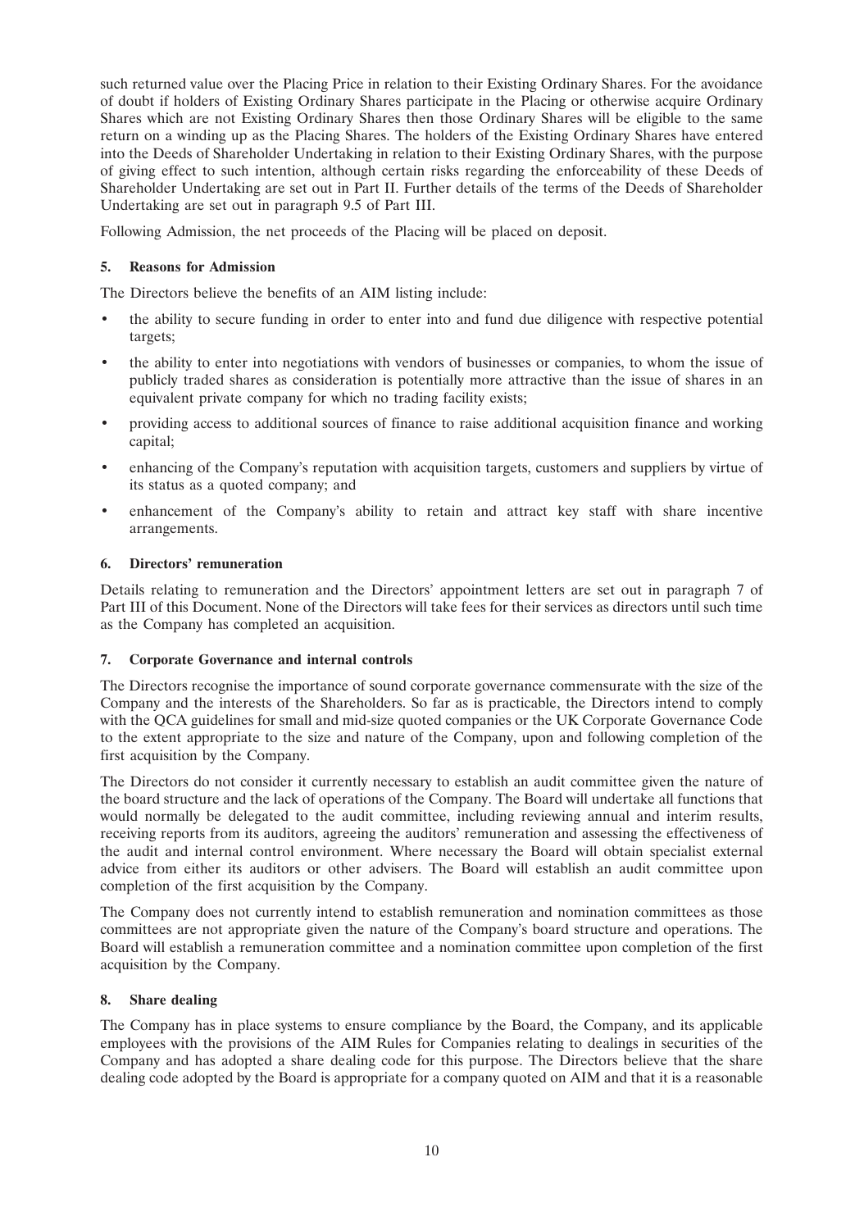such returned value over the Placing Price in relation to their Existing Ordinary Shares. For the avoidance of doubt if holders of Existing Ordinary Shares participate in the Placing or otherwise acquire Ordinary Shares which are not Existing Ordinary Shares then those Ordinary Shares will be eligible to the same return on a winding up as the Placing Shares. The holders of the Existing Ordinary Shares have entered into the Deeds of Shareholder Undertaking in relation to their Existing Ordinary Shares, with the purpose of giving effect to such intention, although certain risks regarding the enforceability of these Deeds of Shareholder Undertaking are set out in Part II. Further details of the terms of the Deeds of Shareholder Undertaking are set out in paragraph 9.5 of Part III.

Following Admission, the net proceeds of the Placing will be placed on deposit.

# **5. Reasons for Admission**

The Directors believe the benefits of an AIM listing include:

- the ability to secure funding in order to enter into and fund due diligence with respective potential targets;
- the ability to enter into negotiations with vendors of businesses or companies, to whom the issue of publicly traded shares as consideration is potentially more attractive than the issue of shares in an equivalent private company for which no trading facility exists;
- providing access to additional sources of finance to raise additional acquisition finance and working capital;
- enhancing of the Company's reputation with acquisition targets, customers and suppliers by virtue of its status as a quoted company; and
- enhancement of the Company's ability to retain and attract key staff with share incentive arrangements.

# **6. Directors' remuneration**

Details relating to remuneration and the Directors' appointment letters are set out in paragraph 7 of Part III of this Document. None of the Directors will take fees for their services as directors until such time as the Company has completed an acquisition.

# **7. Corporate Governance and internal controls**

The Directors recognise the importance of sound corporate governance commensurate with the size of the Company and the interests of the Shareholders. So far as is practicable, the Directors intend to comply with the QCA guidelines for small and mid-size quoted companies or the UK Corporate Governance Code to the extent appropriate to the size and nature of the Company, upon and following completion of the first acquisition by the Company.

The Directors do not consider it currently necessary to establish an audit committee given the nature of the board structure and the lack of operations of the Company. The Board will undertake all functions that would normally be delegated to the audit committee, including reviewing annual and interim results, receiving reports from its auditors, agreeing the auditors' remuneration and assessing the effectiveness of the audit and internal control environment. Where necessary the Board will obtain specialist external advice from either its auditors or other advisers. The Board will establish an audit committee upon completion of the first acquisition by the Company.

The Company does not currently intend to establish remuneration and nomination committees as those committees are not appropriate given the nature of the Company's board structure and operations. The Board will establish a remuneration committee and a nomination committee upon completion of the first acquisition by the Company.

# **8. Share dealing**

The Company has in place systems to ensure compliance by the Board, the Company, and its applicable employees with the provisions of the AIM Rules for Companies relating to dealings in securities of the Company and has adopted a share dealing code for this purpose. The Directors believe that the share dealing code adopted by the Board is appropriate for a company quoted on AIM and that it is a reasonable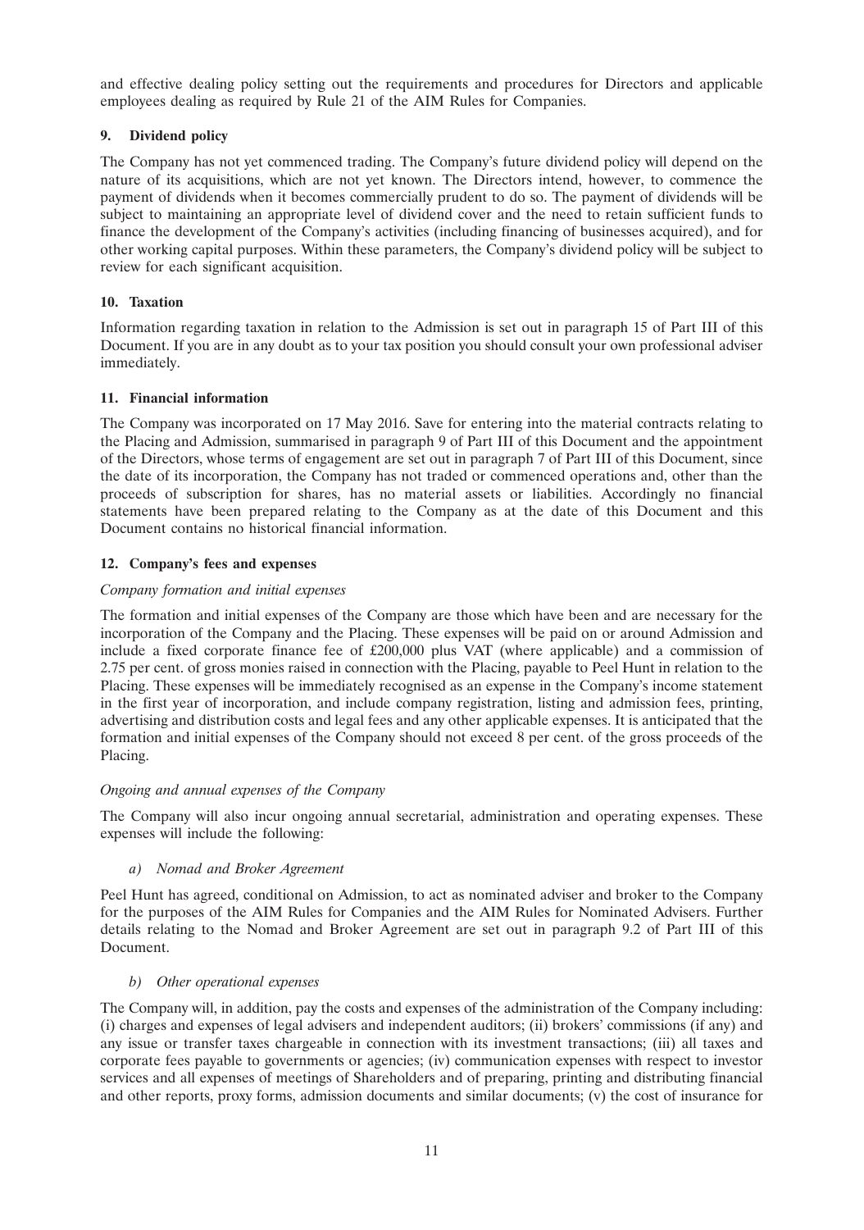and effective dealing policy setting out the requirements and procedures for Directors and applicable employees dealing as required by Rule 21 of the AIM Rules for Companies.

# **9. Dividend policy**

The Company has not yet commenced trading. The Company's future dividend policy will depend on the nature of its acquisitions, which are not yet known. The Directors intend, however, to commence the payment of dividends when it becomes commercially prudent to do so. The payment of dividends will be subject to maintaining an appropriate level of dividend cover and the need to retain sufficient funds to finance the development of the Company's activities (including financing of businesses acquired), and for other working capital purposes. Within these parameters, the Company's dividend policy will be subject to review for each significant acquisition.

# **10. Taxation**

Information regarding taxation in relation to the Admission is set out in paragraph 15 of Part III of this Document. If you are in any doubt as to your tax position you should consult your own professional adviser immediately.

# **11. Financial information**

The Company was incorporated on 17 May 2016. Save for entering into the material contracts relating to the Placing and Admission, summarised in paragraph 9 of Part III of this Document and the appointment of the Directors, whose terms of engagement are set out in paragraph 7 of Part III of this Document, since the date of its incorporation, the Company has not traded or commenced operations and, other than the proceeds of subscription for shares, has no material assets or liabilities. Accordingly no financial statements have been prepared relating to the Company as at the date of this Document and this Document contains no historical financial information.

# **12. Company's fees and expenses**

# *Company formation and initial expenses*

The formation and initial expenses of the Company are those which have been and are necessary for the incorporation of the Company and the Placing. These expenses will be paid on or around Admission and include a fixed corporate finance fee of £200,000 plus VAT (where applicable) and a commission of 2.75 per cent. of gross monies raised in connection with the Placing, payable to Peel Hunt in relation to the Placing. These expenses will be immediately recognised as an expense in the Company's income statement in the first year of incorporation, and include company registration, listing and admission fees, printing, advertising and distribution costs and legal fees and any other applicable expenses. It is anticipated that the formation and initial expenses of the Company should not exceed 8 per cent. of the gross proceeds of the Placing.

# *Ongoing and annual expenses of the Company*

The Company will also incur ongoing annual secretarial, administration and operating expenses. These expenses will include the following:

*a) Nomad and Broker Agreement*

Peel Hunt has agreed, conditional on Admission, to act as nominated adviser and broker to the Company for the purposes of the AIM Rules for Companies and the AIM Rules for Nominated Advisers. Further details relating to the Nomad and Broker Agreement are set out in paragraph 9.2 of Part III of this Document.

# *b) Other operational expenses*

The Company will, in addition, pay the costs and expenses of the administration of the Company including: (i) charges and expenses of legal advisers and independent auditors; (ii) brokers' commissions (if any) and any issue or transfer taxes chargeable in connection with its investment transactions; (iii) all taxes and corporate fees payable to governments or agencies; (iv) communication expenses with respect to investor services and all expenses of meetings of Shareholders and of preparing, printing and distributing financial and other reports, proxy forms, admission documents and similar documents; (v) the cost of insurance for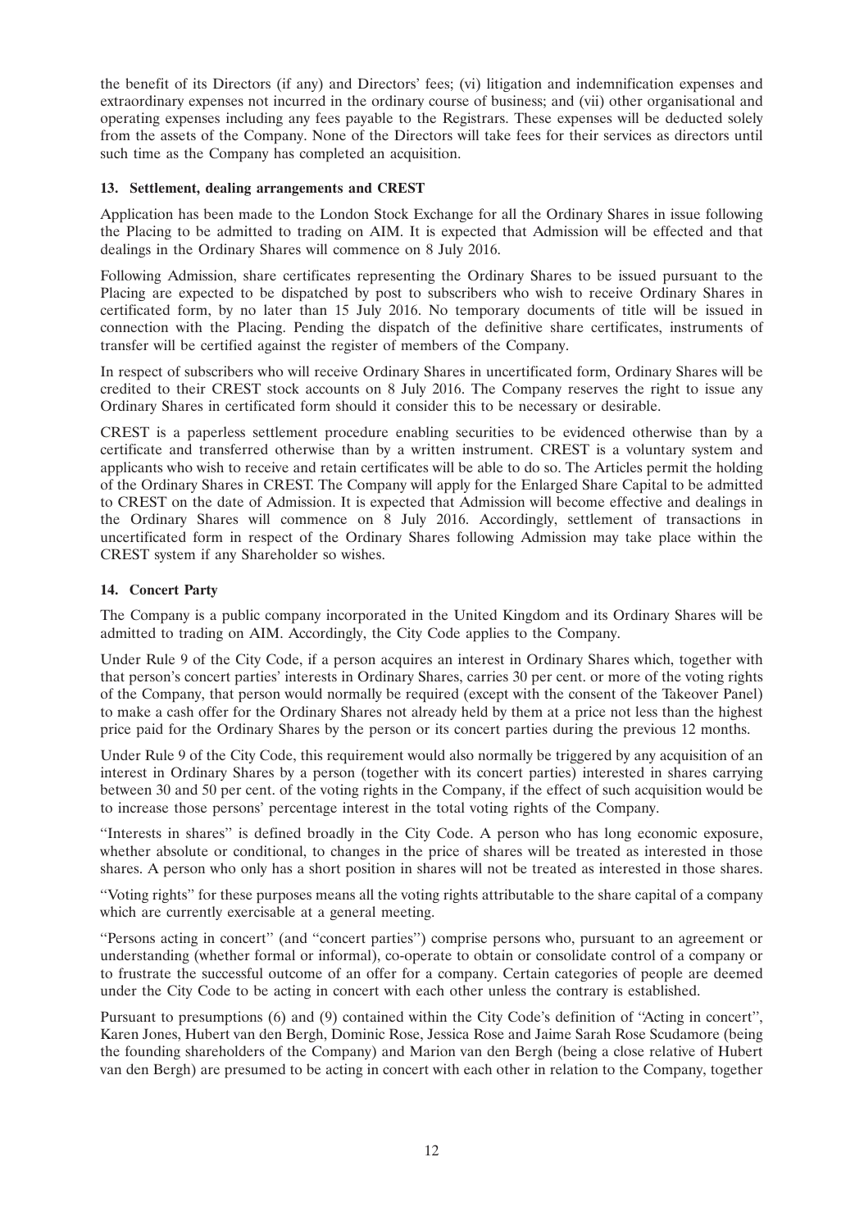the benefit of its Directors (if any) and Directors' fees; (vi) litigation and indemnification expenses and extraordinary expenses not incurred in the ordinary course of business; and (vii) other organisational and operating expenses including any fees payable to the Registrars. These expenses will be deducted solely from the assets of the Company. None of the Directors will take fees for their services as directors until such time as the Company has completed an acquisition.

# **13. Settlement, dealing arrangements and CREST**

Application has been made to the London Stock Exchange for all the Ordinary Shares in issue following the Placing to be admitted to trading on AIM. It is expected that Admission will be effected and that dealings in the Ordinary Shares will commence on 8 July 2016.

Following Admission, share certificates representing the Ordinary Shares to be issued pursuant to the Placing are expected to be dispatched by post to subscribers who wish to receive Ordinary Shares in certificated form, by no later than 15 July 2016. No temporary documents of title will be issued in connection with the Placing. Pending the dispatch of the definitive share certificates, instruments of transfer will be certified against the register of members of the Company.

In respect of subscribers who will receive Ordinary Shares in uncertificated form, Ordinary Shares will be credited to their CREST stock accounts on 8 July 2016. The Company reserves the right to issue any Ordinary Shares in certificated form should it consider this to be necessary or desirable.

CREST is a paperless settlement procedure enabling securities to be evidenced otherwise than by a certificate and transferred otherwise than by a written instrument. CREST is a voluntary system and applicants who wish to receive and retain certificates will be able to do so. The Articles permit the holding of the Ordinary Shares in CREST. The Company will apply for the Enlarged Share Capital to be admitted to CREST on the date of Admission. It is expected that Admission will become effective and dealings in the Ordinary Shares will commence on 8 July 2016. Accordingly, settlement of transactions in uncertificated form in respect of the Ordinary Shares following Admission may take place within the CREST system if any Shareholder so wishes.

# **14. Concert Party**

The Company is a public company incorporated in the United Kingdom and its Ordinary Shares will be admitted to trading on AIM. Accordingly, the City Code applies to the Company.

Under Rule 9 of the City Code, if a person acquires an interest in Ordinary Shares which, together with that person's concert parties' interests in Ordinary Shares, carries 30 per cent. or more of the voting rights of the Company, that person would normally be required (except with the consent of the Takeover Panel) to make a cash offer for the Ordinary Shares not already held by them at a price not less than the highest price paid for the Ordinary Shares by the person or its concert parties during the previous 12 months.

Under Rule 9 of the City Code, this requirement would also normally be triggered by any acquisition of an interest in Ordinary Shares by a person (together with its concert parties) interested in shares carrying between 30 and 50 per cent. of the voting rights in the Company, if the effect of such acquisition would be to increase those persons' percentage interest in the total voting rights of the Company.

''Interests in shares'' is defined broadly in the City Code. A person who has long economic exposure, whether absolute or conditional, to changes in the price of shares will be treated as interested in those shares. A person who only has a short position in shares will not be treated as interested in those shares.

''Voting rights'' for these purposes means all the voting rights attributable to the share capital of a company which are currently exercisable at a general meeting.

''Persons acting in concert'' (and ''concert parties'') comprise persons who, pursuant to an agreement or understanding (whether formal or informal), co-operate to obtain or consolidate control of a company or to frustrate the successful outcome of an offer for a company. Certain categories of people are deemed under the City Code to be acting in concert with each other unless the contrary is established.

Pursuant to presumptions (6) and (9) contained within the City Code's definition of ''Acting in concert'', Karen Jones, Hubert van den Bergh, Dominic Rose, Jessica Rose and Jaime Sarah Rose Scudamore (being the founding shareholders of the Company) and Marion van den Bergh (being a close relative of Hubert van den Bergh) are presumed to be acting in concert with each other in relation to the Company, together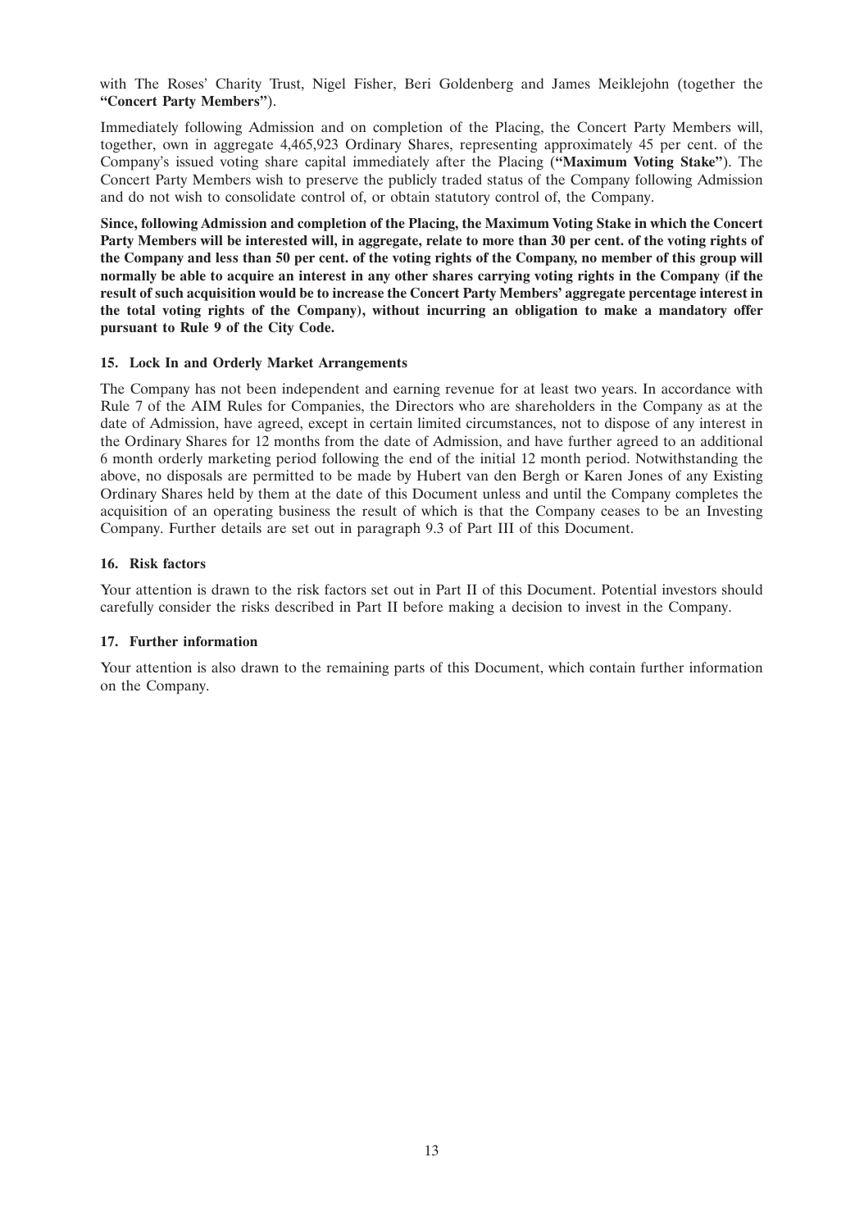with The Roses' Charity Trust, Nigel Fisher, Beri Goldenberg and James Meiklejohn (together the **''Concert Party Members''**).

Immediately following Admission and on completion of the Placing, the Concert Party Members will, together, own in aggregate 4,465,923 Ordinary Shares, representing approximately 45 per cent. of the Company's issued voting share capital immediately after the Placing (**''Maximum Voting Stake''**). The Concert Party Members wish to preserve the publicly traded status of the Company following Admission and do not wish to consolidate control of, or obtain statutory control of, the Company.

**Since, following Admission and completion of the Placing, the Maximum Voting Stake in which the Concert Party Members will be interested will, in aggregate, relate to more than 30 per cent. of the voting rights of the Company and less than 50 per cent. of the voting rights of the Company, no member of this group will normally be able to acquire an interest in any other shares carrying voting rights in the Company (if the result of such acquisition would be to increase the Concert Party Members' aggregate percentage interest in the total voting rights of the Company), without incurring an obligation to make a mandatory offer pursuant to Rule 9 of the City Code.**

# **15. Lock In and Orderly Market Arrangements**

The Company has not been independent and earning revenue for at least two years. In accordance with Rule 7 of the AIM Rules for Companies, the Directors who are shareholders in the Company as at the date of Admission, have agreed, except in certain limited circumstances, not to dispose of any interest in the Ordinary Shares for 12 months from the date of Admission, and have further agreed to an additional 6 month orderly marketing period following the end of the initial 12 month period. Notwithstanding the above, no disposals are permitted to be made by Hubert van den Bergh or Karen Jones of any Existing Ordinary Shares held by them at the date of this Document unless and until the Company completes the acquisition of an operating business the result of which is that the Company ceases to be an Investing Company. Further details are set out in paragraph 9.3 of Part III of this Document.

# **16. Risk factors**

Your attention is drawn to the risk factors set out in Part II of this Document. Potential investors should carefully consider the risks described in Part II before making a decision to invest in the Company.

# **17. Further information**

Your attention is also drawn to the remaining parts of this Document, which contain further information on the Company.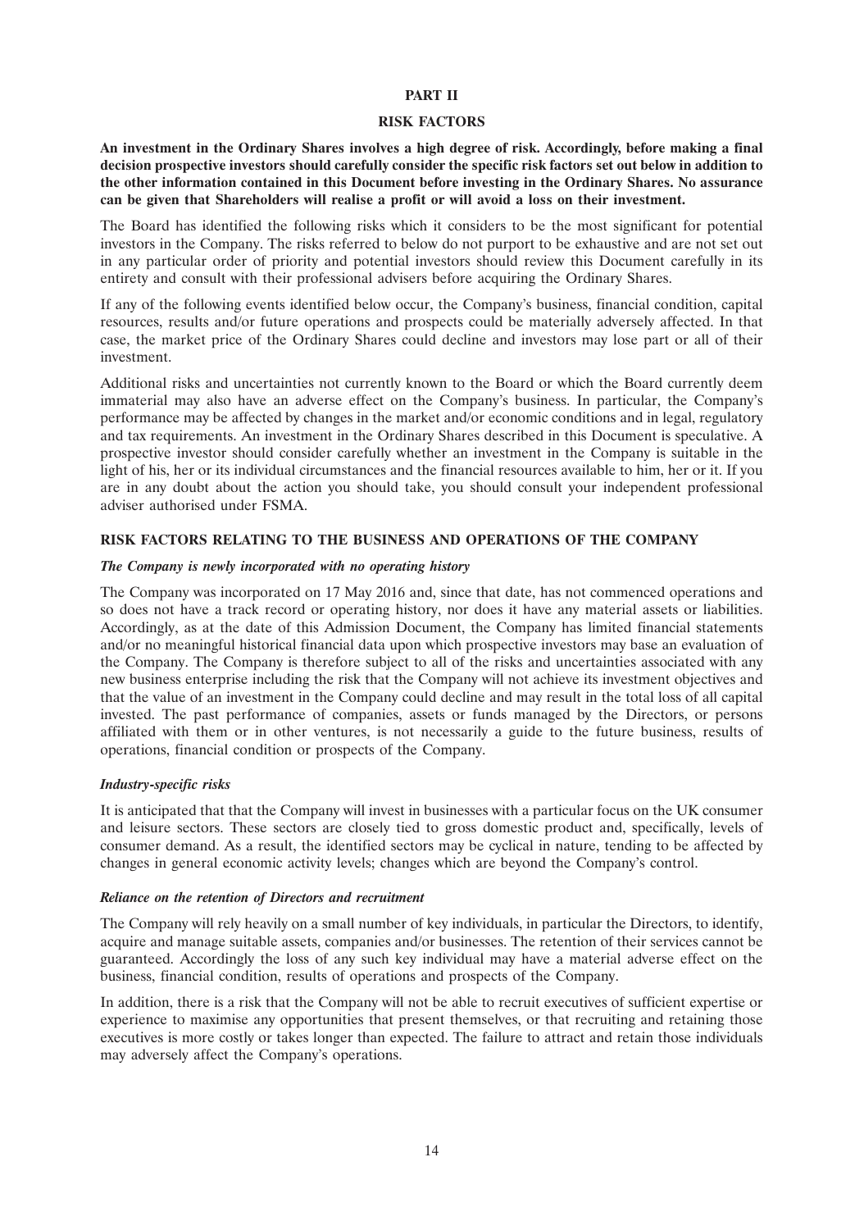# **PART II**

### **RISK FACTORS**

**An investment in the Ordinary Shares involves a high degree of risk. Accordingly, before making a final decision prospective investors should carefully consider the specific risk factors set out below in addition to the other information contained in this Document before investing in the Ordinary Shares. No assurance can be given that Shareholders will realise a profit or will avoid a loss on their investment.**

The Board has identified the following risks which it considers to be the most significant for potential investors in the Company. The risks referred to below do not purport to be exhaustive and are not set out in any particular order of priority and potential investors should review this Document carefully in its entirety and consult with their professional advisers before acquiring the Ordinary Shares.

If any of the following events identified below occur, the Company's business, financial condition, capital resources, results and/or future operations and prospects could be materially adversely affected. In that case, the market price of the Ordinary Shares could decline and investors may lose part or all of their investment.

Additional risks and uncertainties not currently known to the Board or which the Board currently deem immaterial may also have an adverse effect on the Company's business. In particular, the Company's performance may be affected by changes in the market and/or economic conditions and in legal, regulatory and tax requirements. An investment in the Ordinary Shares described in this Document is speculative. A prospective investor should consider carefully whether an investment in the Company is suitable in the light of his, her or its individual circumstances and the financial resources available to him, her or it. If you are in any doubt about the action you should take, you should consult your independent professional adviser authorised under FSMA.

# **RISK FACTORS RELATING TO THE BUSINESS AND OPERATIONS OF THE COMPANY**

### *The Company is newly incorporated with no operating history*

The Company was incorporated on 17 May 2016 and, since that date, has not commenced operations and so does not have a track record or operating history, nor does it have any material assets or liabilities. Accordingly, as at the date of this Admission Document, the Company has limited financial statements and/or no meaningful historical financial data upon which prospective investors may base an evaluation of the Company. The Company is therefore subject to all of the risks and uncertainties associated with any new business enterprise including the risk that the Company will not achieve its investment objectives and that the value of an investment in the Company could decline and may result in the total loss of all capital invested. The past performance of companies, assets or funds managed by the Directors, or persons affiliated with them or in other ventures, is not necessarily a guide to the future business, results of operations, financial condition or prospects of the Company.

# *Industry-specific risks*

It is anticipated that that the Company will invest in businesses with a particular focus on the UK consumer and leisure sectors. These sectors are closely tied to gross domestic product and, specifically, levels of consumer demand. As a result, the identified sectors may be cyclical in nature, tending to be affected by changes in general economic activity levels; changes which are beyond the Company's control.

# *Reliance on the retention of Directors and recruitment*

The Company will rely heavily on a small number of key individuals, in particular the Directors, to identify, acquire and manage suitable assets, companies and/or businesses. The retention of their services cannot be guaranteed. Accordingly the loss of any such key individual may have a material adverse effect on the business, financial condition, results of operations and prospects of the Company.

In addition, there is a risk that the Company will not be able to recruit executives of sufficient expertise or experience to maximise any opportunities that present themselves, or that recruiting and retaining those executives is more costly or takes longer than expected. The failure to attract and retain those individuals may adversely affect the Company's operations.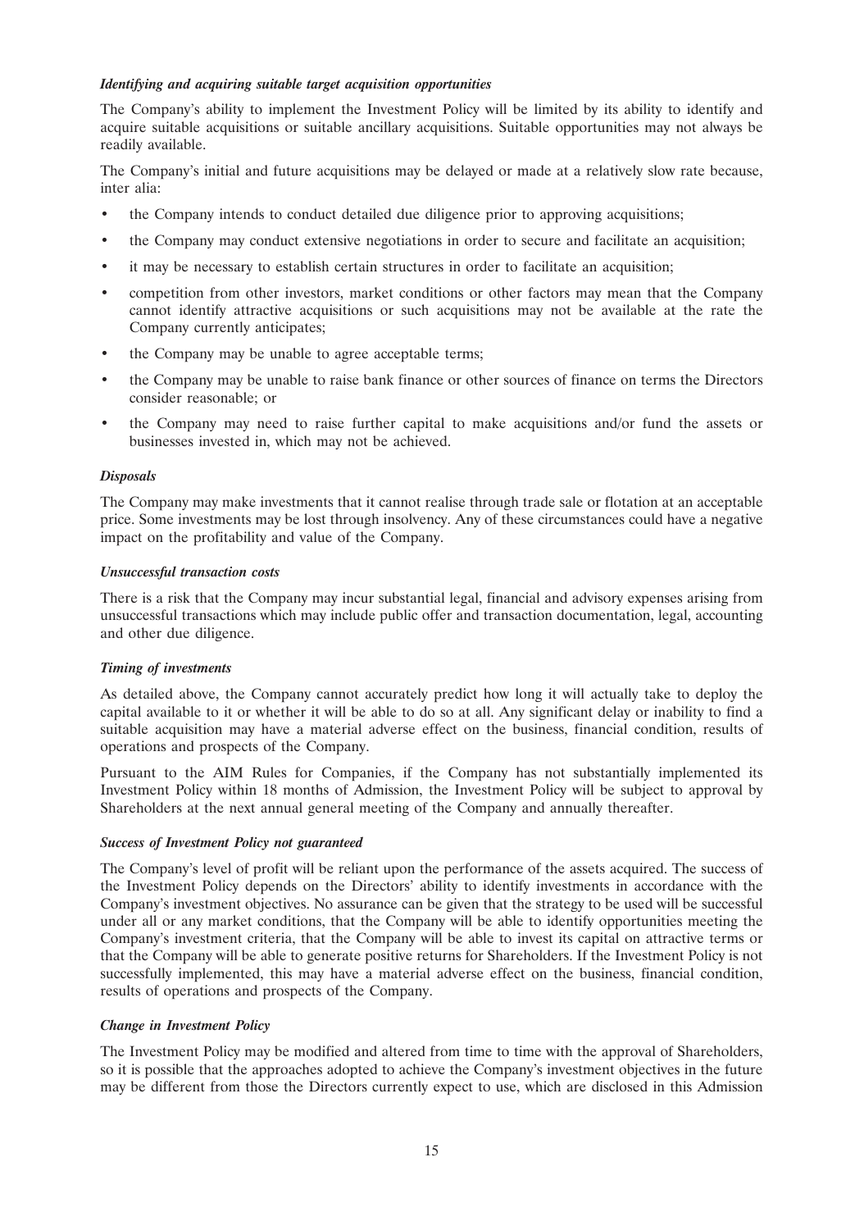# *Identifying and acquiring suitable target acquisition opportunities*

The Company's ability to implement the Investment Policy will be limited by its ability to identify and acquire suitable acquisitions or suitable ancillary acquisitions. Suitable opportunities may not always be readily available.

The Company's initial and future acquisitions may be delayed or made at a relatively slow rate because, inter alia:

- the Company intends to conduct detailed due diligence prior to approving acquisitions;
- the Company may conduct extensive negotiations in order to secure and facilitate an acquisition;
- it may be necessary to establish certain structures in order to facilitate an acquisition;
- competition from other investors, market conditions or other factors may mean that the Company cannot identify attractive acquisitions or such acquisitions may not be available at the rate the Company currently anticipates;
- the Company may be unable to agree acceptable terms;
- the Company may be unable to raise bank finance or other sources of finance on terms the Directors consider reasonable; or
- the Company may need to raise further capital to make acquisitions and/or fund the assets or businesses invested in, which may not be achieved.

# *Disposals*

The Company may make investments that it cannot realise through trade sale or flotation at an acceptable price. Some investments may be lost through insolvency. Any of these circumstances could have a negative impact on the profitability and value of the Company.

# *Unsuccessful transaction costs*

There is a risk that the Company may incur substantial legal, financial and advisory expenses arising from unsuccessful transactions which may include public offer and transaction documentation, legal, accounting and other due diligence.

# *Timing of investments*

As detailed above, the Company cannot accurately predict how long it will actually take to deploy the capital available to it or whether it will be able to do so at all. Any significant delay or inability to find a suitable acquisition may have a material adverse effect on the business, financial condition, results of operations and prospects of the Company.

Pursuant to the AIM Rules for Companies, if the Company has not substantially implemented its Investment Policy within 18 months of Admission, the Investment Policy will be subject to approval by Shareholders at the next annual general meeting of the Company and annually thereafter.

# *Success of Investment Policy not guaranteed*

The Company's level of profit will be reliant upon the performance of the assets acquired. The success of the Investment Policy depends on the Directors' ability to identify investments in accordance with the Company's investment objectives. No assurance can be given that the strategy to be used will be successful under all or any market conditions, that the Company will be able to identify opportunities meeting the Company's investment criteria, that the Company will be able to invest its capital on attractive terms or that the Company will be able to generate positive returns for Shareholders. If the Investment Policy is not successfully implemented, this may have a material adverse effect on the business, financial condition, results of operations and prospects of the Company.

# *Change in Investment Policy*

The Investment Policy may be modified and altered from time to time with the approval of Shareholders, so it is possible that the approaches adopted to achieve the Company's investment objectives in the future may be different from those the Directors currently expect to use, which are disclosed in this Admission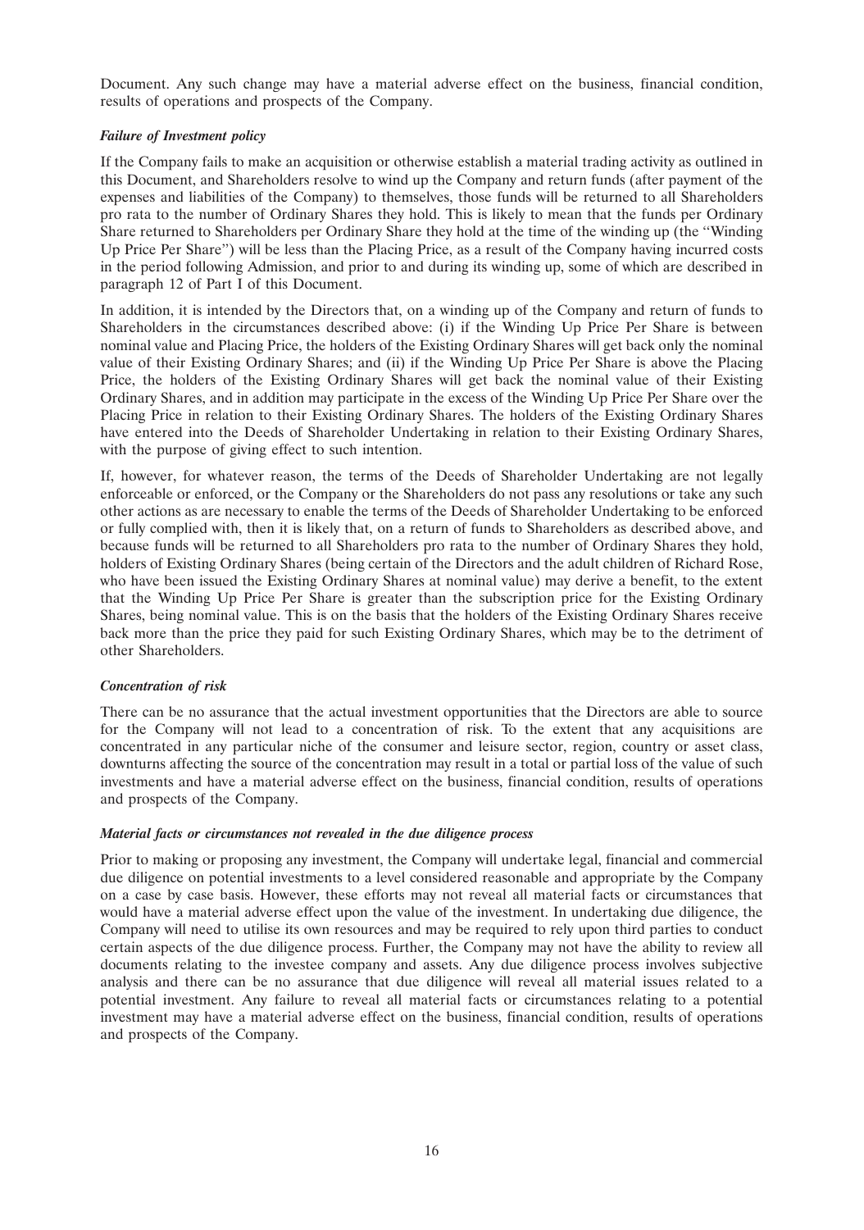Document. Any such change may have a material adverse effect on the business, financial condition, results of operations and prospects of the Company.

# *Failure of Investment policy*

If the Company fails to make an acquisition or otherwise establish a material trading activity as outlined in this Document, and Shareholders resolve to wind up the Company and return funds (after payment of the expenses and liabilities of the Company) to themselves, those funds will be returned to all Shareholders pro rata to the number of Ordinary Shares they hold. This is likely to mean that the funds per Ordinary Share returned to Shareholders per Ordinary Share they hold at the time of the winding up (the ''Winding Up Price Per Share'') will be less than the Placing Price, as a result of the Company having incurred costs in the period following Admission, and prior to and during its winding up, some of which are described in paragraph 12 of Part I of this Document.

In addition, it is intended by the Directors that, on a winding up of the Company and return of funds to Shareholders in the circumstances described above: (i) if the Winding Up Price Per Share is between nominal value and Placing Price, the holders of the Existing Ordinary Shares will get back only the nominal value of their Existing Ordinary Shares; and (ii) if the Winding Up Price Per Share is above the Placing Price, the holders of the Existing Ordinary Shares will get back the nominal value of their Existing Ordinary Shares, and in addition may participate in the excess of the Winding Up Price Per Share over the Placing Price in relation to their Existing Ordinary Shares. The holders of the Existing Ordinary Shares have entered into the Deeds of Shareholder Undertaking in relation to their Existing Ordinary Shares, with the purpose of giving effect to such intention.

If, however, for whatever reason, the terms of the Deeds of Shareholder Undertaking are not legally enforceable or enforced, or the Company or the Shareholders do not pass any resolutions or take any such other actions as are necessary to enable the terms of the Deeds of Shareholder Undertaking to be enforced or fully complied with, then it is likely that, on a return of funds to Shareholders as described above, and because funds will be returned to all Shareholders pro rata to the number of Ordinary Shares they hold, holders of Existing Ordinary Shares (being certain of the Directors and the adult children of Richard Rose, who have been issued the Existing Ordinary Shares at nominal value) may derive a benefit, to the extent that the Winding Up Price Per Share is greater than the subscription price for the Existing Ordinary Shares, being nominal value. This is on the basis that the holders of the Existing Ordinary Shares receive back more than the price they paid for such Existing Ordinary Shares, which may be to the detriment of other Shareholders.

# *Concentration of risk*

There can be no assurance that the actual investment opportunities that the Directors are able to source for the Company will not lead to a concentration of risk. To the extent that any acquisitions are concentrated in any particular niche of the consumer and leisure sector, region, country or asset class, downturns affecting the source of the concentration may result in a total or partial loss of the value of such investments and have a material adverse effect on the business, financial condition, results of operations and prospects of the Company.

# *Material facts or circumstances not revealed in the due diligence process*

Prior to making or proposing any investment, the Company will undertake legal, financial and commercial due diligence on potential investments to a level considered reasonable and appropriate by the Company on a case by case basis. However, these efforts may not reveal all material facts or circumstances that would have a material adverse effect upon the value of the investment. In undertaking due diligence, the Company will need to utilise its own resources and may be required to rely upon third parties to conduct certain aspects of the due diligence process. Further, the Company may not have the ability to review all documents relating to the investee company and assets. Any due diligence process involves subjective analysis and there can be no assurance that due diligence will reveal all material issues related to a potential investment. Any failure to reveal all material facts or circumstances relating to a potential investment may have a material adverse effect on the business, financial condition, results of operations and prospects of the Company.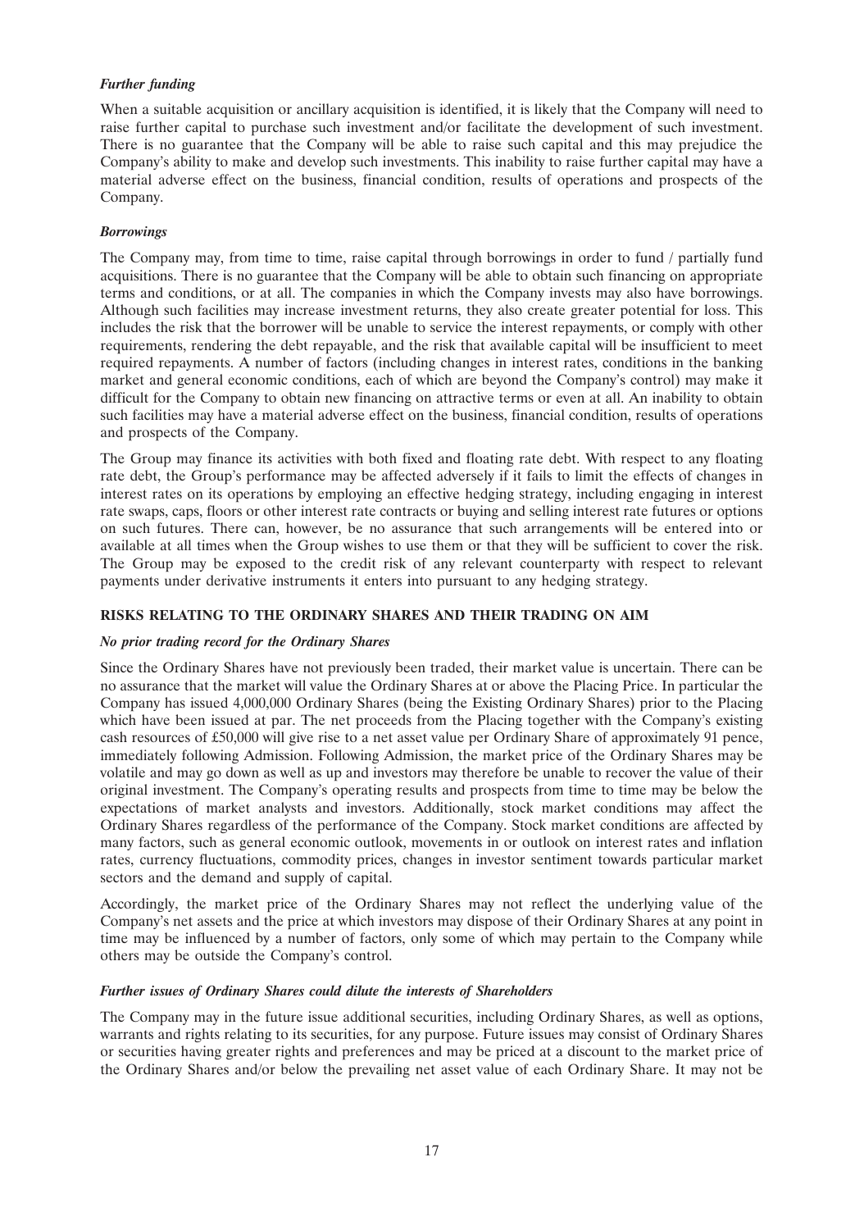# *Further funding*

When a suitable acquisition or ancillary acquisition is identified, it is likely that the Company will need to raise further capital to purchase such investment and/or facilitate the development of such investment. There is no guarantee that the Company will be able to raise such capital and this may prejudice the Company's ability to make and develop such investments. This inability to raise further capital may have a material adverse effect on the business, financial condition, results of operations and prospects of the Company.

# *Borrowings*

The Company may, from time to time, raise capital through borrowings in order to fund / partially fund acquisitions. There is no guarantee that the Company will be able to obtain such financing on appropriate terms and conditions, or at all. The companies in which the Company invests may also have borrowings. Although such facilities may increase investment returns, they also create greater potential for loss. This includes the risk that the borrower will be unable to service the interest repayments, or comply with other requirements, rendering the debt repayable, and the risk that available capital will be insufficient to meet required repayments. A number of factors (including changes in interest rates, conditions in the banking market and general economic conditions, each of which are beyond the Company's control) may make it difficult for the Company to obtain new financing on attractive terms or even at all. An inability to obtain such facilities may have a material adverse effect on the business, financial condition, results of operations and prospects of the Company.

The Group may finance its activities with both fixed and floating rate debt. With respect to any floating rate debt, the Group's performance may be affected adversely if it fails to limit the effects of changes in interest rates on its operations by employing an effective hedging strategy, including engaging in interest rate swaps, caps, floors or other interest rate contracts or buying and selling interest rate futures or options on such futures. There can, however, be no assurance that such arrangements will be entered into or available at all times when the Group wishes to use them or that they will be sufficient to cover the risk. The Group may be exposed to the credit risk of any relevant counterparty with respect to relevant payments under derivative instruments it enters into pursuant to any hedging strategy.

# **RISKS RELATING TO THE ORDINARY SHARES AND THEIR TRADING ON AIM**

# *No prior trading record for the Ordinary Shares*

Since the Ordinary Shares have not previously been traded, their market value is uncertain. There can be no assurance that the market will value the Ordinary Shares at or above the Placing Price. In particular the Company has issued 4,000,000 Ordinary Shares (being the Existing Ordinary Shares) prior to the Placing which have been issued at par. The net proceeds from the Placing together with the Company's existing cash resources of £50,000 will give rise to a net asset value per Ordinary Share of approximately 91 pence, immediately following Admission. Following Admission, the market price of the Ordinary Shares may be volatile and may go down as well as up and investors may therefore be unable to recover the value of their original investment. The Company's operating results and prospects from time to time may be below the expectations of market analysts and investors. Additionally, stock market conditions may affect the Ordinary Shares regardless of the performance of the Company. Stock market conditions are affected by many factors, such as general economic outlook, movements in or outlook on interest rates and inflation rates, currency fluctuations, commodity prices, changes in investor sentiment towards particular market sectors and the demand and supply of capital.

Accordingly, the market price of the Ordinary Shares may not reflect the underlying value of the Company's net assets and the price at which investors may dispose of their Ordinary Shares at any point in time may be influenced by a number of factors, only some of which may pertain to the Company while others may be outside the Company's control.

# *Further issues of Ordinary Shares could dilute the interests of Shareholders*

The Company may in the future issue additional securities, including Ordinary Shares, as well as options, warrants and rights relating to its securities, for any purpose. Future issues may consist of Ordinary Shares or securities having greater rights and preferences and may be priced at a discount to the market price of the Ordinary Shares and/or below the prevailing net asset value of each Ordinary Share. It may not be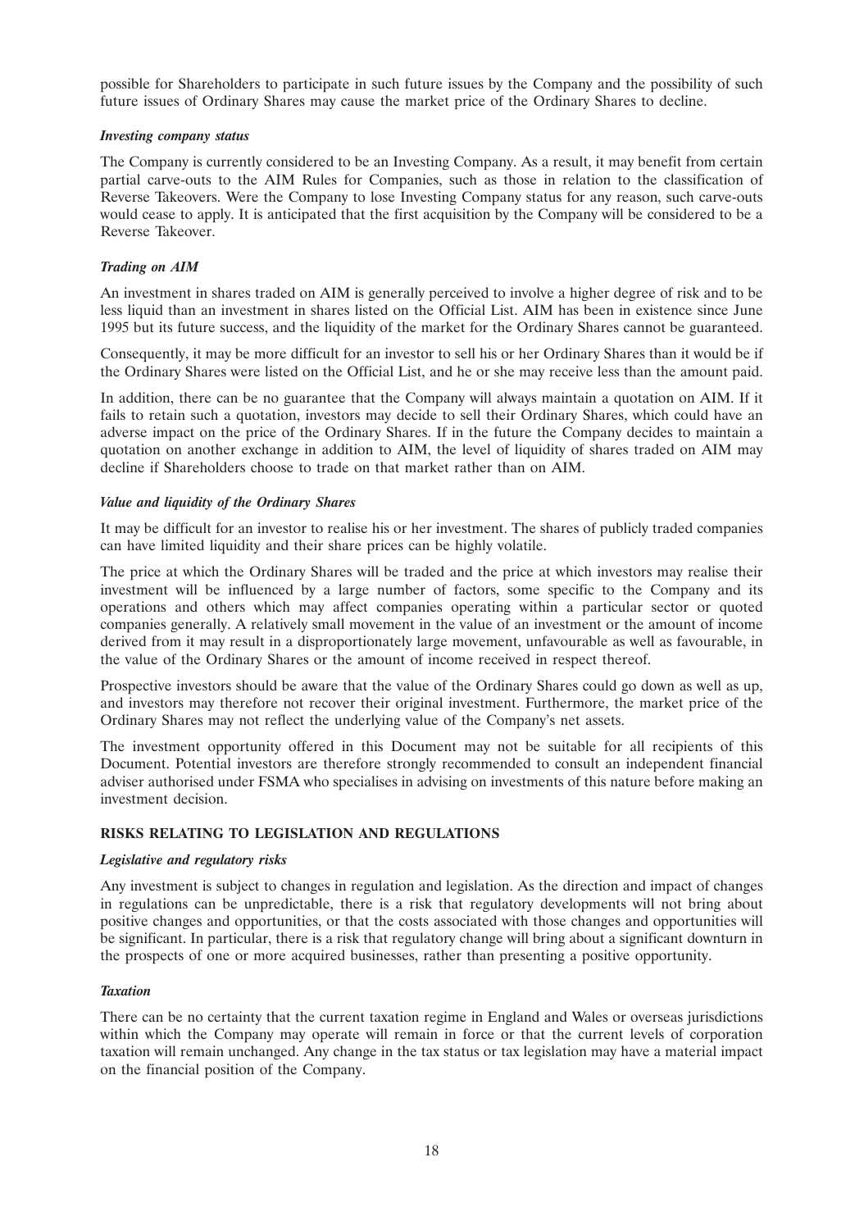possible for Shareholders to participate in such future issues by the Company and the possibility of such future issues of Ordinary Shares may cause the market price of the Ordinary Shares to decline.

# *Investing company status*

The Company is currently considered to be an Investing Company. As a result, it may benefit from certain partial carve-outs to the AIM Rules for Companies, such as those in relation to the classification of Reverse Takeovers. Were the Company to lose Investing Company status for any reason, such carve-outs would cease to apply. It is anticipated that the first acquisition by the Company will be considered to be a Reverse Takeover.

# *Trading on AIM*

An investment in shares traded on AIM is generally perceived to involve a higher degree of risk and to be less liquid than an investment in shares listed on the Official List. AIM has been in existence since June 1995 but its future success, and the liquidity of the market for the Ordinary Shares cannot be guaranteed.

Consequently, it may be more difficult for an investor to sell his or her Ordinary Shares than it would be if the Ordinary Shares were listed on the Official List, and he or she may receive less than the amount paid.

In addition, there can be no guarantee that the Company will always maintain a quotation on AIM. If it fails to retain such a quotation, investors may decide to sell their Ordinary Shares, which could have an adverse impact on the price of the Ordinary Shares. If in the future the Company decides to maintain a quotation on another exchange in addition to AIM, the level of liquidity of shares traded on AIM may decline if Shareholders choose to trade on that market rather than on AIM.

#### *Value and liquidity of the Ordinary Shares*

It may be difficult for an investor to realise his or her investment. The shares of publicly traded companies can have limited liquidity and their share prices can be highly volatile.

The price at which the Ordinary Shares will be traded and the price at which investors may realise their investment will be influenced by a large number of factors, some specific to the Company and its operations and others which may affect companies operating within a particular sector or quoted companies generally. A relatively small movement in the value of an investment or the amount of income derived from it may result in a disproportionately large movement, unfavourable as well as favourable, in the value of the Ordinary Shares or the amount of income received in respect thereof.

Prospective investors should be aware that the value of the Ordinary Shares could go down as well as up, and investors may therefore not recover their original investment. Furthermore, the market price of the Ordinary Shares may not reflect the underlying value of the Company's net assets.

The investment opportunity offered in this Document may not be suitable for all recipients of this Document. Potential investors are therefore strongly recommended to consult an independent financial adviser authorised under FSMA who specialises in advising on investments of this nature before making an investment decision.

# **RISKS RELATING TO LEGISLATION AND REGULATIONS**

# *Legislative and regulatory risks*

Any investment is subject to changes in regulation and legislation. As the direction and impact of changes in regulations can be unpredictable, there is a risk that regulatory developments will not bring about positive changes and opportunities, or that the costs associated with those changes and opportunities will be significant. In particular, there is a risk that regulatory change will bring about a significant downturn in the prospects of one or more acquired businesses, rather than presenting a positive opportunity.

# *Taxation*

There can be no certainty that the current taxation regime in England and Wales or overseas jurisdictions within which the Company may operate will remain in force or that the current levels of corporation taxation will remain unchanged. Any change in the tax status or tax legislation may have a material impact on the financial position of the Company.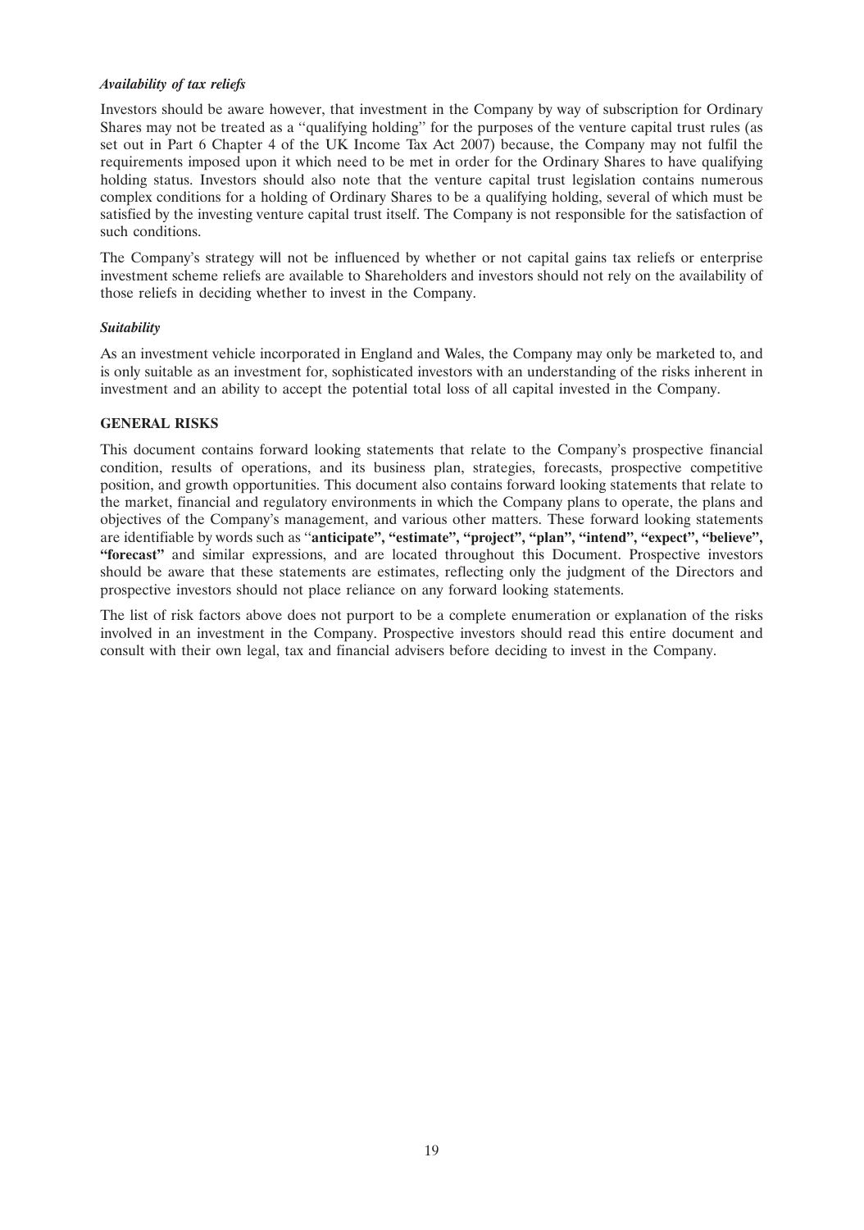# *Availability of tax reliefs*

Investors should be aware however, that investment in the Company by way of subscription for Ordinary Shares may not be treated as a ''qualifying holding'' for the purposes of the venture capital trust rules (as set out in Part 6 Chapter 4 of the UK Income Tax Act 2007) because, the Company may not fulfil the requirements imposed upon it which need to be met in order for the Ordinary Shares to have qualifying holding status. Investors should also note that the venture capital trust legislation contains numerous complex conditions for a holding of Ordinary Shares to be a qualifying holding, several of which must be satisfied by the investing venture capital trust itself. The Company is not responsible for the satisfaction of such conditions.

The Company's strategy will not be influenced by whether or not capital gains tax reliefs or enterprise investment scheme reliefs are available to Shareholders and investors should not rely on the availability of those reliefs in deciding whether to invest in the Company.

#### *Suitability*

As an investment vehicle incorporated in England and Wales, the Company may only be marketed to, and is only suitable as an investment for, sophisticated investors with an understanding of the risks inherent in investment and an ability to accept the potential total loss of all capital invested in the Company.

#### **GENERAL RISKS**

This document contains forward looking statements that relate to the Company's prospective financial condition, results of operations, and its business plan, strategies, forecasts, prospective competitive position, and growth opportunities. This document also contains forward looking statements that relate to the market, financial and regulatory environments in which the Company plans to operate, the plans and objectives of the Company's management, and various other matters. These forward looking statements are identifiable by words such as ''**anticipate'', ''estimate'', ''project'', ''plan'', ''intend'', ''expect'', ''believe'', ''forecast''** and similar expressions, and are located throughout this Document. Prospective investors should be aware that these statements are estimates, reflecting only the judgment of the Directors and prospective investors should not place reliance on any forward looking statements.

The list of risk factors above does not purport to be a complete enumeration or explanation of the risks involved in an investment in the Company. Prospective investors should read this entire document and consult with their own legal, tax and financial advisers before deciding to invest in the Company.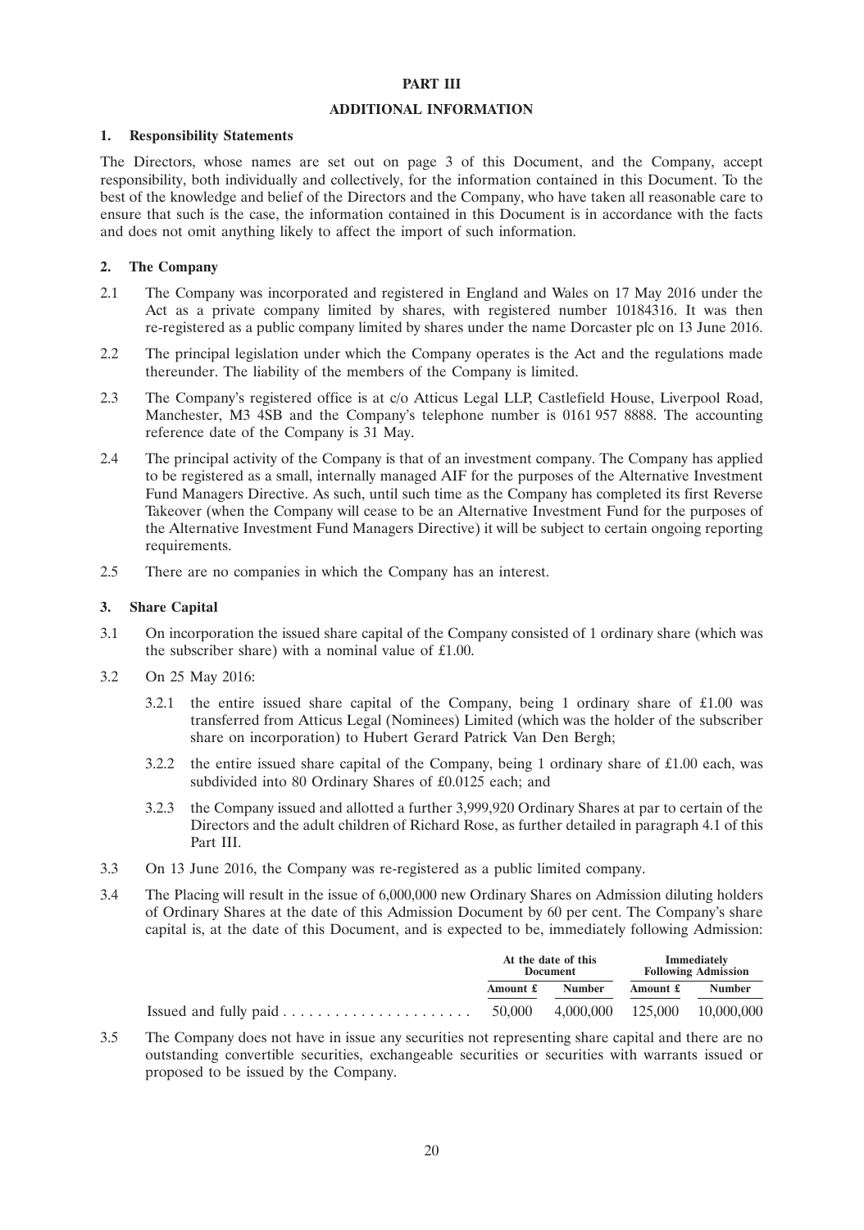#### **PART III**

### **ADDITIONAL INFORMATION**

#### **1. Responsibility Statements**

The Directors, whose names are set out on page 3 of this Document, and the Company, accept responsibility, both individually and collectively, for the information contained in this Document. To the best of the knowledge and belief of the Directors and the Company, who have taken all reasonable care to ensure that such is the case, the information contained in this Document is in accordance with the facts and does not omit anything likely to affect the import of such information.

# **2. The Company**

- 2.1 The Company was incorporated and registered in England and Wales on 17 May 2016 under the Act as a private company limited by shares, with registered number 10184316. It was then re-registered as a public company limited by shares under the name Dorcaster plc on 13 June 2016.
- 2.2 The principal legislation under which the Company operates is the Act and the regulations made thereunder. The liability of the members of the Company is limited.
- 2.3 The Company's registered office is at c/o Atticus Legal LLP, Castlefield House, Liverpool Road, Manchester, M3 4SB and the Company's telephone number is 0161 957 8888. The accounting reference date of the Company is 31 May.
- 2.4 The principal activity of the Company is that of an investment company. The Company has applied to be registered as a small, internally managed AIF for the purposes of the Alternative Investment Fund Managers Directive. As such, until such time as the Company has completed its first Reverse Takeover (when the Company will cease to be an Alternative Investment Fund for the purposes of the Alternative Investment Fund Managers Directive) it will be subject to certain ongoing reporting requirements.
- 2.5 There are no companies in which the Company has an interest.

#### **3. Share Capital**

- 3.1 On incorporation the issued share capital of the Company consisted of 1 ordinary share (which was the subscriber share) with a nominal value of £1.00.
- 3.2 On 25 May 2016:
	- 3.2.1 the entire issued share capital of the Company, being 1 ordinary share of £1.00 was transferred from Atticus Legal (Nominees) Limited (which was the holder of the subscriber share on incorporation) to Hubert Gerard Patrick Van Den Bergh;
	- 3.2.2 the entire issued share capital of the Company, being 1 ordinary share of £1.00 each, was subdivided into 80 Ordinary Shares of £0.0125 each; and
	- 3.2.3 the Company issued and allotted a further 3,999,920 Ordinary Shares at par to certain of the Directors and the adult children of Richard Rose, as further detailed in paragraph 4.1 of this Part III.
- 3.3 On 13 June 2016, the Company was re-registered as a public limited company.
- 3.4 The Placing will result in the issue of 6,000,000 new Ordinary Shares on Admission diluting holders of Ordinary Shares at the date of this Admission Document by 60 per cent. The Company's share capital is, at the date of this Document, and is expected to be, immediately following Admission:

|                                                                   | At the date of this<br>Document |               | Immediately<br><b>Following Admission</b> |                              |
|-------------------------------------------------------------------|---------------------------------|---------------|-------------------------------------------|------------------------------|
|                                                                   | Amount £                        | <b>Number</b> | Amount £                                  | <b>Number</b>                |
| Issued and fully paid $\dots \dots \dots \dots \dots \dots \dots$ | 50,000                          |               |                                           | 4,000,000 125,000 10,000,000 |

3.5 The Company does not have in issue any securities not representing share capital and there are no outstanding convertible securities, exchangeable securities or securities with warrants issued or proposed to be issued by the Company.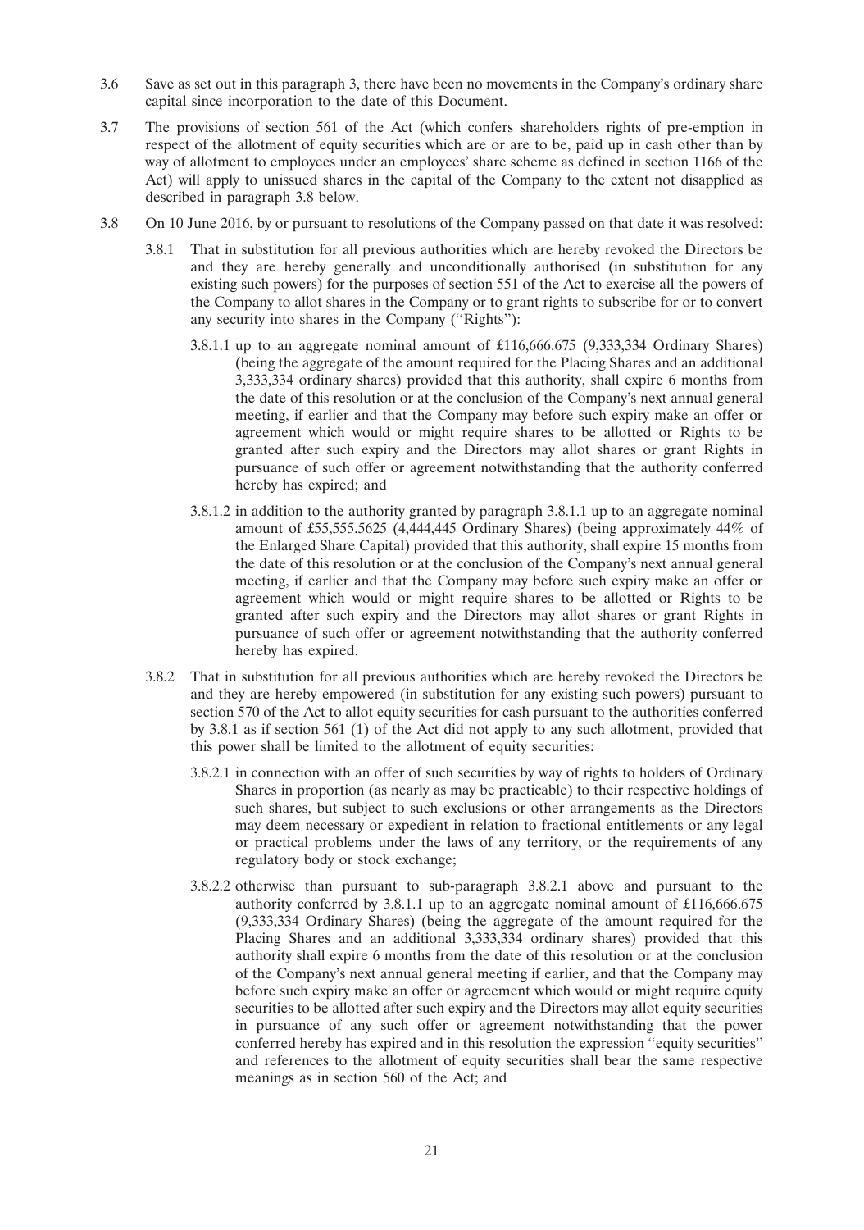- 3.6 Save as set out in this paragraph 3, there have been no movements in the Company's ordinary share capital since incorporation to the date of this Document.
- 3.7 The provisions of section 561 of the Act (which confers shareholders rights of pre-emption in respect of the allotment of equity securities which are or are to be, paid up in cash other than by way of allotment to employees under an employees' share scheme as defined in section 1166 of the Act) will apply to unissued shares in the capital of the Company to the extent not disapplied as described in paragraph 3.8 below.
- 3.8 On 10 June 2016, by or pursuant to resolutions of the Company passed on that date it was resolved:
	- 3.8.1 That in substitution for all previous authorities which are hereby revoked the Directors be and they are hereby generally and unconditionally authorised (in substitution for any existing such powers) for the purposes of section 551 of the Act to exercise all the powers of the Company to allot shares in the Company or to grant rights to subscribe for or to convert any security into shares in the Company (''Rights''):
		- 3.8.1.1 up to an aggregate nominal amount of £116,666.675 (9,333,334 Ordinary Shares) (being the aggregate of the amount required for the Placing Shares and an additional 3,333,334 ordinary shares) provided that this authority, shall expire 6 months from the date of this resolution or at the conclusion of the Company's next annual general meeting, if earlier and that the Company may before such expiry make an offer or agreement which would or might require shares to be allotted or Rights to be granted after such expiry and the Directors may allot shares or grant Rights in pursuance of such offer or agreement notwithstanding that the authority conferred hereby has expired; and
		- 3.8.1.2 in addition to the authority granted by paragraph 3.8.1.1 up to an aggregate nominal amount of £55,555.5625 (4,444,445 Ordinary Shares) (being approximately 44% of the Enlarged Share Capital) provided that this authority, shall expire 15 months from the date of this resolution or at the conclusion of the Company's next annual general meeting, if earlier and that the Company may before such expiry make an offer or agreement which would or might require shares to be allotted or Rights to be granted after such expiry and the Directors may allot shares or grant Rights in pursuance of such offer or agreement notwithstanding that the authority conferred hereby has expired.
	- 3.8.2 That in substitution for all previous authorities which are hereby revoked the Directors be and they are hereby empowered (in substitution for any existing such powers) pursuant to section 570 of the Act to allot equity securities for cash pursuant to the authorities conferred by 3.8.1 as if section 561 (1) of the Act did not apply to any such allotment, provided that this power shall be limited to the allotment of equity securities:
		- 3.8.2.1 in connection with an offer of such securities by way of rights to holders of Ordinary Shares in proportion (as nearly as may be practicable) to their respective holdings of such shares, but subject to such exclusions or other arrangements as the Directors may deem necessary or expedient in relation to fractional entitlements or any legal or practical problems under the laws of any territory, or the requirements of any regulatory body or stock exchange;
		- 3.8.2.2 otherwise than pursuant to sub-paragraph 3.8.2.1 above and pursuant to the authority conferred by 3.8.1.1 up to an aggregate nominal amount of £116,666.675 (9,333,334 Ordinary Shares) (being the aggregate of the amount required for the Placing Shares and an additional 3,333,334 ordinary shares) provided that this authority shall expire 6 months from the date of this resolution or at the conclusion of the Company's next annual general meeting if earlier, and that the Company may before such expiry make an offer or agreement which would or might require equity securities to be allotted after such expiry and the Directors may allot equity securities in pursuance of any such offer or agreement notwithstanding that the power conferred hereby has expired and in this resolution the expression ''equity securities'' and references to the allotment of equity securities shall bear the same respective meanings as in section 560 of the Act; and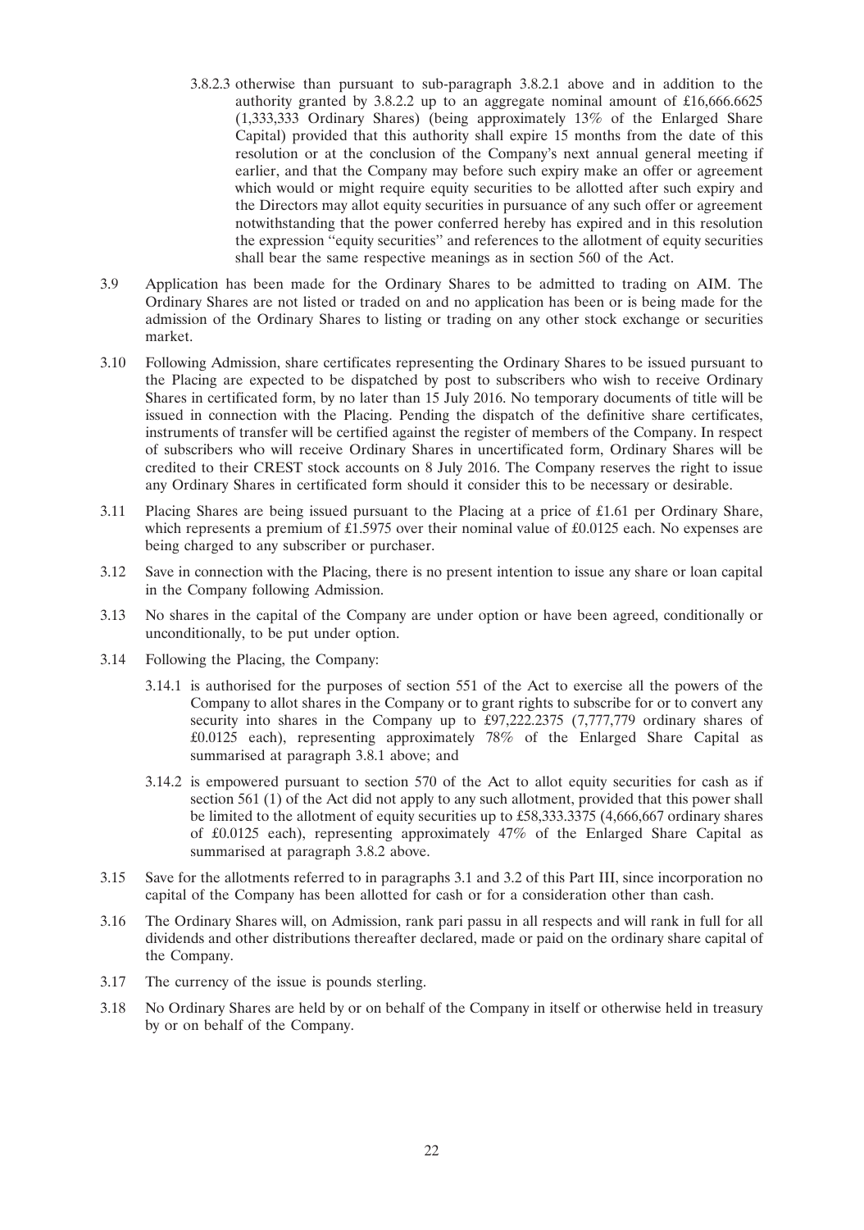- 3.8.2.3 otherwise than pursuant to sub-paragraph 3.8.2.1 above and in addition to the authority granted by 3.8.2.2 up to an aggregate nominal amount of £16,666.6625 (1,333,333 Ordinary Shares) (being approximately 13% of the Enlarged Share Capital) provided that this authority shall expire 15 months from the date of this resolution or at the conclusion of the Company's next annual general meeting if earlier, and that the Company may before such expiry make an offer or agreement which would or might require equity securities to be allotted after such expiry and the Directors may allot equity securities in pursuance of any such offer or agreement notwithstanding that the power conferred hereby has expired and in this resolution the expression ''equity securities'' and references to the allotment of equity securities shall bear the same respective meanings as in section 560 of the Act.
- 3.9 Application has been made for the Ordinary Shares to be admitted to trading on AIM. The Ordinary Shares are not listed or traded on and no application has been or is being made for the admission of the Ordinary Shares to listing or trading on any other stock exchange or securities market.
- 3.10 Following Admission, share certificates representing the Ordinary Shares to be issued pursuant to the Placing are expected to be dispatched by post to subscribers who wish to receive Ordinary Shares in certificated form, by no later than 15 July 2016. No temporary documents of title will be issued in connection with the Placing. Pending the dispatch of the definitive share certificates, instruments of transfer will be certified against the register of members of the Company. In respect of subscribers who will receive Ordinary Shares in uncertificated form, Ordinary Shares will be credited to their CREST stock accounts on 8 July 2016. The Company reserves the right to issue any Ordinary Shares in certificated form should it consider this to be necessary or desirable.
- 3.11 Placing Shares are being issued pursuant to the Placing at a price of £1.61 per Ordinary Share, which represents a premium of £1.5975 over their nominal value of £0.0125 each. No expenses are being charged to any subscriber or purchaser.
- 3.12 Save in connection with the Placing, there is no present intention to issue any share or loan capital in the Company following Admission.
- 3.13 No shares in the capital of the Company are under option or have been agreed, conditionally or unconditionally, to be put under option.
- 3.14 Following the Placing, the Company:
	- 3.14.1 is authorised for the purposes of section 551 of the Act to exercise all the powers of the Company to allot shares in the Company or to grant rights to subscribe for or to convert any security into shares in the Company up to £97,222.2375 (7,777,779 ordinary shares of £0.0125 each), representing approximately 78% of the Enlarged Share Capital as summarised at paragraph 3.8.1 above; and
	- 3.14.2 is empowered pursuant to section 570 of the Act to allot equity securities for cash as if section 561 (1) of the Act did not apply to any such allotment, provided that this power shall be limited to the allotment of equity securities up to £58,333.3375 (4,666,667 ordinary shares of £0.0125 each), representing approximately 47% of the Enlarged Share Capital as summarised at paragraph 3.8.2 above.
- 3.15 Save for the allotments referred to in paragraphs 3.1 and 3.2 of this Part III, since incorporation no capital of the Company has been allotted for cash or for a consideration other than cash.
- 3.16 The Ordinary Shares will, on Admission, rank pari passu in all respects and will rank in full for all dividends and other distributions thereafter declared, made or paid on the ordinary share capital of the Company.
- 3.17 The currency of the issue is pounds sterling.
- 3.18 No Ordinary Shares are held by or on behalf of the Company in itself or otherwise held in treasury by or on behalf of the Company.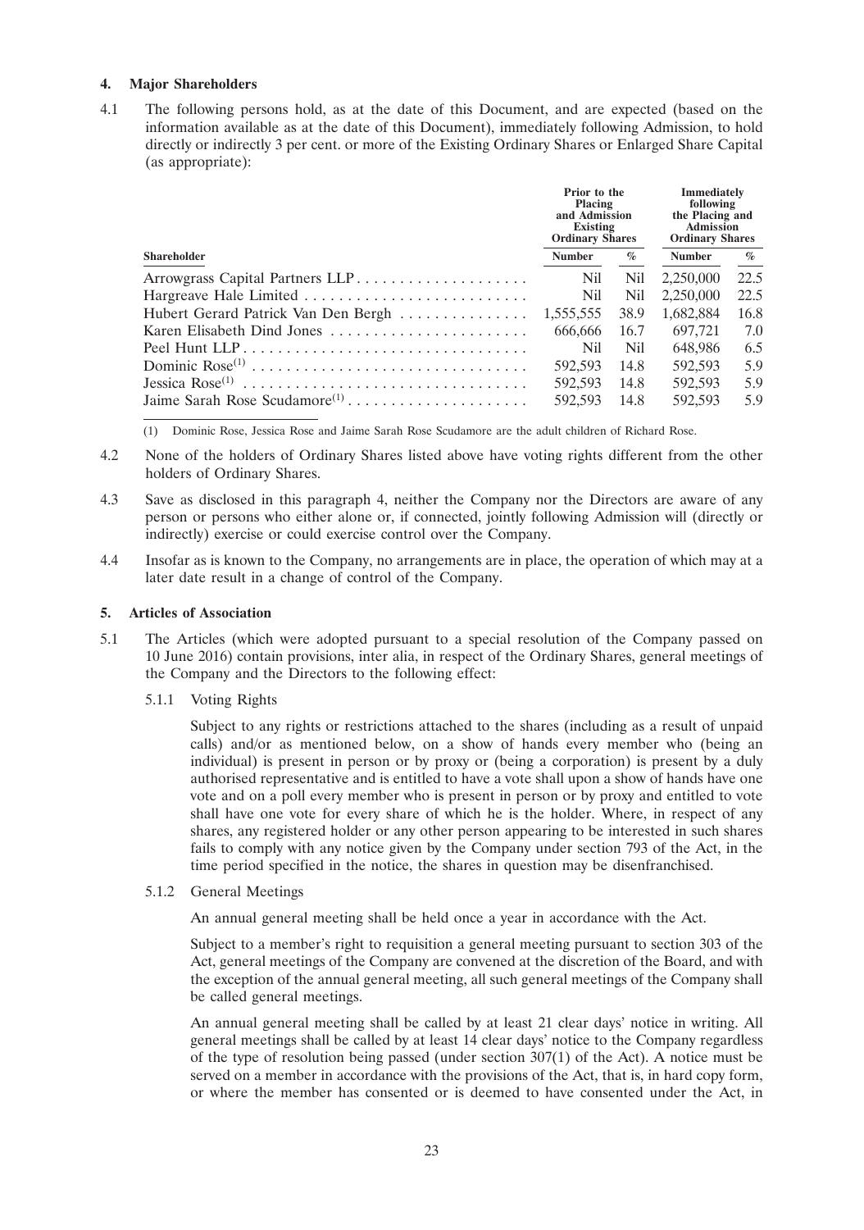# **4. Major Shareholders**

4.1 The following persons hold, as at the date of this Document, and are expected (based on the information available as at the date of this Document), immediately following Admission, to hold directly or indirectly 3 per cent. or more of the Existing Ordinary Shares or Enlarged Share Capital (as appropriate):

|                             | Prior to the<br><b>Placing</b><br>and Admission<br>Existing<br><b>Ordinary Shares</b> |            | <b>Immediately</b><br>following<br>the Placing and<br><b>Admission</b><br><b>Ordinary Shares</b> |      |
|-----------------------------|---------------------------------------------------------------------------------------|------------|--------------------------------------------------------------------------------------------------|------|
| <b>Shareholder</b>          | <b>Number</b>                                                                         | $\%$       | <b>Number</b>                                                                                    | $\%$ |
|                             | <b>Nil</b>                                                                            | <b>Nil</b> | 2,250,000                                                                                        | 22.5 |
| Hargreave Hale Limited      | <b>Nil</b>                                                                            | Nil.       | 2,250,000                                                                                        | 22.5 |
|                             |                                                                                       | 38.9       | 1,682,884                                                                                        | 16.8 |
| Karen Elisabeth Dind Jones  | 666.666                                                                               | 16.7       | 697,721                                                                                          | 7.0  |
| Peel Hunt LLP               | Nil                                                                                   | Nil        | 648,986                                                                                          | 6.5  |
| Dominic Rose <sup>(1)</sup> | 592.593                                                                               | 14.8       | 592,593                                                                                          | 5.9  |
|                             | 592,593                                                                               | 14.8       | 592.593                                                                                          | 5.9  |
|                             | 592,593                                                                               | - 14.8     | 592.593                                                                                          | 5.9  |

(1) Dominic Rose, Jessica Rose and Jaime Sarah Rose Scudamore are the adult children of Richard Rose.

- 4.2 None of the holders of Ordinary Shares listed above have voting rights different from the other holders of Ordinary Shares.
- 4.3 Save as disclosed in this paragraph 4, neither the Company nor the Directors are aware of any person or persons who either alone or, if connected, jointly following Admission will (directly or indirectly) exercise or could exercise control over the Company.
- 4.4 Insofar as is known to the Company, no arrangements are in place, the operation of which may at a later date result in a change of control of the Company.

### **5. Articles of Association**

- 5.1 The Articles (which were adopted pursuant to a special resolution of the Company passed on 10 June 2016) contain provisions, inter alia, in respect of the Ordinary Shares, general meetings of the Company and the Directors to the following effect:
	- 5.1.1 Voting Rights

Subject to any rights or restrictions attached to the shares (including as a result of unpaid calls) and/or as mentioned below, on a show of hands every member who (being an individual) is present in person or by proxy or (being a corporation) is present by a duly authorised representative and is entitled to have a vote shall upon a show of hands have one vote and on a poll every member who is present in person or by proxy and entitled to vote shall have one vote for every share of which he is the holder. Where, in respect of any shares, any registered holder or any other person appearing to be interested in such shares fails to comply with any notice given by the Company under section 793 of the Act, in the time period specified in the notice, the shares in question may be disenfranchised.

5.1.2 General Meetings

An annual general meeting shall be held once a year in accordance with the Act.

Subject to a member's right to requisition a general meeting pursuant to section 303 of the Act, general meetings of the Company are convened at the discretion of the Board, and with the exception of the annual general meeting, all such general meetings of the Company shall be called general meetings.

An annual general meeting shall be called by at least 21 clear days' notice in writing. All general meetings shall be called by at least 14 clear days' notice to the Company regardless of the type of resolution being passed (under section 307(1) of the Act). A notice must be served on a member in accordance with the provisions of the Act, that is, in hard copy form, or where the member has consented or is deemed to have consented under the Act, in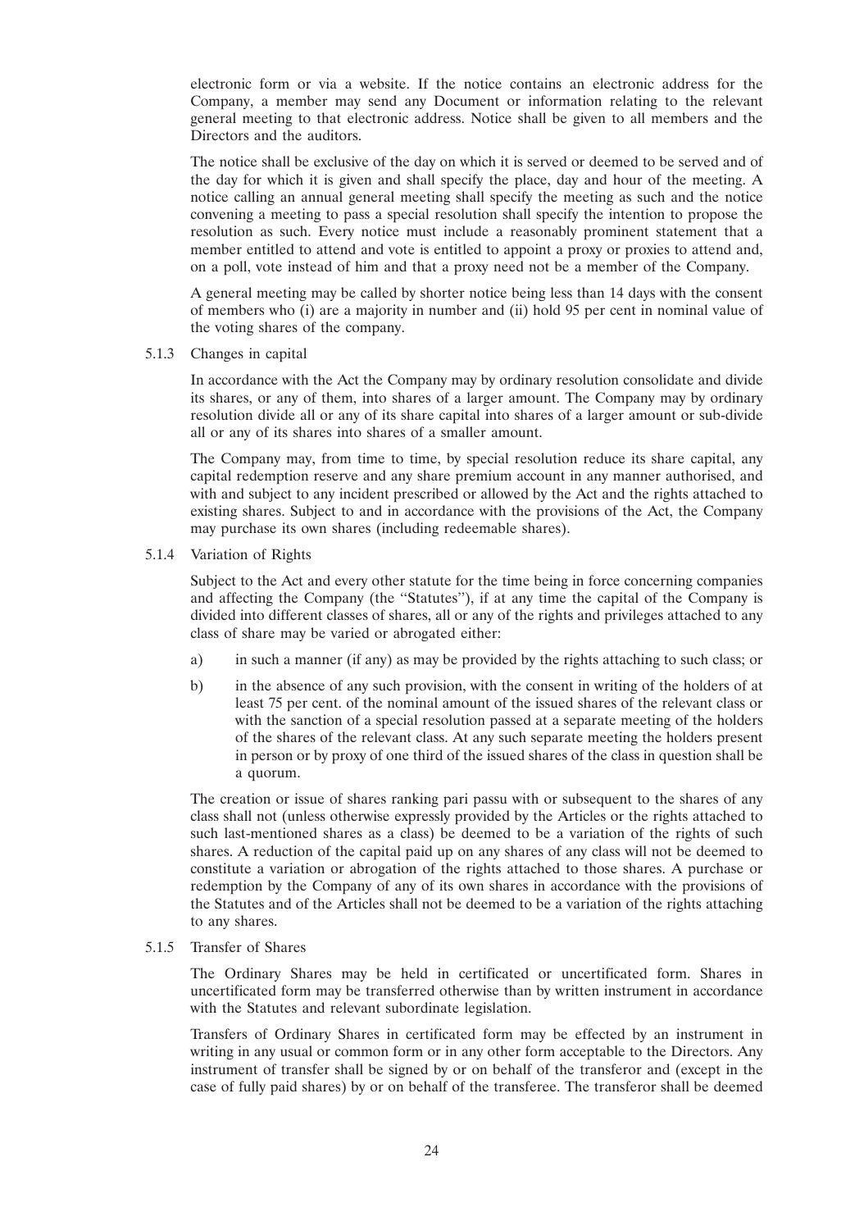electronic form or via a website. If the notice contains an electronic address for the Company, a member may send any Document or information relating to the relevant general meeting to that electronic address. Notice shall be given to all members and the Directors and the auditors.

The notice shall be exclusive of the day on which it is served or deemed to be served and of the day for which it is given and shall specify the place, day and hour of the meeting. A notice calling an annual general meeting shall specify the meeting as such and the notice convening a meeting to pass a special resolution shall specify the intention to propose the resolution as such. Every notice must include a reasonably prominent statement that a member entitled to attend and vote is entitled to appoint a proxy or proxies to attend and, on a poll, vote instead of him and that a proxy need not be a member of the Company.

A general meeting may be called by shorter notice being less than 14 days with the consent of members who (i) are a majority in number and (ii) hold 95 per cent in nominal value of the voting shares of the company.

5.1.3 Changes in capital

In accordance with the Act the Company may by ordinary resolution consolidate and divide its shares, or any of them, into shares of a larger amount. The Company may by ordinary resolution divide all or any of its share capital into shares of a larger amount or sub-divide all or any of its shares into shares of a smaller amount.

The Company may, from time to time, by special resolution reduce its share capital, any capital redemption reserve and any share premium account in any manner authorised, and with and subject to any incident prescribed or allowed by the Act and the rights attached to existing shares. Subject to and in accordance with the provisions of the Act, the Company may purchase its own shares (including redeemable shares).

5.1.4 Variation of Rights

Subject to the Act and every other statute for the time being in force concerning companies and affecting the Company (the ''Statutes''), if at any time the capital of the Company is divided into different classes of shares, all or any of the rights and privileges attached to any class of share may be varied or abrogated either:

- a) in such a manner (if any) as may be provided by the rights attaching to such class; or
- b) in the absence of any such provision, with the consent in writing of the holders of at least 75 per cent. of the nominal amount of the issued shares of the relevant class or with the sanction of a special resolution passed at a separate meeting of the holders of the shares of the relevant class. At any such separate meeting the holders present in person or by proxy of one third of the issued shares of the class in question shall be a quorum.

The creation or issue of shares ranking pari passu with or subsequent to the shares of any class shall not (unless otherwise expressly provided by the Articles or the rights attached to such last-mentioned shares as a class) be deemed to be a variation of the rights of such shares. A reduction of the capital paid up on any shares of any class will not be deemed to constitute a variation or abrogation of the rights attached to those shares. A purchase or redemption by the Company of any of its own shares in accordance with the provisions of the Statutes and of the Articles shall not be deemed to be a variation of the rights attaching to any shares.

5.1.5 Transfer of Shares

The Ordinary Shares may be held in certificated or uncertificated form. Shares in uncertificated form may be transferred otherwise than by written instrument in accordance with the Statutes and relevant subordinate legislation.

Transfers of Ordinary Shares in certificated form may be effected by an instrument in writing in any usual or common form or in any other form acceptable to the Directors. Any instrument of transfer shall be signed by or on behalf of the transferor and (except in the case of fully paid shares) by or on behalf of the transferee. The transferor shall be deemed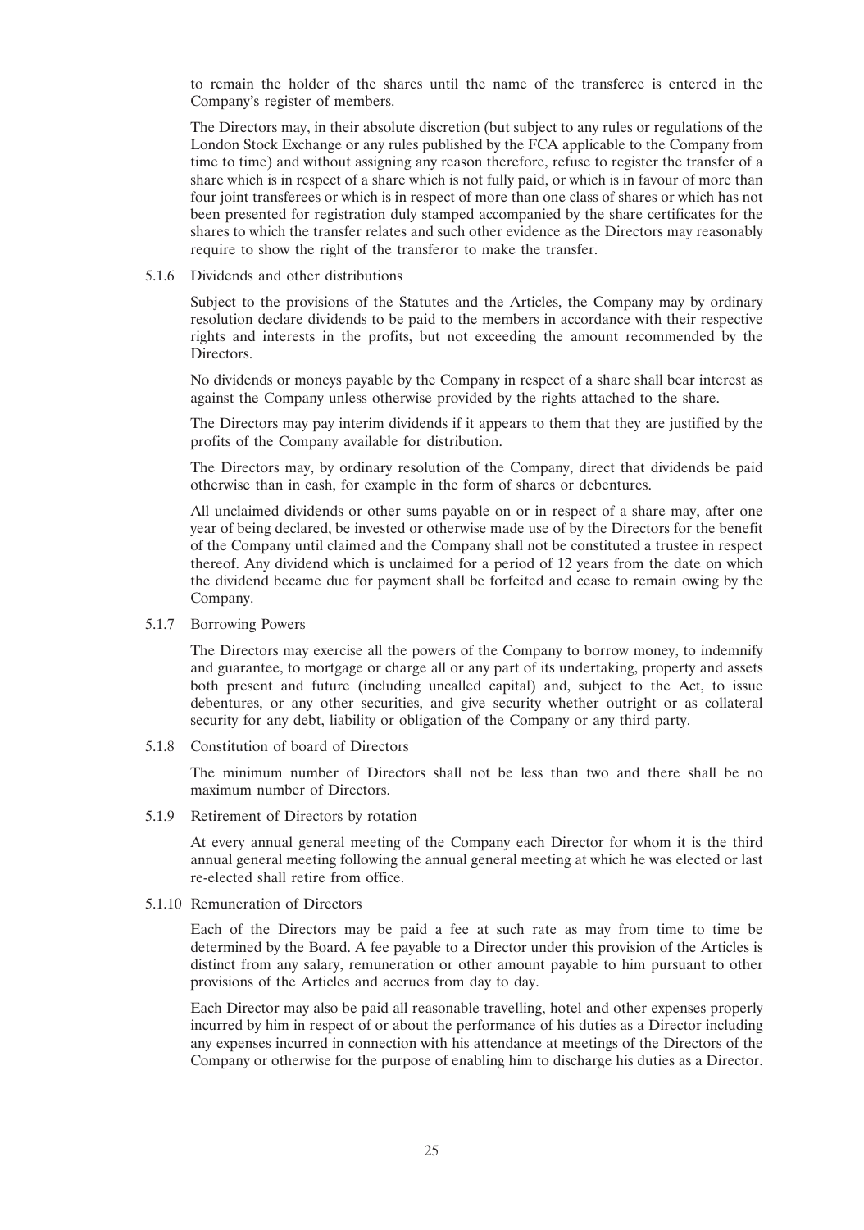to remain the holder of the shares until the name of the transferee is entered in the Company's register of members.

The Directors may, in their absolute discretion (but subject to any rules or regulations of the London Stock Exchange or any rules published by the FCA applicable to the Company from time to time) and without assigning any reason therefore, refuse to register the transfer of a share which is in respect of a share which is not fully paid, or which is in favour of more than four joint transferees or which is in respect of more than one class of shares or which has not been presented for registration duly stamped accompanied by the share certificates for the shares to which the transfer relates and such other evidence as the Directors may reasonably require to show the right of the transferor to make the transfer.

#### 5.1.6 Dividends and other distributions

Subject to the provisions of the Statutes and the Articles, the Company may by ordinary resolution declare dividends to be paid to the members in accordance with their respective rights and interests in the profits, but not exceeding the amount recommended by the Directors.

No dividends or moneys payable by the Company in respect of a share shall bear interest as against the Company unless otherwise provided by the rights attached to the share.

The Directors may pay interim dividends if it appears to them that they are justified by the profits of the Company available for distribution.

The Directors may, by ordinary resolution of the Company, direct that dividends be paid otherwise than in cash, for example in the form of shares or debentures.

All unclaimed dividends or other sums payable on or in respect of a share may, after one year of being declared, be invested or otherwise made use of by the Directors for the benefit of the Company until claimed and the Company shall not be constituted a trustee in respect thereof. Any dividend which is unclaimed for a period of 12 years from the date on which the dividend became due for payment shall be forfeited and cease to remain owing by the Company.

### 5.1.7 Borrowing Powers

The Directors may exercise all the powers of the Company to borrow money, to indemnify and guarantee, to mortgage or charge all or any part of its undertaking, property and assets both present and future (including uncalled capital) and, subject to the Act, to issue debentures, or any other securities, and give security whether outright or as collateral security for any debt, liability or obligation of the Company or any third party.

5.1.8 Constitution of board of Directors

The minimum number of Directors shall not be less than two and there shall be no maximum number of Directors.

5.1.9 Retirement of Directors by rotation

At every annual general meeting of the Company each Director for whom it is the third annual general meeting following the annual general meeting at which he was elected or last re-elected shall retire from office.

5.1.10 Remuneration of Directors

Each of the Directors may be paid a fee at such rate as may from time to time be determined by the Board. A fee payable to a Director under this provision of the Articles is distinct from any salary, remuneration or other amount payable to him pursuant to other provisions of the Articles and accrues from day to day.

Each Director may also be paid all reasonable travelling, hotel and other expenses properly incurred by him in respect of or about the performance of his duties as a Director including any expenses incurred in connection with his attendance at meetings of the Directors of the Company or otherwise for the purpose of enabling him to discharge his duties as a Director.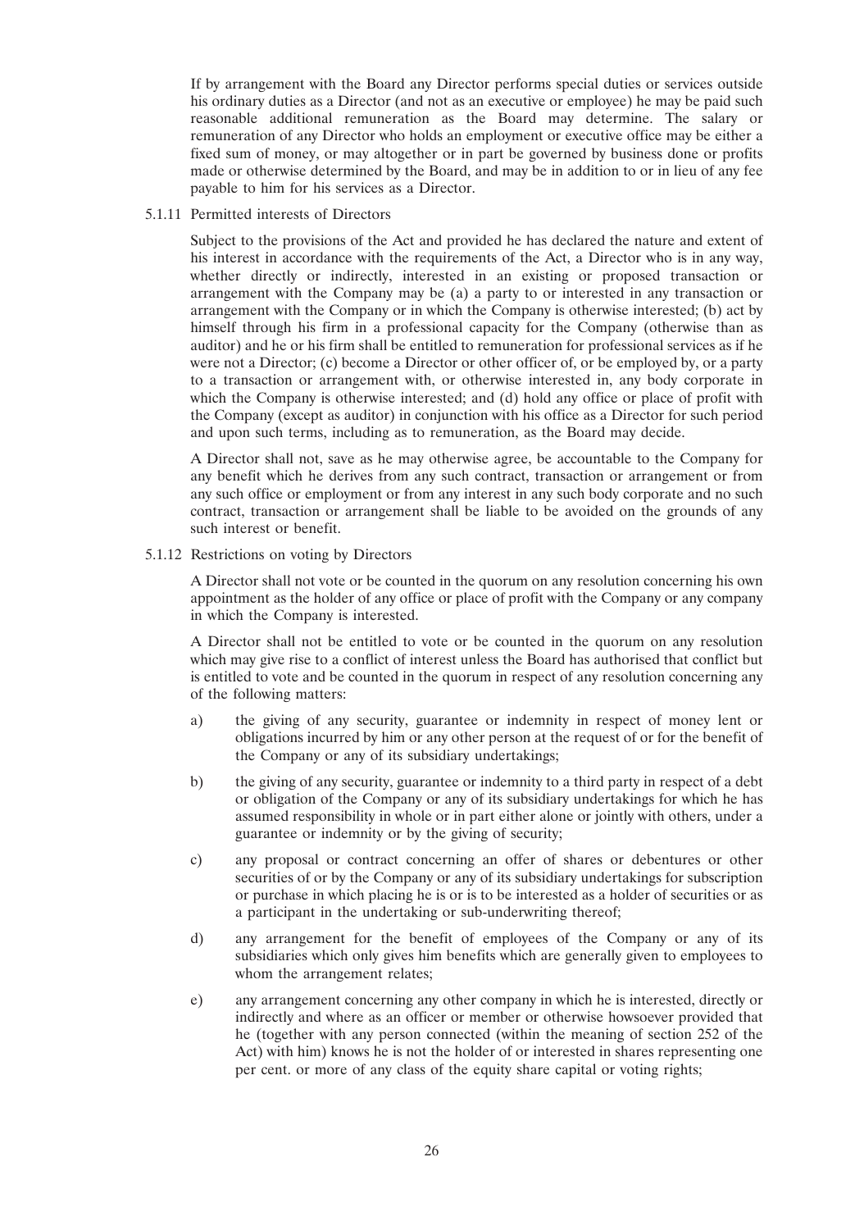If by arrangement with the Board any Director performs special duties or services outside his ordinary duties as a Director (and not as an executive or employee) he may be paid such reasonable additional remuneration as the Board may determine. The salary or remuneration of any Director who holds an employment or executive office may be either a fixed sum of money, or may altogether or in part be governed by business done or profits made or otherwise determined by the Board, and may be in addition to or in lieu of any fee payable to him for his services as a Director.

5.1.11 Permitted interests of Directors

Subject to the provisions of the Act and provided he has declared the nature and extent of his interest in accordance with the requirements of the Act, a Director who is in any way, whether directly or indirectly, interested in an existing or proposed transaction or arrangement with the Company may be (a) a party to or interested in any transaction or arrangement with the Company or in which the Company is otherwise interested; (b) act by himself through his firm in a professional capacity for the Company (otherwise than as auditor) and he or his firm shall be entitled to remuneration for professional services as if he were not a Director; (c) become a Director or other officer of, or be employed by, or a party to a transaction or arrangement with, or otherwise interested in, any body corporate in which the Company is otherwise interested; and (d) hold any office or place of profit with the Company (except as auditor) in conjunction with his office as a Director for such period and upon such terms, including as to remuneration, as the Board may decide.

A Director shall not, save as he may otherwise agree, be accountable to the Company for any benefit which he derives from any such contract, transaction or arrangement or from any such office or employment or from any interest in any such body corporate and no such contract, transaction or arrangement shall be liable to be avoided on the grounds of any such interest or benefit.

5.1.12 Restrictions on voting by Directors

A Director shall not vote or be counted in the quorum on any resolution concerning his own appointment as the holder of any office or place of profit with the Company or any company in which the Company is interested.

A Director shall not be entitled to vote or be counted in the quorum on any resolution which may give rise to a conflict of interest unless the Board has authorised that conflict but is entitled to vote and be counted in the quorum in respect of any resolution concerning any of the following matters:

- a) the giving of any security, guarantee or indemnity in respect of money lent or obligations incurred by him or any other person at the request of or for the benefit of the Company or any of its subsidiary undertakings;
- b) the giving of any security, guarantee or indemnity to a third party in respect of a debt or obligation of the Company or any of its subsidiary undertakings for which he has assumed responsibility in whole or in part either alone or jointly with others, under a guarantee or indemnity or by the giving of security;
- c) any proposal or contract concerning an offer of shares or debentures or other securities of or by the Company or any of its subsidiary undertakings for subscription or purchase in which placing he is or is to be interested as a holder of securities or as a participant in the undertaking or sub-underwriting thereof;
- d) any arrangement for the benefit of employees of the Company or any of its subsidiaries which only gives him benefits which are generally given to employees to whom the arrangement relates;
- e) any arrangement concerning any other company in which he is interested, directly or indirectly and where as an officer or member or otherwise howsoever provided that he (together with any person connected (within the meaning of section 252 of the Act) with him) knows he is not the holder of or interested in shares representing one per cent. or more of any class of the equity share capital or voting rights;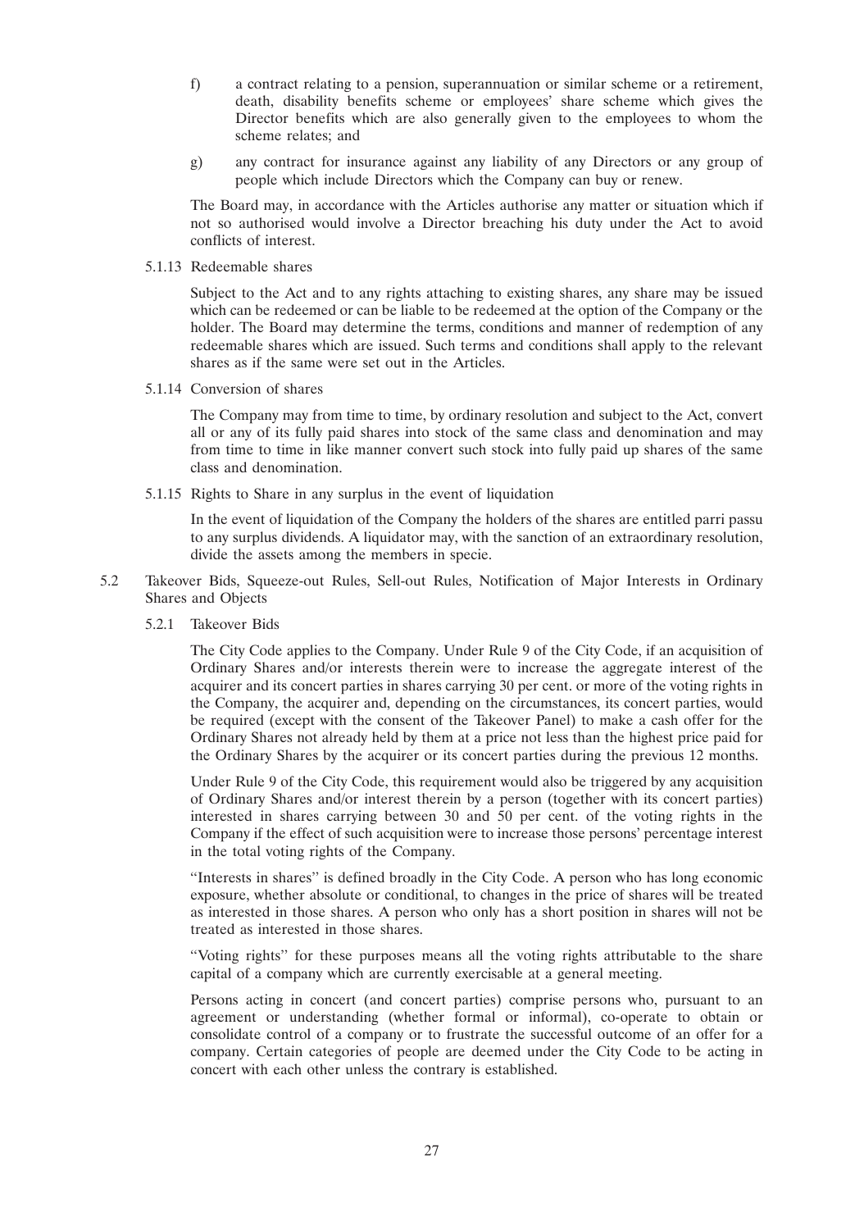- f) a contract relating to a pension, superannuation or similar scheme or a retirement, death, disability benefits scheme or employees' share scheme which gives the Director benefits which are also generally given to the employees to whom the scheme relates; and
- g) any contract for insurance against any liability of any Directors or any group of people which include Directors which the Company can buy or renew.

The Board may, in accordance with the Articles authorise any matter or situation which if not so authorised would involve a Director breaching his duty under the Act to avoid conflicts of interest.

5.1.13 Redeemable shares

Subject to the Act and to any rights attaching to existing shares, any share may be issued which can be redeemed or can be liable to be redeemed at the option of the Company or the holder. The Board may determine the terms, conditions and manner of redemption of any redeemable shares which are issued. Such terms and conditions shall apply to the relevant shares as if the same were set out in the Articles.

5.1.14 Conversion of shares

The Company may from time to time, by ordinary resolution and subject to the Act, convert all or any of its fully paid shares into stock of the same class and denomination and may from time to time in like manner convert such stock into fully paid up shares of the same class and denomination.

5.1.15 Rights to Share in any surplus in the event of liquidation

In the event of liquidation of the Company the holders of the shares are entitled parri passu to any surplus dividends. A liquidator may, with the sanction of an extraordinary resolution, divide the assets among the members in specie.

- 5.2 Takeover Bids, Squeeze-out Rules, Sell-out Rules, Notification of Major Interests in Ordinary Shares and Objects
	- 5.2.1 Takeover Bids

The City Code applies to the Company. Under Rule 9 of the City Code, if an acquisition of Ordinary Shares and/or interests therein were to increase the aggregate interest of the acquirer and its concert parties in shares carrying 30 per cent. or more of the voting rights in the Company, the acquirer and, depending on the circumstances, its concert parties, would be required (except with the consent of the Takeover Panel) to make a cash offer for the Ordinary Shares not already held by them at a price not less than the highest price paid for the Ordinary Shares by the acquirer or its concert parties during the previous 12 months.

Under Rule 9 of the City Code, this requirement would also be triggered by any acquisition of Ordinary Shares and/or interest therein by a person (together with its concert parties) interested in shares carrying between 30 and 50 per cent. of the voting rights in the Company if the effect of such acquisition were to increase those persons' percentage interest in the total voting rights of the Company.

''Interests in shares'' is defined broadly in the City Code. A person who has long economic exposure, whether absolute or conditional, to changes in the price of shares will be treated as interested in those shares. A person who only has a short position in shares will not be treated as interested in those shares.

''Voting rights'' for these purposes means all the voting rights attributable to the share capital of a company which are currently exercisable at a general meeting.

Persons acting in concert (and concert parties) comprise persons who, pursuant to an agreement or understanding (whether formal or informal), co-operate to obtain or consolidate control of a company or to frustrate the successful outcome of an offer for a company. Certain categories of people are deemed under the City Code to be acting in concert with each other unless the contrary is established.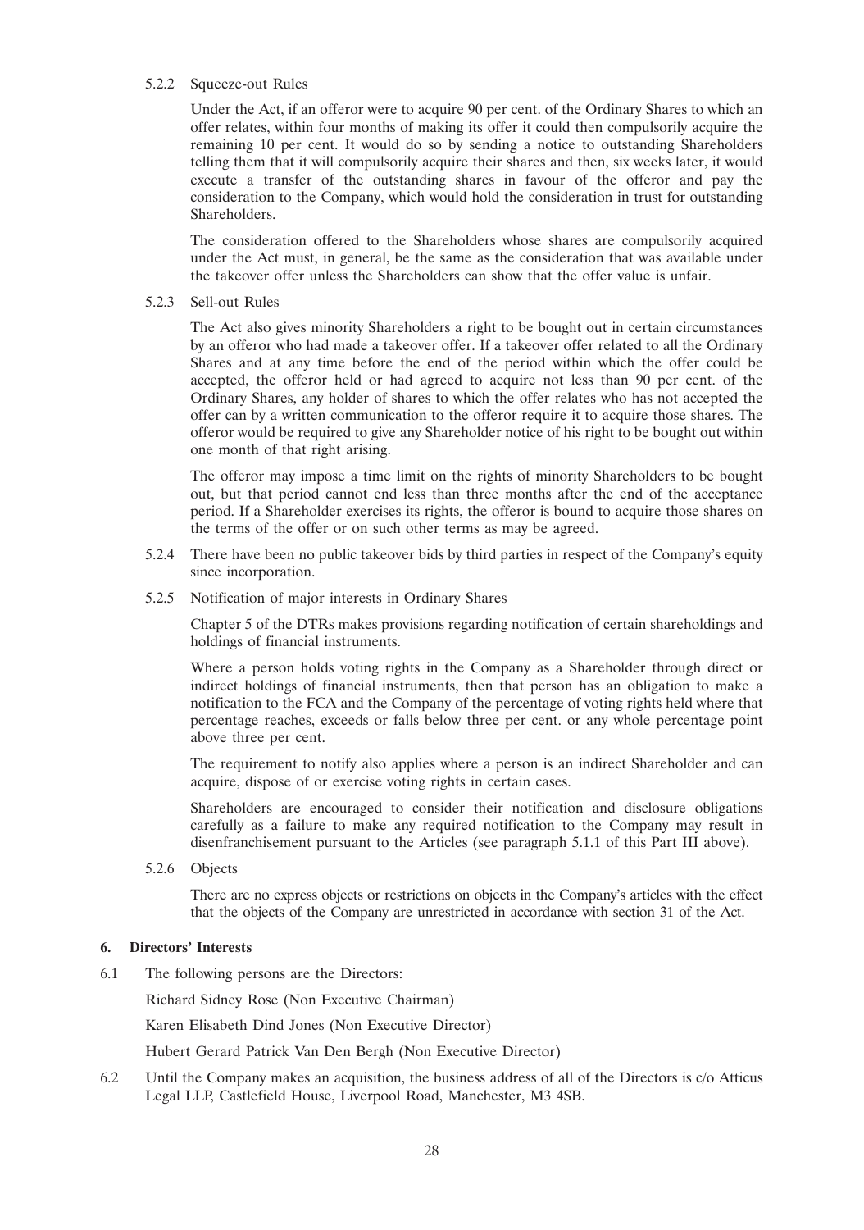# 5.2.2 Squeeze-out Rules

Under the Act, if an offeror were to acquire 90 per cent. of the Ordinary Shares to which an offer relates, within four months of making its offer it could then compulsorily acquire the remaining 10 per cent. It would do so by sending a notice to outstanding Shareholders telling them that it will compulsorily acquire their shares and then, six weeks later, it would execute a transfer of the outstanding shares in favour of the offeror and pay the consideration to the Company, which would hold the consideration in trust for outstanding Shareholders.

The consideration offered to the Shareholders whose shares are compulsorily acquired under the Act must, in general, be the same as the consideration that was available under the takeover offer unless the Shareholders can show that the offer value is unfair.

5.2.3 Sell-out Rules

The Act also gives minority Shareholders a right to be bought out in certain circumstances by an offeror who had made a takeover offer. If a takeover offer related to all the Ordinary Shares and at any time before the end of the period within which the offer could be accepted, the offeror held or had agreed to acquire not less than 90 per cent. of the Ordinary Shares, any holder of shares to which the offer relates who has not accepted the offer can by a written communication to the offeror require it to acquire those shares. The offeror would be required to give any Shareholder notice of his right to be bought out within one month of that right arising.

The offeror may impose a time limit on the rights of minority Shareholders to be bought out, but that period cannot end less than three months after the end of the acceptance period. If a Shareholder exercises its rights, the offeror is bound to acquire those shares on the terms of the offer or on such other terms as may be agreed.

- 5.2.4 There have been no public takeover bids by third parties in respect of the Company's equity since incorporation.
- 5.2.5 Notification of major interests in Ordinary Shares

Chapter 5 of the DTRs makes provisions regarding notification of certain shareholdings and holdings of financial instruments.

Where a person holds voting rights in the Company as a Shareholder through direct or indirect holdings of financial instruments, then that person has an obligation to make a notification to the FCA and the Company of the percentage of voting rights held where that percentage reaches, exceeds or falls below three per cent. or any whole percentage point above three per cent.

The requirement to notify also applies where a person is an indirect Shareholder and can acquire, dispose of or exercise voting rights in certain cases.

Shareholders are encouraged to consider their notification and disclosure obligations carefully as a failure to make any required notification to the Company may result in disenfranchisement pursuant to the Articles (see paragraph 5.1.1 of this Part III above).

5.2.6 Objects

There are no express objects or restrictions on objects in the Company's articles with the effect that the objects of the Company are unrestricted in accordance with section 31 of the Act.

# **6. Directors' Interests**

6.1 The following persons are the Directors:

Richard Sidney Rose (Non Executive Chairman)

Karen Elisabeth Dind Jones (Non Executive Director)

Hubert Gerard Patrick Van Den Bergh (Non Executive Director)

6.2 Until the Company makes an acquisition, the business address of all of the Directors is c/o Atticus Legal LLP, Castlefield House, Liverpool Road, Manchester, M3 4SB.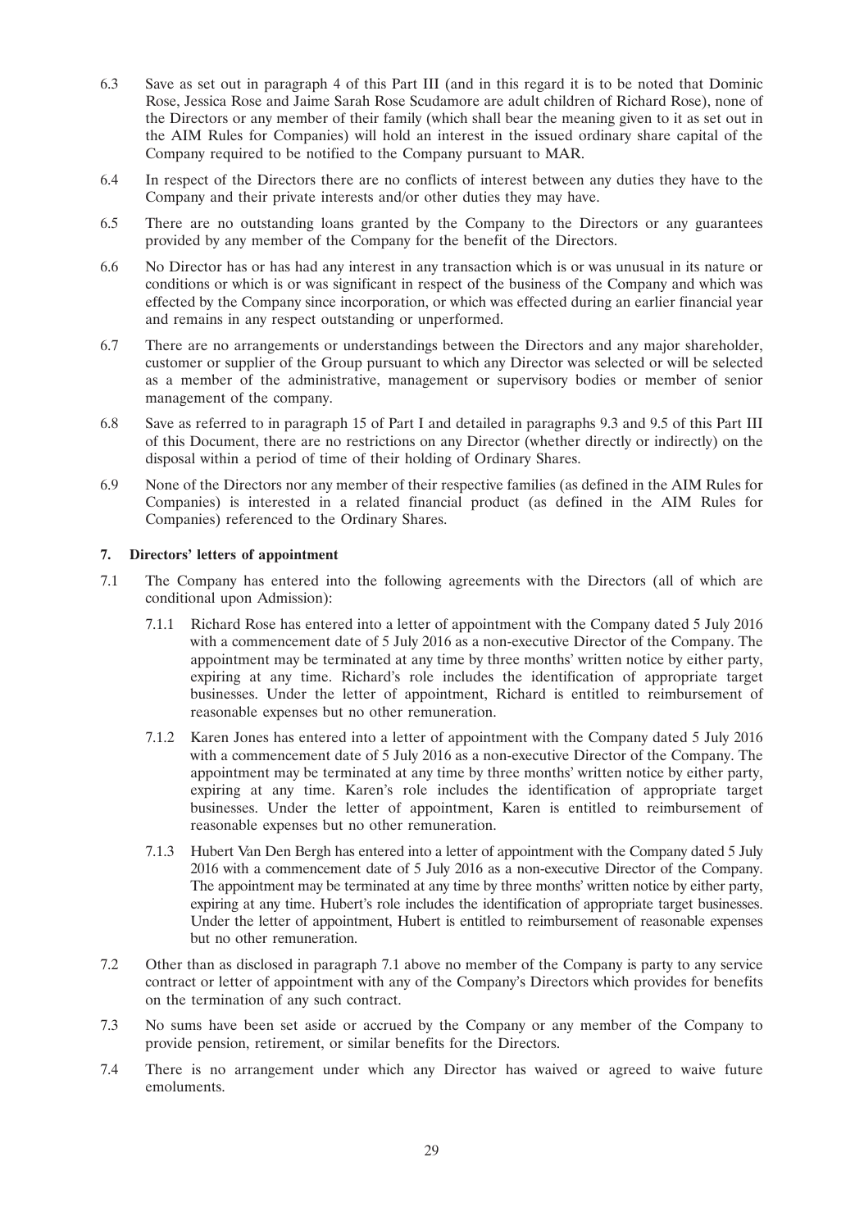- 6.3 Save as set out in paragraph 4 of this Part III (and in this regard it is to be noted that Dominic Rose, Jessica Rose and Jaime Sarah Rose Scudamore are adult children of Richard Rose), none of the Directors or any member of their family (which shall bear the meaning given to it as set out in the AIM Rules for Companies) will hold an interest in the issued ordinary share capital of the Company required to be notified to the Company pursuant to MAR.
- 6.4 In respect of the Directors there are no conflicts of interest between any duties they have to the Company and their private interests and/or other duties they may have.
- 6.5 There are no outstanding loans granted by the Company to the Directors or any guarantees provided by any member of the Company for the benefit of the Directors.
- 6.6 No Director has or has had any interest in any transaction which is or was unusual in its nature or conditions or which is or was significant in respect of the business of the Company and which was effected by the Company since incorporation, or which was effected during an earlier financial year and remains in any respect outstanding or unperformed.
- 6.7 There are no arrangements or understandings between the Directors and any major shareholder, customer or supplier of the Group pursuant to which any Director was selected or will be selected as a member of the administrative, management or supervisory bodies or member of senior management of the company.
- 6.8 Save as referred to in paragraph 15 of Part I and detailed in paragraphs 9.3 and 9.5 of this Part III of this Document, there are no restrictions on any Director (whether directly or indirectly) on the disposal within a period of time of their holding of Ordinary Shares.
- 6.9 None of the Directors nor any member of their respective families (as defined in the AIM Rules for Companies) is interested in a related financial product (as defined in the AIM Rules for Companies) referenced to the Ordinary Shares.

# **7. Directors' letters of appointment**

- 7.1 The Company has entered into the following agreements with the Directors (all of which are conditional upon Admission):
	- 7.1.1 Richard Rose has entered into a letter of appointment with the Company dated 5 July 2016 with a commencement date of 5 July 2016 as a non-executive Director of the Company. The appointment may be terminated at any time by three months' written notice by either party, expiring at any time. Richard's role includes the identification of appropriate target businesses. Under the letter of appointment, Richard is entitled to reimbursement of reasonable expenses but no other remuneration.
	- 7.1.2 Karen Jones has entered into a letter of appointment with the Company dated 5 July 2016 with a commencement date of 5 July 2016 as a non-executive Director of the Company. The appointment may be terminated at any time by three months' written notice by either party, expiring at any time. Karen's role includes the identification of appropriate target businesses. Under the letter of appointment, Karen is entitled to reimbursement of reasonable expenses but no other remuneration.
	- 7.1.3 Hubert Van Den Bergh has entered into a letter of appointment with the Company dated 5 July 2016 with a commencement date of 5 July 2016 as a non-executive Director of the Company. The appointment may be terminated at any time by three months' written notice by either party, expiring at any time. Hubert's role includes the identification of appropriate target businesses. Under the letter of appointment, Hubert is entitled to reimbursement of reasonable expenses but no other remuneration.
- 7.2 Other than as disclosed in paragraph 7.1 above no member of the Company is party to any service contract or letter of appointment with any of the Company's Directors which provides for benefits on the termination of any such contract.
- 7.3 No sums have been set aside or accrued by the Company or any member of the Company to provide pension, retirement, or similar benefits for the Directors.
- 7.4 There is no arrangement under which any Director has waived or agreed to waive future emoluments.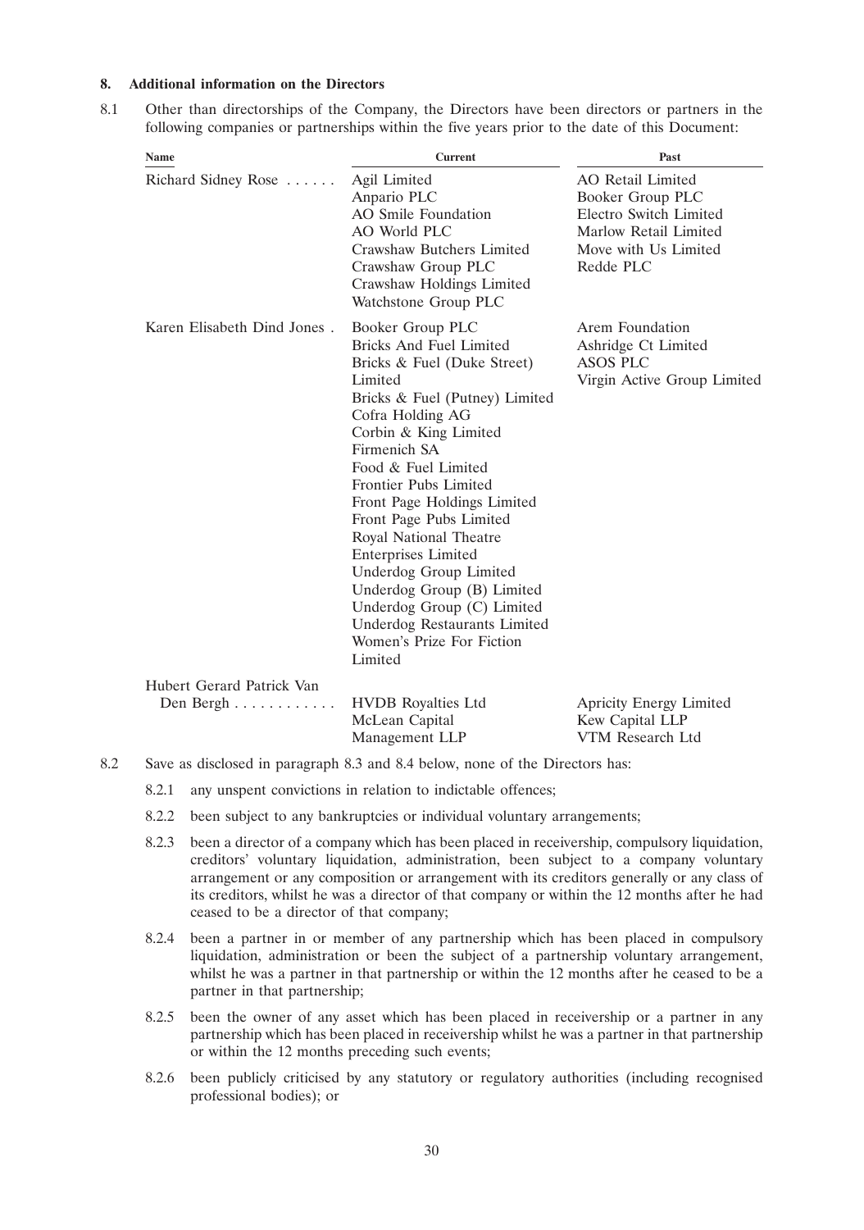### **8. Additional information on the Directors**

8.1 Other than directorships of the Company, the Directors have been directors or partners in the following companies or partnerships within the five years prior to the date of this Document:

| Name                                   | <b>Current</b>                                                                                                                                                                                                                                                                                                                                                                                                                                                                                                                            | Past                                                                                                                                 |
|----------------------------------------|-------------------------------------------------------------------------------------------------------------------------------------------------------------------------------------------------------------------------------------------------------------------------------------------------------------------------------------------------------------------------------------------------------------------------------------------------------------------------------------------------------------------------------------------|--------------------------------------------------------------------------------------------------------------------------------------|
| Richard Sidney Rose                    | Agil Limited<br>Anpario PLC<br>AO Smile Foundation<br><b>AO World PLC</b><br>Crawshaw Butchers Limited<br>Crawshaw Group PLC<br>Crawshaw Holdings Limited<br>Watchstone Group PLC                                                                                                                                                                                                                                                                                                                                                         | <b>AO</b> Retail Limited<br>Booker Group PLC<br>Electro Switch Limited<br>Marlow Retail Limited<br>Move with Us Limited<br>Redde PLC |
| Karen Elisabeth Dind Jones.            | Booker Group PLC<br><b>Bricks And Fuel Limited</b><br>Bricks & Fuel (Duke Street)<br>Limited<br>Bricks & Fuel (Putney) Limited<br>Cofra Holding AG<br>Corbin & King Limited<br>Firmenich SA<br>Food & Fuel Limited<br>Frontier Pubs Limited<br>Front Page Holdings Limited<br>Front Page Pubs Limited<br>Royal National Theatre<br><b>Enterprises Limited</b><br><b>Underdog Group Limited</b><br>Underdog Group (B) Limited<br>Underdog Group (C) Limited<br><b>Underdog Restaurants Limited</b><br>Women's Prize For Fiction<br>Limited | Arem Foundation<br>Ashridge Ct Limited<br><b>ASOS PLC</b><br>Virgin Active Group Limited                                             |
| Hubert Gerard Patrick Van<br>Den Bergh | <b>HVDB</b> Royalties Ltd<br>McLean Capital<br>Management LLP                                                                                                                                                                                                                                                                                                                                                                                                                                                                             | <b>Apricity Energy Limited</b><br>Kew Capital LLP<br>VTM Research Ltd                                                                |

- 8.2.1 any unspent convictions in relation to indictable offences;
- 8.2.2 been subject to any bankruptcies or individual voluntary arrangements;
- 8.2.3 been a director of a company which has been placed in receivership, compulsory liquidation, creditors' voluntary liquidation, administration, been subject to a company voluntary arrangement or any composition or arrangement with its creditors generally or any class of its creditors, whilst he was a director of that company or within the 12 months after he had ceased to be a director of that company;
- 8.2.4 been a partner in or member of any partnership which has been placed in compulsory liquidation, administration or been the subject of a partnership voluntary arrangement, whilst he was a partner in that partnership or within the 12 months after he ceased to be a partner in that partnership;
- 8.2.5 been the owner of any asset which has been placed in receivership or a partner in any partnership which has been placed in receivership whilst he was a partner in that partnership or within the 12 months preceding such events;
- 8.2.6 been publicly criticised by any statutory or regulatory authorities (including recognised professional bodies); or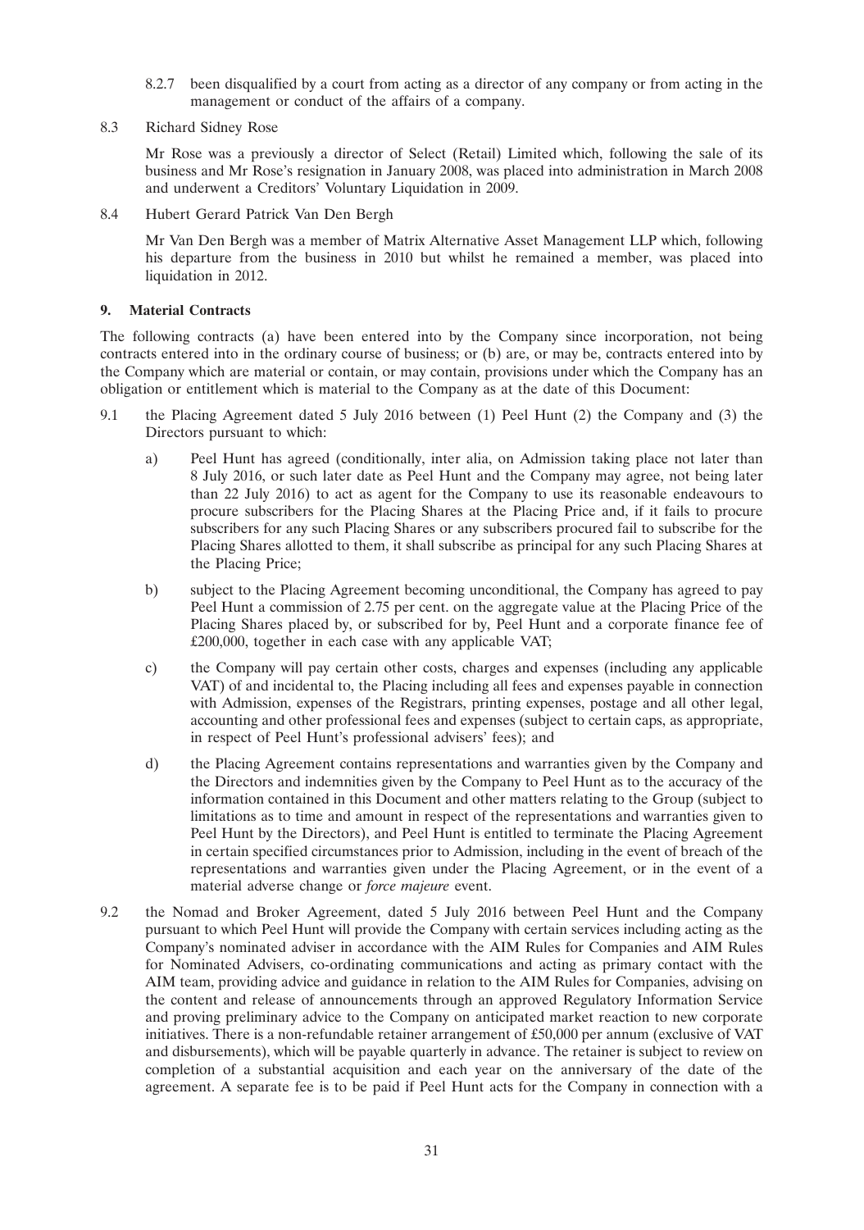- 8.2.7 been disqualified by a court from acting as a director of any company or from acting in the management or conduct of the affairs of a company.
- 8.3 Richard Sidney Rose

Mr Rose was a previously a director of Select (Retail) Limited which, following the sale of its business and Mr Rose's resignation in January 2008, was placed into administration in March 2008 and underwent a Creditors' Voluntary Liquidation in 2009.

8.4 Hubert Gerard Patrick Van Den Bergh

Mr Van Den Bergh was a member of Matrix Alternative Asset Management LLP which, following his departure from the business in 2010 but whilst he remained a member, was placed into liquidation in 2012.

# **9. Material Contracts**

The following contracts (a) have been entered into by the Company since incorporation, not being contracts entered into in the ordinary course of business; or (b) are, or may be, contracts entered into by the Company which are material or contain, or may contain, provisions under which the Company has an obligation or entitlement which is material to the Company as at the date of this Document:

- 9.1 the Placing Agreement dated 5 July 2016 between (1) Peel Hunt (2) the Company and (3) the Directors pursuant to which:
	- a) Peel Hunt has agreed (conditionally, inter alia, on Admission taking place not later than 8 July 2016, or such later date as Peel Hunt and the Company may agree, not being later than 22 July 2016) to act as agent for the Company to use its reasonable endeavours to procure subscribers for the Placing Shares at the Placing Price and, if it fails to procure subscribers for any such Placing Shares or any subscribers procured fail to subscribe for the Placing Shares allotted to them, it shall subscribe as principal for any such Placing Shares at the Placing Price;
	- b) subject to the Placing Agreement becoming unconditional, the Company has agreed to pay Peel Hunt a commission of 2.75 per cent. on the aggregate value at the Placing Price of the Placing Shares placed by, or subscribed for by, Peel Hunt and a corporate finance fee of £200,000, together in each case with any applicable VAT;
	- c) the Company will pay certain other costs, charges and expenses (including any applicable VAT) of and incidental to, the Placing including all fees and expenses payable in connection with Admission, expenses of the Registrars, printing expenses, postage and all other legal, accounting and other professional fees and expenses (subject to certain caps, as appropriate, in respect of Peel Hunt's professional advisers' fees); and
	- d) the Placing Agreement contains representations and warranties given by the Company and the Directors and indemnities given by the Company to Peel Hunt as to the accuracy of the information contained in this Document and other matters relating to the Group (subject to limitations as to time and amount in respect of the representations and warranties given to Peel Hunt by the Directors), and Peel Hunt is entitled to terminate the Placing Agreement in certain specified circumstances prior to Admission, including in the event of breach of the representations and warranties given under the Placing Agreement, or in the event of a material adverse change or *force majeure* event.
- 9.2 the Nomad and Broker Agreement, dated 5 July 2016 between Peel Hunt and the Company pursuant to which Peel Hunt will provide the Company with certain services including acting as the Company's nominated adviser in accordance with the AIM Rules for Companies and AIM Rules for Nominated Advisers, co-ordinating communications and acting as primary contact with the AIM team, providing advice and guidance in relation to the AIM Rules for Companies, advising on the content and release of announcements through an approved Regulatory Information Service and proving preliminary advice to the Company on anticipated market reaction to new corporate initiatives. There is a non-refundable retainer arrangement of £50,000 per annum (exclusive of VAT and disbursements), which will be payable quarterly in advance. The retainer is subject to review on completion of a substantial acquisition and each year on the anniversary of the date of the agreement. A separate fee is to be paid if Peel Hunt acts for the Company in connection with a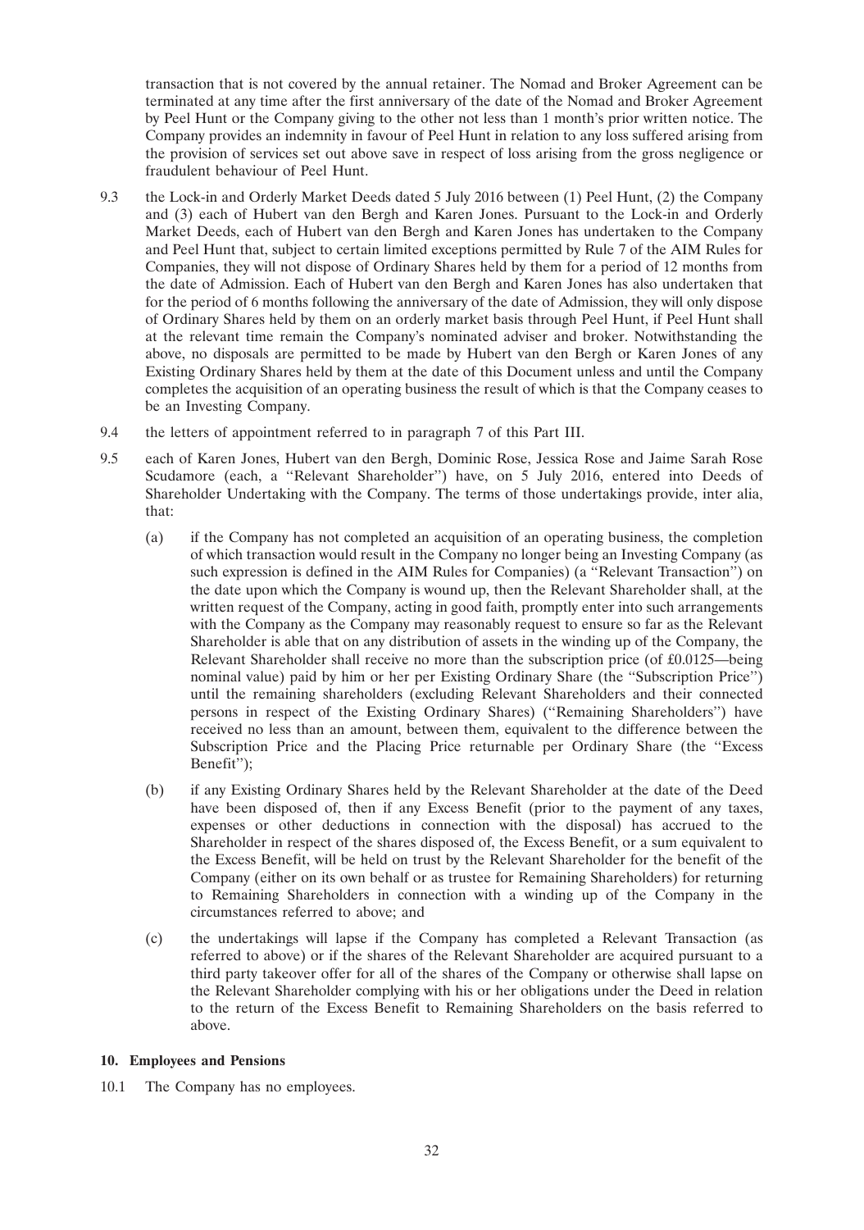transaction that is not covered by the annual retainer. The Nomad and Broker Agreement can be terminated at any time after the first anniversary of the date of the Nomad and Broker Agreement by Peel Hunt or the Company giving to the other not less than 1 month's prior written notice. The Company provides an indemnity in favour of Peel Hunt in relation to any loss suffered arising from the provision of services set out above save in respect of loss arising from the gross negligence or fraudulent behaviour of Peel Hunt.

- 9.3 the Lock-in and Orderly Market Deeds dated 5 July 2016 between (1) Peel Hunt, (2) the Company and (3) each of Hubert van den Bergh and Karen Jones. Pursuant to the Lock-in and Orderly Market Deeds, each of Hubert van den Bergh and Karen Jones has undertaken to the Company and Peel Hunt that, subject to certain limited exceptions permitted by Rule 7 of the AIM Rules for Companies, they will not dispose of Ordinary Shares held by them for a period of 12 months from the date of Admission. Each of Hubert van den Bergh and Karen Jones has also undertaken that for the period of 6 months following the anniversary of the date of Admission, they will only dispose of Ordinary Shares held by them on an orderly market basis through Peel Hunt, if Peel Hunt shall at the relevant time remain the Company's nominated adviser and broker. Notwithstanding the above, no disposals are permitted to be made by Hubert van den Bergh or Karen Jones of any Existing Ordinary Shares held by them at the date of this Document unless and until the Company completes the acquisition of an operating business the result of which is that the Company ceases to be an Investing Company.
- 9.4 the letters of appointment referred to in paragraph 7 of this Part III.
- 9.5 each of Karen Jones, Hubert van den Bergh, Dominic Rose, Jessica Rose and Jaime Sarah Rose Scudamore (each, a ''Relevant Shareholder'') have, on 5 July 2016, entered into Deeds of Shareholder Undertaking with the Company. The terms of those undertakings provide, inter alia, that:
	- (a) if the Company has not completed an acquisition of an operating business, the completion of which transaction would result in the Company no longer being an Investing Company (as such expression is defined in the AIM Rules for Companies) (a ''Relevant Transaction'') on the date upon which the Company is wound up, then the Relevant Shareholder shall, at the written request of the Company, acting in good faith, promptly enter into such arrangements with the Company as the Company may reasonably request to ensure so far as the Relevant Shareholder is able that on any distribution of assets in the winding up of the Company, the Relevant Shareholder shall receive no more than the subscription price (of  $\text{\pounds}0.0125$ —being nominal value) paid by him or her per Existing Ordinary Share (the ''Subscription Price'') until the remaining shareholders (excluding Relevant Shareholders and their connected persons in respect of the Existing Ordinary Shares) (''Remaining Shareholders'') have received no less than an amount, between them, equivalent to the difference between the Subscription Price and the Placing Price returnable per Ordinary Share (the ''Excess Benefit $\overline{f}$ :
	- (b) if any Existing Ordinary Shares held by the Relevant Shareholder at the date of the Deed have been disposed of, then if any Excess Benefit (prior to the payment of any taxes, expenses or other deductions in connection with the disposal) has accrued to the Shareholder in respect of the shares disposed of, the Excess Benefit, or a sum equivalent to the Excess Benefit, will be held on trust by the Relevant Shareholder for the benefit of the Company (either on its own behalf or as trustee for Remaining Shareholders) for returning to Remaining Shareholders in connection with a winding up of the Company in the circumstances referred to above; and
	- (c) the undertakings will lapse if the Company has completed a Relevant Transaction (as referred to above) or if the shares of the Relevant Shareholder are acquired pursuant to a third party takeover offer for all of the shares of the Company or otherwise shall lapse on the Relevant Shareholder complying with his or her obligations under the Deed in relation to the return of the Excess Benefit to Remaining Shareholders on the basis referred to above.

# **10. Employees and Pensions**

10.1 The Company has no employees.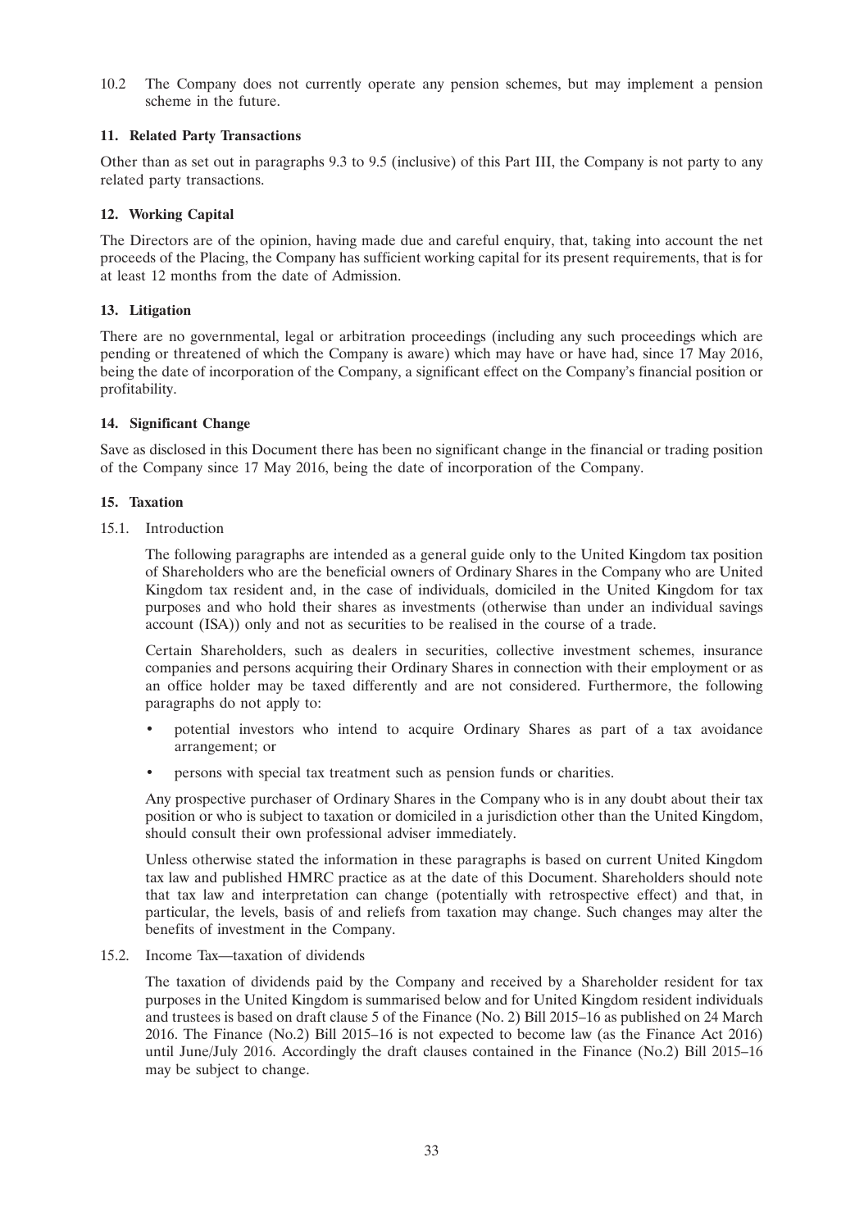10.2 The Company does not currently operate any pension schemes, but may implement a pension scheme in the future.

# **11. Related Party Transactions**

Other than as set out in paragraphs 9.3 to 9.5 (inclusive) of this Part III, the Company is not party to any related party transactions.

# **12. Working Capital**

The Directors are of the opinion, having made due and careful enquiry, that, taking into account the net proceeds of the Placing, the Company has sufficient working capital for its present requirements, that is for at least 12 months from the date of Admission.

# **13. Litigation**

There are no governmental, legal or arbitration proceedings (including any such proceedings which are pending or threatened of which the Company is aware) which may have or have had, since 17 May 2016, being the date of incorporation of the Company, a significant effect on the Company's financial position or profitability.

# **14. Significant Change**

Save as disclosed in this Document there has been no significant change in the financial or trading position of the Company since 17 May 2016, being the date of incorporation of the Company.

# **15. Taxation**

15.1. Introduction

The following paragraphs are intended as a general guide only to the United Kingdom tax position of Shareholders who are the beneficial owners of Ordinary Shares in the Company who are United Kingdom tax resident and, in the case of individuals, domiciled in the United Kingdom for tax purposes and who hold their shares as investments (otherwise than under an individual savings account (ISA)) only and not as securities to be realised in the course of a trade.

Certain Shareholders, such as dealers in securities, collective investment schemes, insurance companies and persons acquiring their Ordinary Shares in connection with their employment or as an office holder may be taxed differently and are not considered. Furthermore, the following paragraphs do not apply to:

- potential investors who intend to acquire Ordinary Shares as part of a tax avoidance arrangement; or
- persons with special tax treatment such as pension funds or charities.

Any prospective purchaser of Ordinary Shares in the Company who is in any doubt about their tax position or who is subject to taxation or domiciled in a jurisdiction other than the United Kingdom, should consult their own professional adviser immediately.

Unless otherwise stated the information in these paragraphs is based on current United Kingdom tax law and published HMRC practice as at the date of this Document. Shareholders should note that tax law and interpretation can change (potentially with retrospective effect) and that, in particular, the levels, basis of and reliefs from taxation may change. Such changes may alter the benefits of investment in the Company.

# 15.2. Income Tax—taxation of dividends

The taxation of dividends paid by the Company and received by a Shareholder resident for tax purposes in the United Kingdom is summarised below and for United Kingdom resident individuals and trustees is based on draft clause 5 of the Finance (No. 2) Bill 2015–16 as published on 24 March 2016. The Finance (No.2) Bill 2015–16 is not expected to become law (as the Finance Act 2016) until June/July 2016. Accordingly the draft clauses contained in the Finance (No.2) Bill 2015–16 may be subject to change.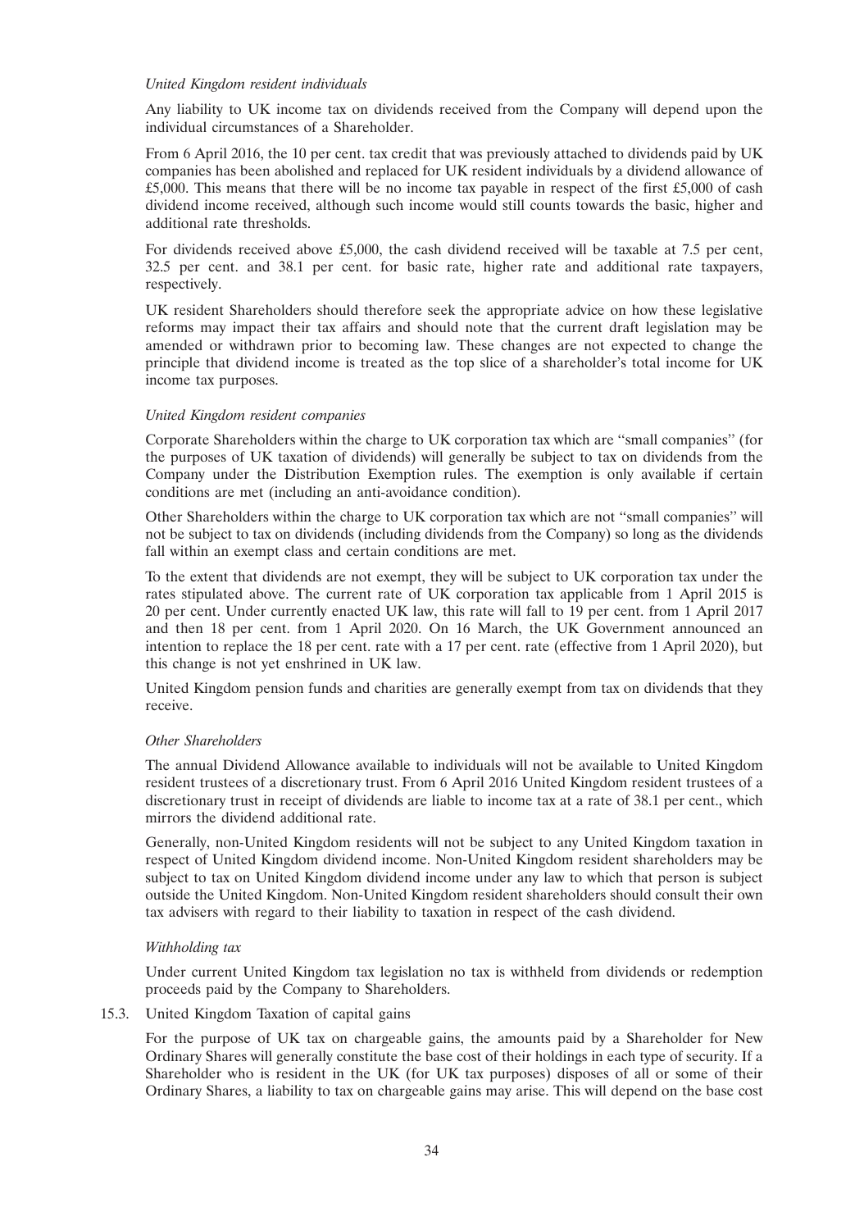### *United Kingdom resident individuals*

Any liability to UK income tax on dividends received from the Company will depend upon the individual circumstances of a Shareholder.

From 6 April 2016, the 10 per cent. tax credit that was previously attached to dividends paid by UK companies has been abolished and replaced for UK resident individuals by a dividend allowance of £5,000. This means that there will be no income tax payable in respect of the first £5,000 of cash dividend income received, although such income would still counts towards the basic, higher and additional rate thresholds.

For dividends received above £5,000, the cash dividend received will be taxable at 7.5 per cent, 32.5 per cent. and 38.1 per cent. for basic rate, higher rate and additional rate taxpayers, respectively.

UK resident Shareholders should therefore seek the appropriate advice on how these legislative reforms may impact their tax affairs and should note that the current draft legislation may be amended or withdrawn prior to becoming law. These changes are not expected to change the principle that dividend income is treated as the top slice of a shareholder's total income for UK income tax purposes.

### *United Kingdom resident companies*

Corporate Shareholders within the charge to UK corporation tax which are ''small companies'' (for the purposes of UK taxation of dividends) will generally be subject to tax on dividends from the Company under the Distribution Exemption rules. The exemption is only available if certain conditions are met (including an anti-avoidance condition).

Other Shareholders within the charge to UK corporation tax which are not ''small companies'' will not be subject to tax on dividends (including dividends from the Company) so long as the dividends fall within an exempt class and certain conditions are met.

To the extent that dividends are not exempt, they will be subject to UK corporation tax under the rates stipulated above. The current rate of UK corporation tax applicable from 1 April 2015 is 20 per cent. Under currently enacted UK law, this rate will fall to 19 per cent. from 1 April 2017 and then 18 per cent. from 1 April 2020. On 16 March, the UK Government announced an intention to replace the 18 per cent. rate with a 17 per cent. rate (effective from 1 April 2020), but this change is not yet enshrined in UK law.

United Kingdom pension funds and charities are generally exempt from tax on dividends that they receive.

#### *Other Shareholders*

The annual Dividend Allowance available to individuals will not be available to United Kingdom resident trustees of a discretionary trust. From 6 April 2016 United Kingdom resident trustees of a discretionary trust in receipt of dividends are liable to income tax at a rate of 38.1 per cent., which mirrors the dividend additional rate.

Generally, non-United Kingdom residents will not be subject to any United Kingdom taxation in respect of United Kingdom dividend income. Non-United Kingdom resident shareholders may be subject to tax on United Kingdom dividend income under any law to which that person is subject outside the United Kingdom. Non-United Kingdom resident shareholders should consult their own tax advisers with regard to their liability to taxation in respect of the cash dividend.

#### *Withholding tax*

Under current United Kingdom tax legislation no tax is withheld from dividends or redemption proceeds paid by the Company to Shareholders.

15.3. United Kingdom Taxation of capital gains

For the purpose of UK tax on chargeable gains, the amounts paid by a Shareholder for New Ordinary Shares will generally constitute the base cost of their holdings in each type of security. If a Shareholder who is resident in the UK (for UK tax purposes) disposes of all or some of their Ordinary Shares, a liability to tax on chargeable gains may arise. This will depend on the base cost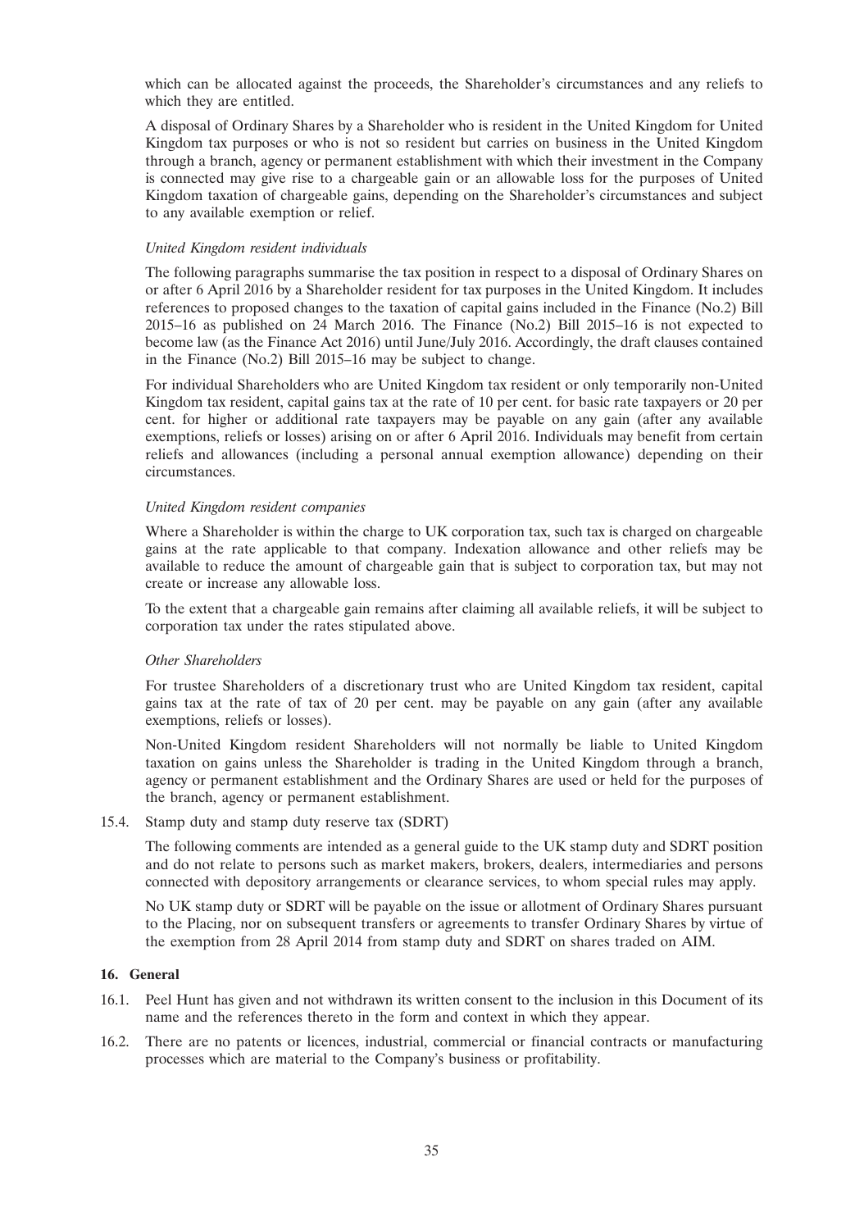which can be allocated against the proceeds, the Shareholder's circumstances and any reliefs to which they are entitled.

A disposal of Ordinary Shares by a Shareholder who is resident in the United Kingdom for United Kingdom tax purposes or who is not so resident but carries on business in the United Kingdom through a branch, agency or permanent establishment with which their investment in the Company is connected may give rise to a chargeable gain or an allowable loss for the purposes of United Kingdom taxation of chargeable gains, depending on the Shareholder's circumstances and subject to any available exemption or relief.

### *United Kingdom resident individuals*

The following paragraphs summarise the tax position in respect to a disposal of Ordinary Shares on or after 6 April 2016 by a Shareholder resident for tax purposes in the United Kingdom. It includes references to proposed changes to the taxation of capital gains included in the Finance (No.2) Bill 2015–16 as published on 24 March 2016. The Finance (No.2) Bill 2015–16 is not expected to become law (as the Finance Act 2016) until June/July 2016. Accordingly, the draft clauses contained in the Finance (No.2) Bill 2015–16 may be subject to change.

For individual Shareholders who are United Kingdom tax resident or only temporarily non-United Kingdom tax resident, capital gains tax at the rate of 10 per cent. for basic rate taxpayers or 20 per cent. for higher or additional rate taxpayers may be payable on any gain (after any available exemptions, reliefs or losses) arising on or after 6 April 2016. Individuals may benefit from certain reliefs and allowances (including a personal annual exemption allowance) depending on their circumstances.

#### *United Kingdom resident companies*

Where a Shareholder is within the charge to UK corporation tax, such tax is charged on chargeable gains at the rate applicable to that company. Indexation allowance and other reliefs may be available to reduce the amount of chargeable gain that is subject to corporation tax, but may not create or increase any allowable loss.

To the extent that a chargeable gain remains after claiming all available reliefs, it will be subject to corporation tax under the rates stipulated above.

#### *Other Shareholders*

For trustee Shareholders of a discretionary trust who are United Kingdom tax resident, capital gains tax at the rate of tax of 20 per cent. may be payable on any gain (after any available exemptions, reliefs or losses).

Non-United Kingdom resident Shareholders will not normally be liable to United Kingdom taxation on gains unless the Shareholder is trading in the United Kingdom through a branch, agency or permanent establishment and the Ordinary Shares are used or held for the purposes of the branch, agency or permanent establishment.

15.4. Stamp duty and stamp duty reserve tax (SDRT)

The following comments are intended as a general guide to the UK stamp duty and SDRT position and do not relate to persons such as market makers, brokers, dealers, intermediaries and persons connected with depository arrangements or clearance services, to whom special rules may apply.

No UK stamp duty or SDRT will be payable on the issue or allotment of Ordinary Shares pursuant to the Placing, nor on subsequent transfers or agreements to transfer Ordinary Shares by virtue of the exemption from 28 April 2014 from stamp duty and SDRT on shares traded on AIM.

#### **16. General**

- 16.1. Peel Hunt has given and not withdrawn its written consent to the inclusion in this Document of its name and the references thereto in the form and context in which they appear.
- 16.2. There are no patents or licences, industrial, commercial or financial contracts or manufacturing processes which are material to the Company's business or profitability.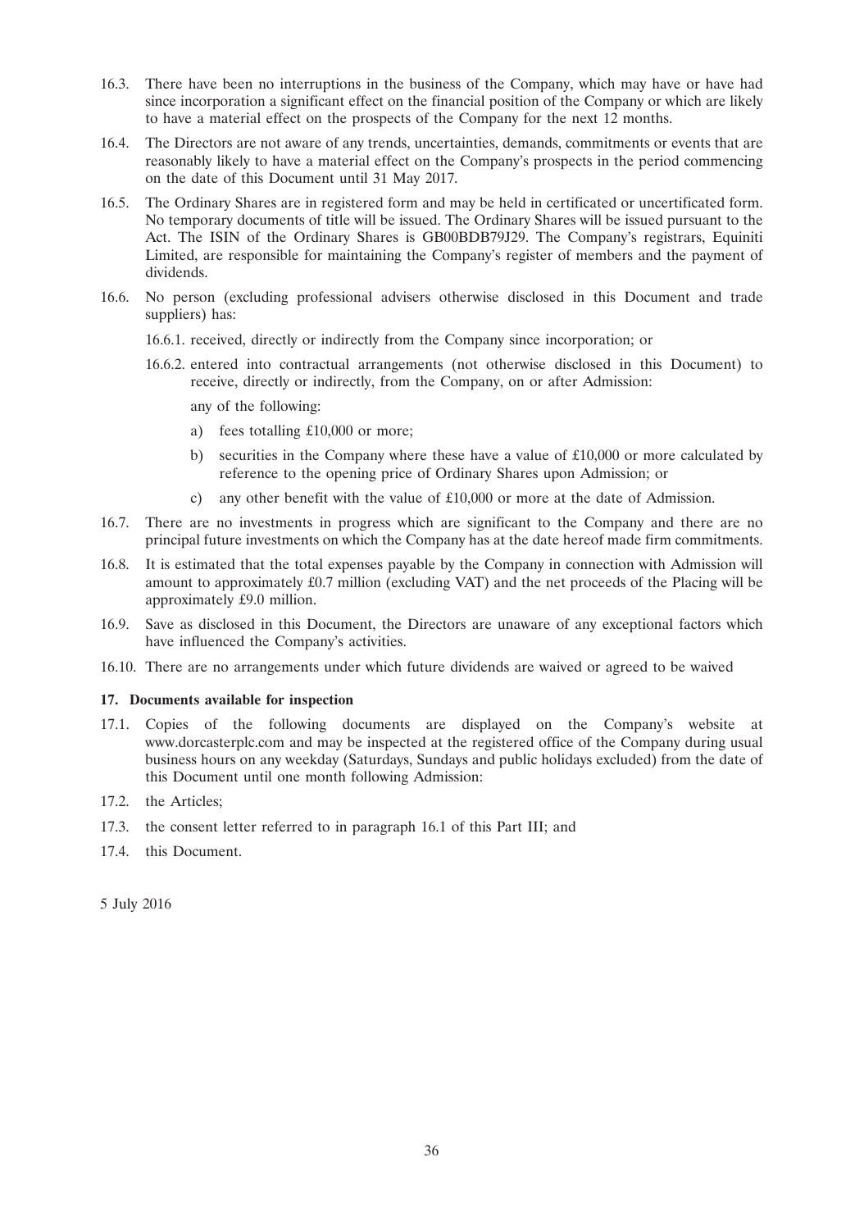- 16.3. There have been no interruptions in the business of the Company, which may have or have had since incorporation a significant effect on the financial position of the Company or which are likely to have a material effect on the prospects of the Company for the next 12 months.
- 16.4. The Directors are not aware of any trends, uncertainties, demands, commitments or events that are reasonably likely to have a material effect on the Company's prospects in the period commencing on the date of this Document until 31 May 2017.
- 16.5. The Ordinary Shares are in registered form and may be held in certificated or uncertificated form. No temporary documents of title will be issued. The Ordinary Shares will be issued pursuant to the Act. The ISIN of the Ordinary Shares is GB00BDB79J29. The Company's registrars, Equiniti Limited, are responsible for maintaining the Company's register of members and the payment of dividends.
- 16.6. No person (excluding professional advisers otherwise disclosed in this Document and trade suppliers) has:
	- 16.6.1. received, directly or indirectly from the Company since incorporation; or
	- 16.6.2. entered into contractual arrangements (not otherwise disclosed in this Document) to receive, directly or indirectly, from the Company, on or after Admission:
		- any of the following:
		- a) fees totalling £10,000 or more;
		- b) securities in the Company where these have a value of  $£10,000$  or more calculated by reference to the opening price of Ordinary Shares upon Admission; or
		- c) any other benefit with the value of £10,000 or more at the date of Admission.
- 16.7. There are no investments in progress which are significant to the Company and there are no principal future investments on which the Company has at the date hereof made firm commitments.
- 16.8. It is estimated that the total expenses payable by the Company in connection with Admission will amount to approximately £0.7 million (excluding VAT) and the net proceeds of the Placing will be approximately £9.0 million.
- 16.9. Save as disclosed in this Document, the Directors are unaware of any exceptional factors which have influenced the Company's activities.
- 16.10. There are no arrangements under which future dividends are waived or agreed to be waived

#### **17. Documents available for inspection**

- 17.1. Copies of the following documents are displayed on the Company's website at www.dorcasterplc.com and may be inspected at the registered office of the Company during usual business hours on any weekday (Saturdays, Sundays and public holidays excluded) from the date of this Document until one month following Admission:
- 17.2. the Articles;
- 17.3. the consent letter referred to in paragraph 16.1 of this Part III; and
- 17.4. this Document.

5 July 2016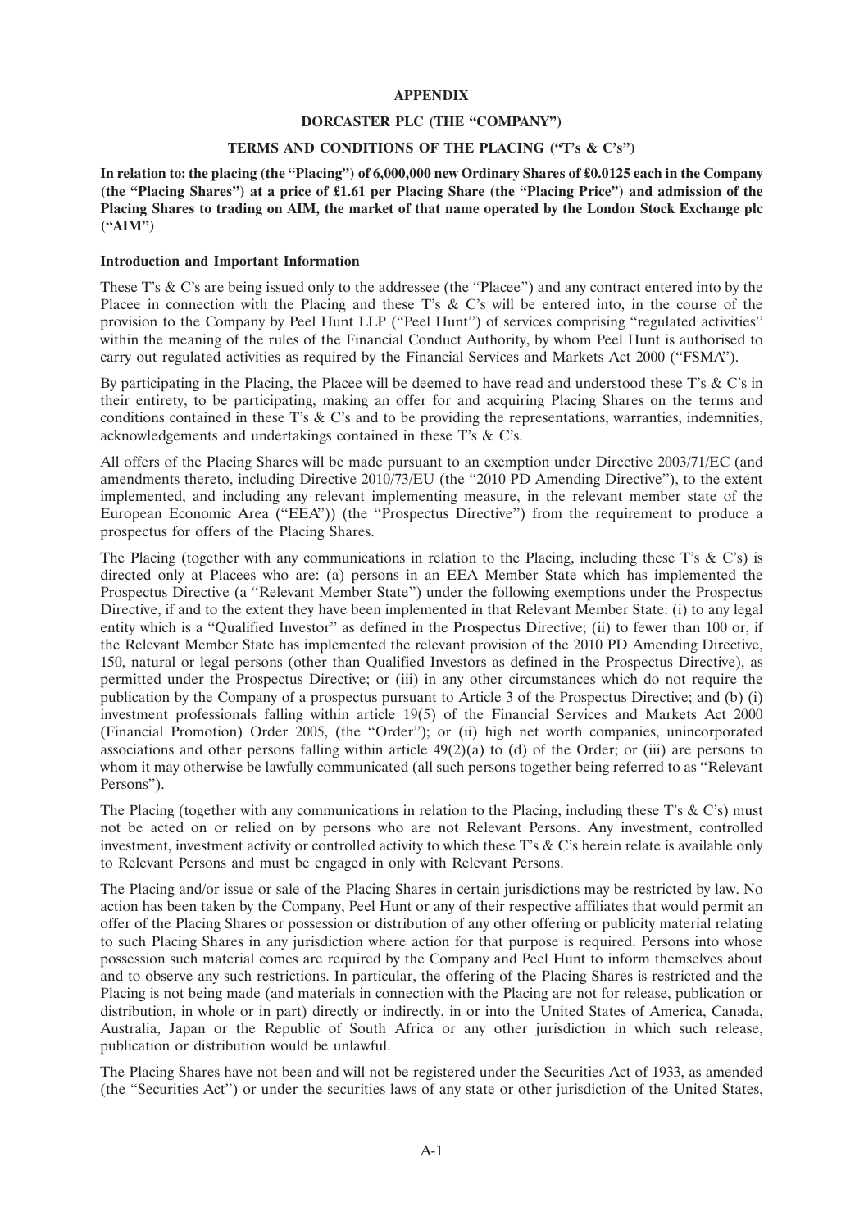# **APPENDIX**

#### **DORCASTER PLC (THE ''COMPANY'')**

#### **TERMS AND CONDITIONS OF THE PLACING (''T's & C's'')**

**In relation to: the placing (the ''Placing'') of 6,000,000 new Ordinary Shares of £0.0125 each in the Company (the ''Placing Shares'') at a price of £1.61 per Placing Share (the ''Placing Price'') and admission of the Placing Shares to trading on AIM, the market of that name operated by the London Stock Exchange plc (''AIM'')**

#### **Introduction and Important Information**

These T's & C's are being issued only to the addressee (the "Placee") and any contract entered into by the Placee in connection with the Placing and these T's & C's will be entered into, in the course of the provision to the Company by Peel Hunt LLP (''Peel Hunt'') of services comprising ''regulated activities'' within the meaning of the rules of the Financial Conduct Authority, by whom Peel Hunt is authorised to carry out regulated activities as required by the Financial Services and Markets Act 2000 (''FSMA'').

By participating in the Placing, the Placee will be deemed to have read and understood these T's & C's in their entirety, to be participating, making an offer for and acquiring Placing Shares on the terms and conditions contained in these T's  $\&$  C's and to be providing the representations, warranties, indemnities, acknowledgements and undertakings contained in these T's & C's.

All offers of the Placing Shares will be made pursuant to an exemption under Directive 2003/71/EC (and amendments thereto, including Directive 2010/73/EU (the ''2010 PD Amending Directive''), to the extent implemented, and including any relevant implementing measure, in the relevant member state of the European Economic Area ("EEA")) (the "Prospectus Directive") from the requirement to produce a prospectus for offers of the Placing Shares.

The Placing (together with any communications in relation to the Placing, including these T's & C's) is directed only at Placees who are: (a) persons in an EEA Member State which has implemented the Prospectus Directive (a ''Relevant Member State'') under the following exemptions under the Prospectus Directive, if and to the extent they have been implemented in that Relevant Member State: (i) to any legal entity which is a ''Qualified Investor'' as defined in the Prospectus Directive; (ii) to fewer than 100 or, if the Relevant Member State has implemented the relevant provision of the 2010 PD Amending Directive, 150, natural or legal persons (other than Qualified Investors as defined in the Prospectus Directive), as permitted under the Prospectus Directive; or (iii) in any other circumstances which do not require the publication by the Company of a prospectus pursuant to Article 3 of the Prospectus Directive; and (b) (i) investment professionals falling within article 19(5) of the Financial Services and Markets Act 2000 (Financial Promotion) Order 2005, (the ''Order''); or (ii) high net worth companies, unincorporated associations and other persons falling within article  $49(2)(a)$  to (d) of the Order; or (iii) are persons to whom it may otherwise be lawfully communicated (all such persons together being referred to as ''Relevant Persons'').

The Placing (together with any communications in relation to the Placing, including these T's  $\&$  C's) must not be acted on or relied on by persons who are not Relevant Persons. Any investment, controlled investment, investment activity or controlled activity to which these T's & C's herein relate is available only to Relevant Persons and must be engaged in only with Relevant Persons.

The Placing and/or issue or sale of the Placing Shares in certain jurisdictions may be restricted by law. No action has been taken by the Company, Peel Hunt or any of their respective affiliates that would permit an offer of the Placing Shares or possession or distribution of any other offering or publicity material relating to such Placing Shares in any jurisdiction where action for that purpose is required. Persons into whose possession such material comes are required by the Company and Peel Hunt to inform themselves about and to observe any such restrictions. In particular, the offering of the Placing Shares is restricted and the Placing is not being made (and materials in connection with the Placing are not for release, publication or distribution, in whole or in part) directly or indirectly, in or into the United States of America, Canada, Australia, Japan or the Republic of South Africa or any other jurisdiction in which such release, publication or distribution would be unlawful.

The Placing Shares have not been and will not be registered under the Securities Act of 1933, as amended (the ''Securities Act'') or under the securities laws of any state or other jurisdiction of the United States,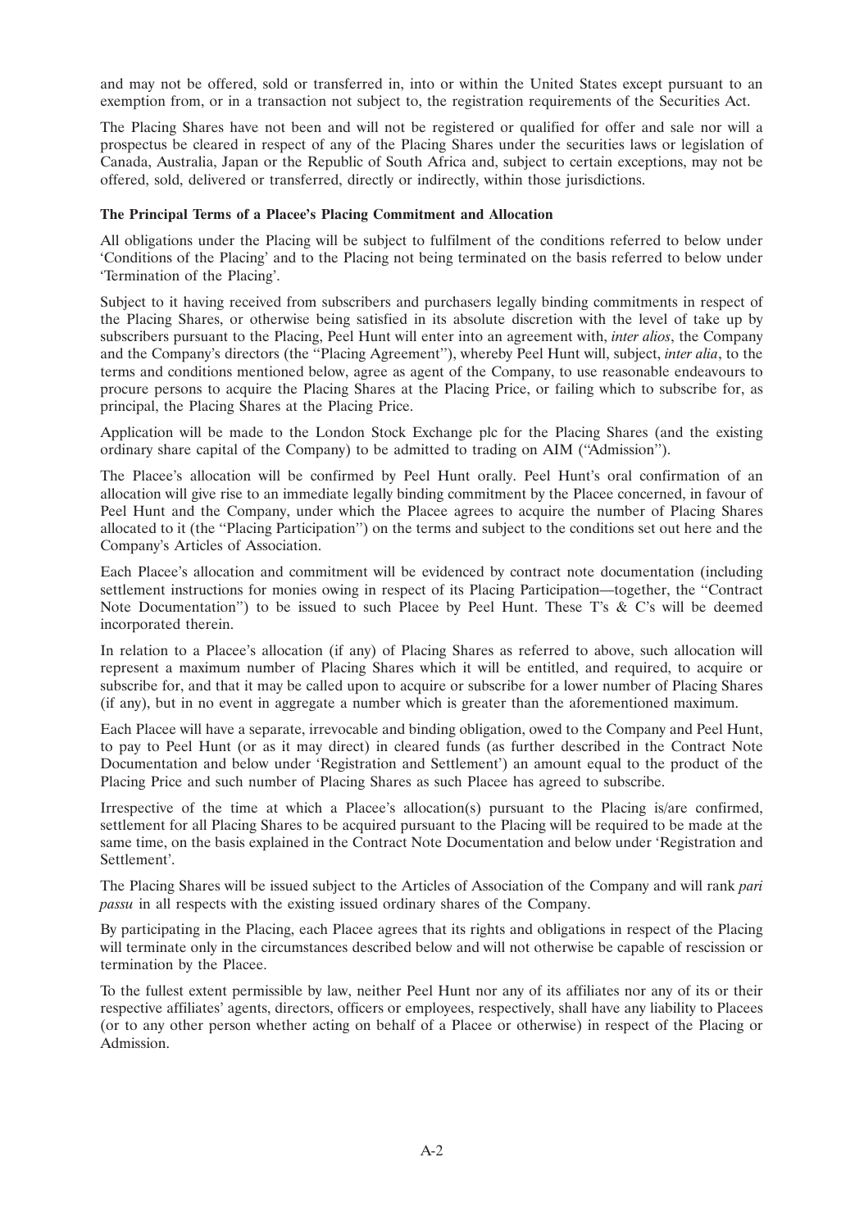and may not be offered, sold or transferred in, into or within the United States except pursuant to an exemption from, or in a transaction not subject to, the registration requirements of the Securities Act.

The Placing Shares have not been and will not be registered or qualified for offer and sale nor will a prospectus be cleared in respect of any of the Placing Shares under the securities laws or legislation of Canada, Australia, Japan or the Republic of South Africa and, subject to certain exceptions, may not be offered, sold, delivered or transferred, directly or indirectly, within those jurisdictions.

### **The Principal Terms of a Placee's Placing Commitment and Allocation**

All obligations under the Placing will be subject to fulfilment of the conditions referred to below under 'Conditions of the Placing' and to the Placing not being terminated on the basis referred to below under 'Termination of the Placing'.

Subject to it having received from subscribers and purchasers legally binding commitments in respect of the Placing Shares, or otherwise being satisfied in its absolute discretion with the level of take up by subscribers pursuant to the Placing, Peel Hunt will enter into an agreement with, *inter alios*, the Company and the Company's directors (the ''Placing Agreement''), whereby Peel Hunt will, subject, *inter alia*, to the terms and conditions mentioned below, agree as agent of the Company, to use reasonable endeavours to procure persons to acquire the Placing Shares at the Placing Price, or failing which to subscribe for, as principal, the Placing Shares at the Placing Price.

Application will be made to the London Stock Exchange plc for the Placing Shares (and the existing ordinary share capital of the Company) to be admitted to trading on AIM (''Admission'').

The Placee's allocation will be confirmed by Peel Hunt orally. Peel Hunt's oral confirmation of an allocation will give rise to an immediate legally binding commitment by the Placee concerned, in favour of Peel Hunt and the Company, under which the Placee agrees to acquire the number of Placing Shares allocated to it (the ''Placing Participation'') on the terms and subject to the conditions set out here and the Company's Articles of Association.

Each Placee's allocation and commitment will be evidenced by contract note documentation (including settlement instructions for monies owing in respect of its Placing Participation—together, the ''Contract Note Documentation") to be issued to such Placee by Peel Hunt. These T's & C's will be deemed incorporated therein.

In relation to a Placee's allocation (if any) of Placing Shares as referred to above, such allocation will represent a maximum number of Placing Shares which it will be entitled, and required, to acquire or subscribe for, and that it may be called upon to acquire or subscribe for a lower number of Placing Shares (if any), but in no event in aggregate a number which is greater than the aforementioned maximum.

Each Placee will have a separate, irrevocable and binding obligation, owed to the Company and Peel Hunt, to pay to Peel Hunt (or as it may direct) in cleared funds (as further described in the Contract Note Documentation and below under 'Registration and Settlement') an amount equal to the product of the Placing Price and such number of Placing Shares as such Placee has agreed to subscribe.

Irrespective of the time at which a Placee's allocation(s) pursuant to the Placing is/are confirmed, settlement for all Placing Shares to be acquired pursuant to the Placing will be required to be made at the same time, on the basis explained in the Contract Note Documentation and below under 'Registration and Settlement'.

The Placing Shares will be issued subject to the Articles of Association of the Company and will rank *pari passu* in all respects with the existing issued ordinary shares of the Company.

By participating in the Placing, each Placee agrees that its rights and obligations in respect of the Placing will terminate only in the circumstances described below and will not otherwise be capable of rescission or termination by the Placee.

To the fullest extent permissible by law, neither Peel Hunt nor any of its affiliates nor any of its or their respective affiliates' agents, directors, officers or employees, respectively, shall have any liability to Placees (or to any other person whether acting on behalf of a Placee or otherwise) in respect of the Placing or Admission.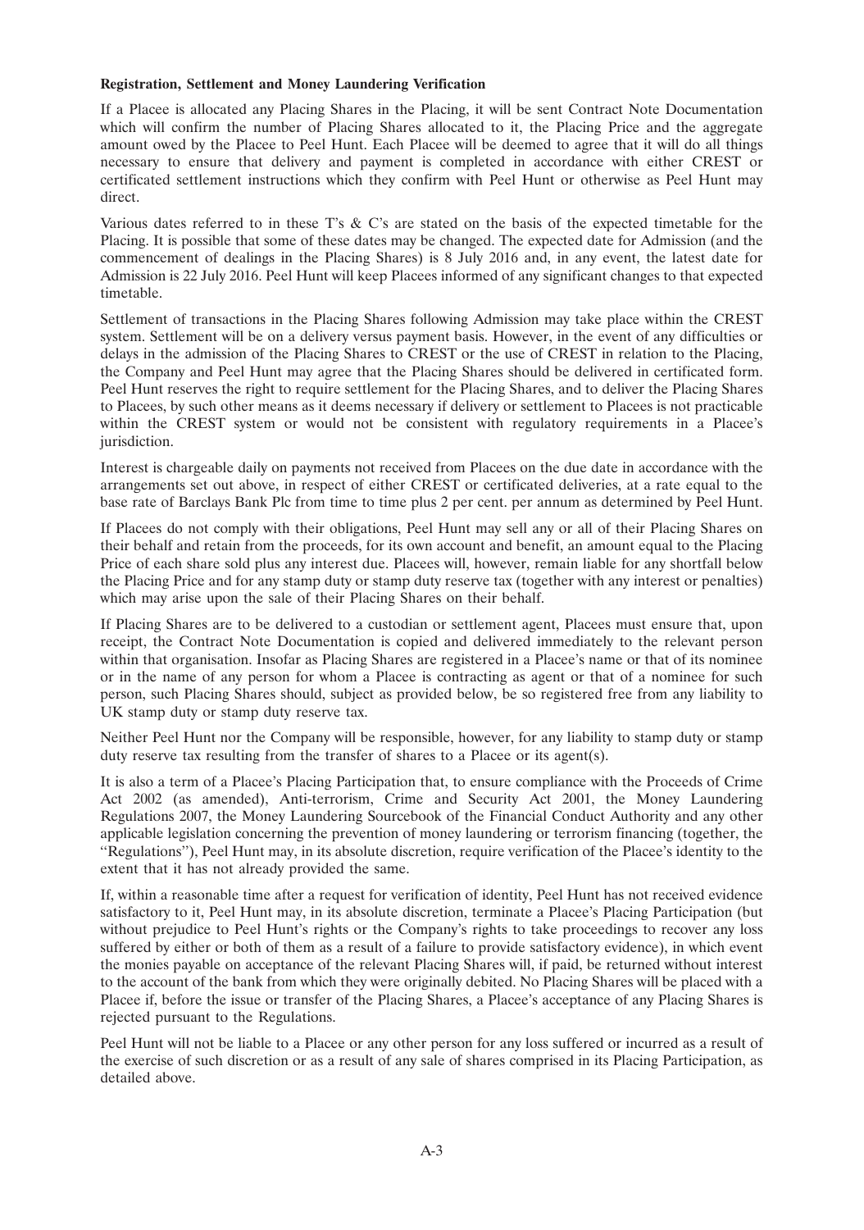# **Registration, Settlement and Money Laundering Verification**

If a Placee is allocated any Placing Shares in the Placing, it will be sent Contract Note Documentation which will confirm the number of Placing Shares allocated to it, the Placing Price and the aggregate amount owed by the Placee to Peel Hunt. Each Placee will be deemed to agree that it will do all things necessary to ensure that delivery and payment is completed in accordance with either CREST or certificated settlement instructions which they confirm with Peel Hunt or otherwise as Peel Hunt may direct.

Various dates referred to in these T's  $\&$  C's are stated on the basis of the expected timetable for the Placing. It is possible that some of these dates may be changed. The expected date for Admission (and the commencement of dealings in the Placing Shares) is 8 July 2016 and, in any event, the latest date for Admission is 22 July 2016. Peel Hunt will keep Placees informed of any significant changes to that expected timetable.

Settlement of transactions in the Placing Shares following Admission may take place within the CREST system. Settlement will be on a delivery versus payment basis. However, in the event of any difficulties or delays in the admission of the Placing Shares to CREST or the use of CREST in relation to the Placing, the Company and Peel Hunt may agree that the Placing Shares should be delivered in certificated form. Peel Hunt reserves the right to require settlement for the Placing Shares, and to deliver the Placing Shares to Placees, by such other means as it deems necessary if delivery or settlement to Placees is not practicable within the CREST system or would not be consistent with regulatory requirements in a Placee's jurisdiction.

Interest is chargeable daily on payments not received from Placees on the due date in accordance with the arrangements set out above, in respect of either CREST or certificated deliveries, at a rate equal to the base rate of Barclays Bank Plc from time to time plus 2 per cent. per annum as determined by Peel Hunt.

If Placees do not comply with their obligations, Peel Hunt may sell any or all of their Placing Shares on their behalf and retain from the proceeds, for its own account and benefit, an amount equal to the Placing Price of each share sold plus any interest due. Placees will, however, remain liable for any shortfall below the Placing Price and for any stamp duty or stamp duty reserve tax (together with any interest or penalties) which may arise upon the sale of their Placing Shares on their behalf.

If Placing Shares are to be delivered to a custodian or settlement agent, Placees must ensure that, upon receipt, the Contract Note Documentation is copied and delivered immediately to the relevant person within that organisation. Insofar as Placing Shares are registered in a Placee's name or that of its nominee or in the name of any person for whom a Placee is contracting as agent or that of a nominee for such person, such Placing Shares should, subject as provided below, be so registered free from any liability to UK stamp duty or stamp duty reserve tax.

Neither Peel Hunt nor the Company will be responsible, however, for any liability to stamp duty or stamp duty reserve tax resulting from the transfer of shares to a Placee or its agent(s).

It is also a term of a Placee's Placing Participation that, to ensure compliance with the Proceeds of Crime Act 2002 (as amended), Anti-terrorism, Crime and Security Act 2001, the Money Laundering Regulations 2007, the Money Laundering Sourcebook of the Financial Conduct Authority and any other applicable legislation concerning the prevention of money laundering or terrorism financing (together, the ''Regulations''), Peel Hunt may, in its absolute discretion, require verification of the Placee's identity to the extent that it has not already provided the same.

If, within a reasonable time after a request for verification of identity, Peel Hunt has not received evidence satisfactory to it, Peel Hunt may, in its absolute discretion, terminate a Placee's Placing Participation (but without prejudice to Peel Hunt's rights or the Company's rights to take proceedings to recover any loss suffered by either or both of them as a result of a failure to provide satisfactory evidence), in which event the monies payable on acceptance of the relevant Placing Shares will, if paid, be returned without interest to the account of the bank from which they were originally debited. No Placing Shares will be placed with a Placee if, before the issue or transfer of the Placing Shares, a Placee's acceptance of any Placing Shares is rejected pursuant to the Regulations.

Peel Hunt will not be liable to a Placee or any other person for any loss suffered or incurred as a result of the exercise of such discretion or as a result of any sale of shares comprised in its Placing Participation, as detailed above.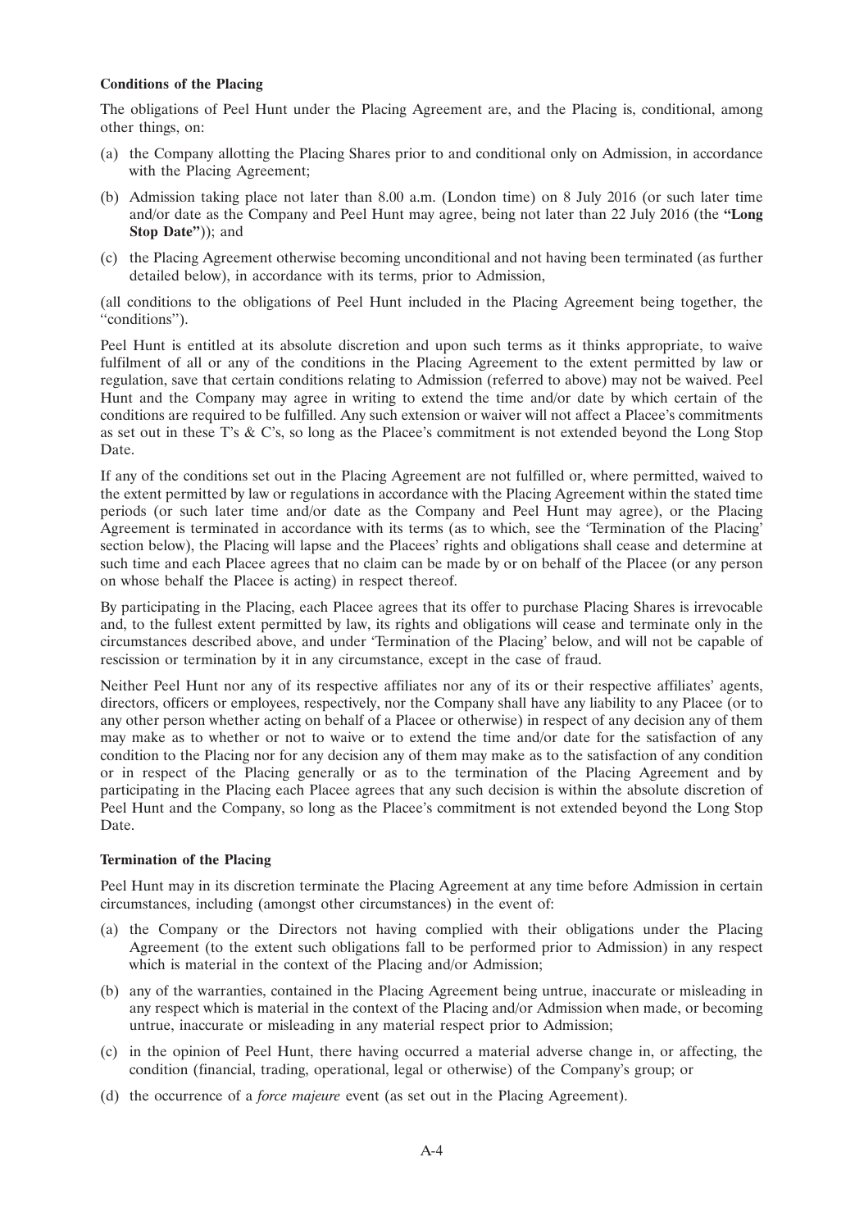### **Conditions of the Placing**

The obligations of Peel Hunt under the Placing Agreement are, and the Placing is, conditional, among other things, on:

- (a) the Company allotting the Placing Shares prior to and conditional only on Admission, in accordance with the Placing Agreement;
- (b) Admission taking place not later than 8.00 a.m. (London time) on 8 July 2016 (or such later time and/or date as the Company and Peel Hunt may agree, being not later than 22 July 2016 (the **''Long Stop Date''**)); and
- (c) the Placing Agreement otherwise becoming unconditional and not having been terminated (as further detailed below), in accordance with its terms, prior to Admission,

(all conditions to the obligations of Peel Hunt included in the Placing Agreement being together, the "conditions").

Peel Hunt is entitled at its absolute discretion and upon such terms as it thinks appropriate, to waive fulfilment of all or any of the conditions in the Placing Agreement to the extent permitted by law or regulation, save that certain conditions relating to Admission (referred to above) may not be waived. Peel Hunt and the Company may agree in writing to extend the time and/or date by which certain of the conditions are required to be fulfilled. Any such extension or waiver will not affect a Placee's commitments as set out in these T's & C's, so long as the Placee's commitment is not extended beyond the Long Stop Date.

If any of the conditions set out in the Placing Agreement are not fulfilled or, where permitted, waived to the extent permitted by law or regulations in accordance with the Placing Agreement within the stated time periods (or such later time and/or date as the Company and Peel Hunt may agree), or the Placing Agreement is terminated in accordance with its terms (as to which, see the 'Termination of the Placing' section below), the Placing will lapse and the Placees' rights and obligations shall cease and determine at such time and each Placee agrees that no claim can be made by or on behalf of the Placee (or any person on whose behalf the Placee is acting) in respect thereof.

By participating in the Placing, each Placee agrees that its offer to purchase Placing Shares is irrevocable and, to the fullest extent permitted by law, its rights and obligations will cease and terminate only in the circumstances described above, and under 'Termination of the Placing' below, and will not be capable of rescission or termination by it in any circumstance, except in the case of fraud.

Neither Peel Hunt nor any of its respective affiliates nor any of its or their respective affiliates' agents, directors, officers or employees, respectively, nor the Company shall have any liability to any Placee (or to any other person whether acting on behalf of a Placee or otherwise) in respect of any decision any of them may make as to whether or not to waive or to extend the time and/or date for the satisfaction of any condition to the Placing nor for any decision any of them may make as to the satisfaction of any condition or in respect of the Placing generally or as to the termination of the Placing Agreement and by participating in the Placing each Placee agrees that any such decision is within the absolute discretion of Peel Hunt and the Company, so long as the Placee's commitment is not extended beyond the Long Stop Date.

# **Termination of the Placing**

Peel Hunt may in its discretion terminate the Placing Agreement at any time before Admission in certain circumstances, including (amongst other circumstances) in the event of:

- (a) the Company or the Directors not having complied with their obligations under the Placing Agreement (to the extent such obligations fall to be performed prior to Admission) in any respect which is material in the context of the Placing and/or Admission;
- (b) any of the warranties, contained in the Placing Agreement being untrue, inaccurate or misleading in any respect which is material in the context of the Placing and/or Admission when made, or becoming untrue, inaccurate or misleading in any material respect prior to Admission;
- (c) in the opinion of Peel Hunt, there having occurred a material adverse change in, or affecting, the condition (financial, trading, operational, legal or otherwise) of the Company's group; or
- (d) the occurrence of a *force majeure* event (as set out in the Placing Agreement).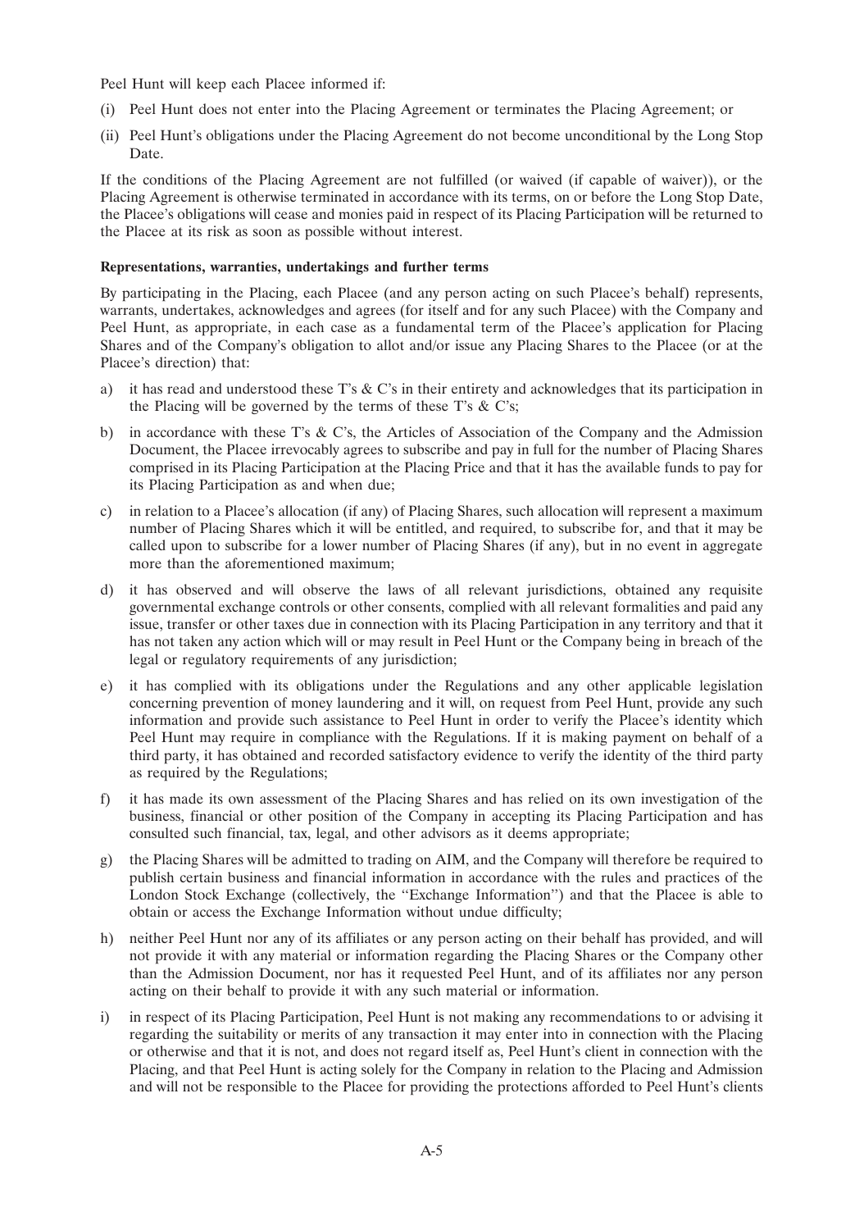Peel Hunt will keep each Placee informed if:

- (i) Peel Hunt does not enter into the Placing Agreement or terminates the Placing Agreement; or
- (ii) Peel Hunt's obligations under the Placing Agreement do not become unconditional by the Long Stop Date.

If the conditions of the Placing Agreement are not fulfilled (or waived (if capable of waiver)), or the Placing Agreement is otherwise terminated in accordance with its terms, on or before the Long Stop Date, the Placee's obligations will cease and monies paid in respect of its Placing Participation will be returned to the Placee at its risk as soon as possible without interest.

#### **Representations, warranties, undertakings and further terms**

By participating in the Placing, each Placee (and any person acting on such Placee's behalf) represents, warrants, undertakes, acknowledges and agrees (for itself and for any such Placee) with the Company and Peel Hunt, as appropriate, in each case as a fundamental term of the Placee's application for Placing Shares and of the Company's obligation to allot and/or issue any Placing Shares to the Placee (or at the Placee's direction) that:

- a) it has read and understood these T's  $& C$ 's in their entirety and acknowledges that its participation in the Placing will be governed by the terms of these T's  $\&$  C's;
- b) in accordance with these T's & C's, the Articles of Association of the Company and the Admission Document, the Placee irrevocably agrees to subscribe and pay in full for the number of Placing Shares comprised in its Placing Participation at the Placing Price and that it has the available funds to pay for its Placing Participation as and when due;
- c) in relation to a Placee's allocation (if any) of Placing Shares, such allocation will represent a maximum number of Placing Shares which it will be entitled, and required, to subscribe for, and that it may be called upon to subscribe for a lower number of Placing Shares (if any), but in no event in aggregate more than the aforementioned maximum;
- d) it has observed and will observe the laws of all relevant jurisdictions, obtained any requisite governmental exchange controls or other consents, complied with all relevant formalities and paid any issue, transfer or other taxes due in connection with its Placing Participation in any territory and that it has not taken any action which will or may result in Peel Hunt or the Company being in breach of the legal or regulatory requirements of any jurisdiction;
- e) it has complied with its obligations under the Regulations and any other applicable legislation concerning prevention of money laundering and it will, on request from Peel Hunt, provide any such information and provide such assistance to Peel Hunt in order to verify the Placee's identity which Peel Hunt may require in compliance with the Regulations. If it is making payment on behalf of a third party, it has obtained and recorded satisfactory evidence to verify the identity of the third party as required by the Regulations;
- f) it has made its own assessment of the Placing Shares and has relied on its own investigation of the business, financial or other position of the Company in accepting its Placing Participation and has consulted such financial, tax, legal, and other advisors as it deems appropriate;
- g) the Placing Shares will be admitted to trading on AIM, and the Company will therefore be required to publish certain business and financial information in accordance with the rules and practices of the London Stock Exchange (collectively, the ''Exchange Information'') and that the Placee is able to obtain or access the Exchange Information without undue difficulty;
- h) neither Peel Hunt nor any of its affiliates or any person acting on their behalf has provided, and will not provide it with any material or information regarding the Placing Shares or the Company other than the Admission Document, nor has it requested Peel Hunt, and of its affiliates nor any person acting on their behalf to provide it with any such material or information.
- i) in respect of its Placing Participation, Peel Hunt is not making any recommendations to or advising it regarding the suitability or merits of any transaction it may enter into in connection with the Placing or otherwise and that it is not, and does not regard itself as, Peel Hunt's client in connection with the Placing, and that Peel Hunt is acting solely for the Company in relation to the Placing and Admission and will not be responsible to the Placee for providing the protections afforded to Peel Hunt's clients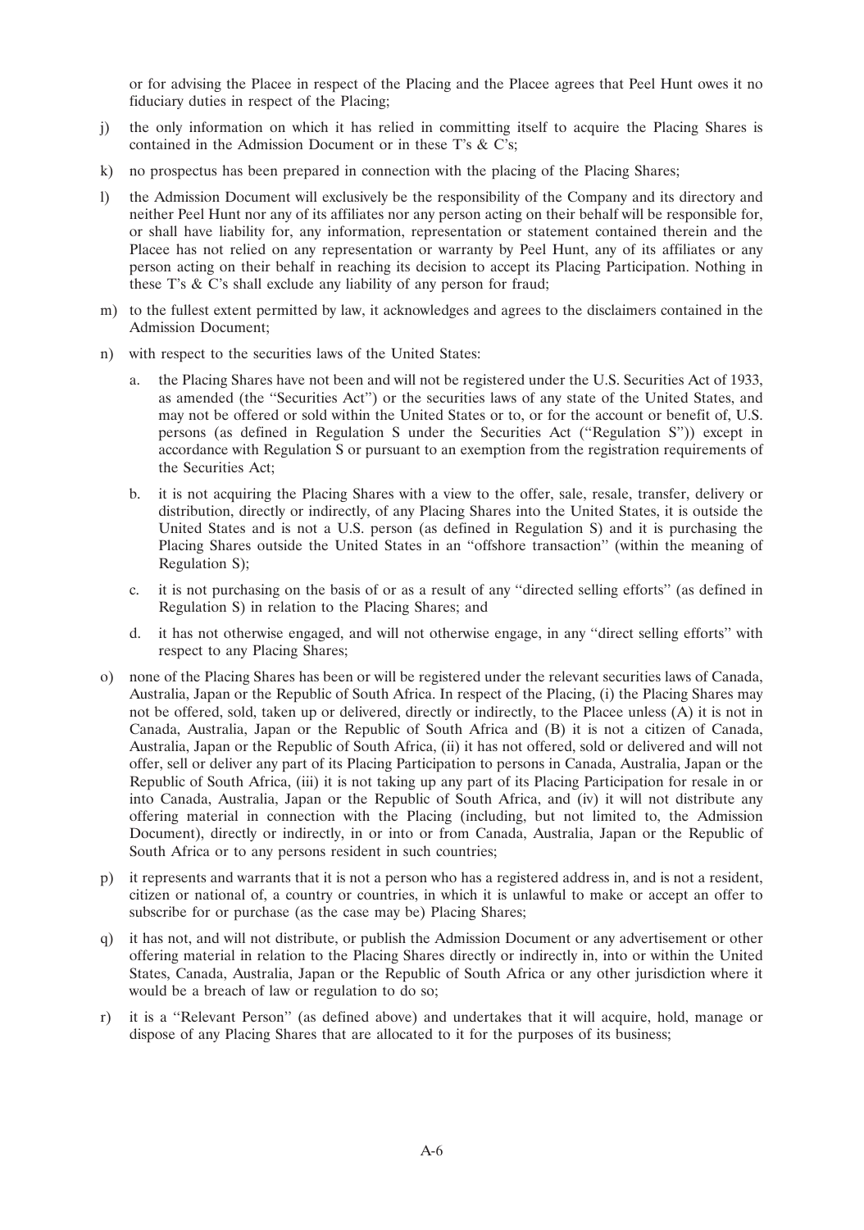or for advising the Placee in respect of the Placing and the Placee agrees that Peel Hunt owes it no fiduciary duties in respect of the Placing;

- j) the only information on which it has relied in committing itself to acquire the Placing Shares is contained in the Admission Document or in these T's & C's;
- k) no prospectus has been prepared in connection with the placing of the Placing Shares;
- l) the Admission Document will exclusively be the responsibility of the Company and its directory and neither Peel Hunt nor any of its affiliates nor any person acting on their behalf will be responsible for, or shall have liability for, any information, representation or statement contained therein and the Placee has not relied on any representation or warranty by Peel Hunt, any of its affiliates or any person acting on their behalf in reaching its decision to accept its Placing Participation. Nothing in these T's & C's shall exclude any liability of any person for fraud;
- m) to the fullest extent permitted by law, it acknowledges and agrees to the disclaimers contained in the Admission Document;
- n) with respect to the securities laws of the United States:
	- a. the Placing Shares have not been and will not be registered under the U.S. Securities Act of 1933, as amended (the ''Securities Act'') or the securities laws of any state of the United States, and may not be offered or sold within the United States or to, or for the account or benefit of, U.S. persons (as defined in Regulation S under the Securities Act (''Regulation S'')) except in accordance with Regulation S or pursuant to an exemption from the registration requirements of the Securities Act;
	- b. it is not acquiring the Placing Shares with a view to the offer, sale, resale, transfer, delivery or distribution, directly or indirectly, of any Placing Shares into the United States, it is outside the United States and is not a U.S. person (as defined in Regulation S) and it is purchasing the Placing Shares outside the United States in an ''offshore transaction'' (within the meaning of Regulation S);
	- c. it is not purchasing on the basis of or as a result of any ''directed selling efforts'' (as defined in Regulation S) in relation to the Placing Shares; and
	- d. it has not otherwise engaged, and will not otherwise engage, in any ''direct selling efforts'' with respect to any Placing Shares;
- o) none of the Placing Shares has been or will be registered under the relevant securities laws of Canada, Australia, Japan or the Republic of South Africa. In respect of the Placing, (i) the Placing Shares may not be offered, sold, taken up or delivered, directly or indirectly, to the Placee unless (A) it is not in Canada, Australia, Japan or the Republic of South Africa and (B) it is not a citizen of Canada, Australia, Japan or the Republic of South Africa, (ii) it has not offered, sold or delivered and will not offer, sell or deliver any part of its Placing Participation to persons in Canada, Australia, Japan or the Republic of South Africa, (iii) it is not taking up any part of its Placing Participation for resale in or into Canada, Australia, Japan or the Republic of South Africa, and (iv) it will not distribute any offering material in connection with the Placing (including, but not limited to, the Admission Document), directly or indirectly, in or into or from Canada, Australia, Japan or the Republic of South Africa or to any persons resident in such countries;
- p) it represents and warrants that it is not a person who has a registered address in, and is not a resident, citizen or national of, a country or countries, in which it is unlawful to make or accept an offer to subscribe for or purchase (as the case may be) Placing Shares;
- q) it has not, and will not distribute, or publish the Admission Document or any advertisement or other offering material in relation to the Placing Shares directly or indirectly in, into or within the United States, Canada, Australia, Japan or the Republic of South Africa or any other jurisdiction where it would be a breach of law or regulation to do so;
- r) it is a ''Relevant Person'' (as defined above) and undertakes that it will acquire, hold, manage or dispose of any Placing Shares that are allocated to it for the purposes of its business;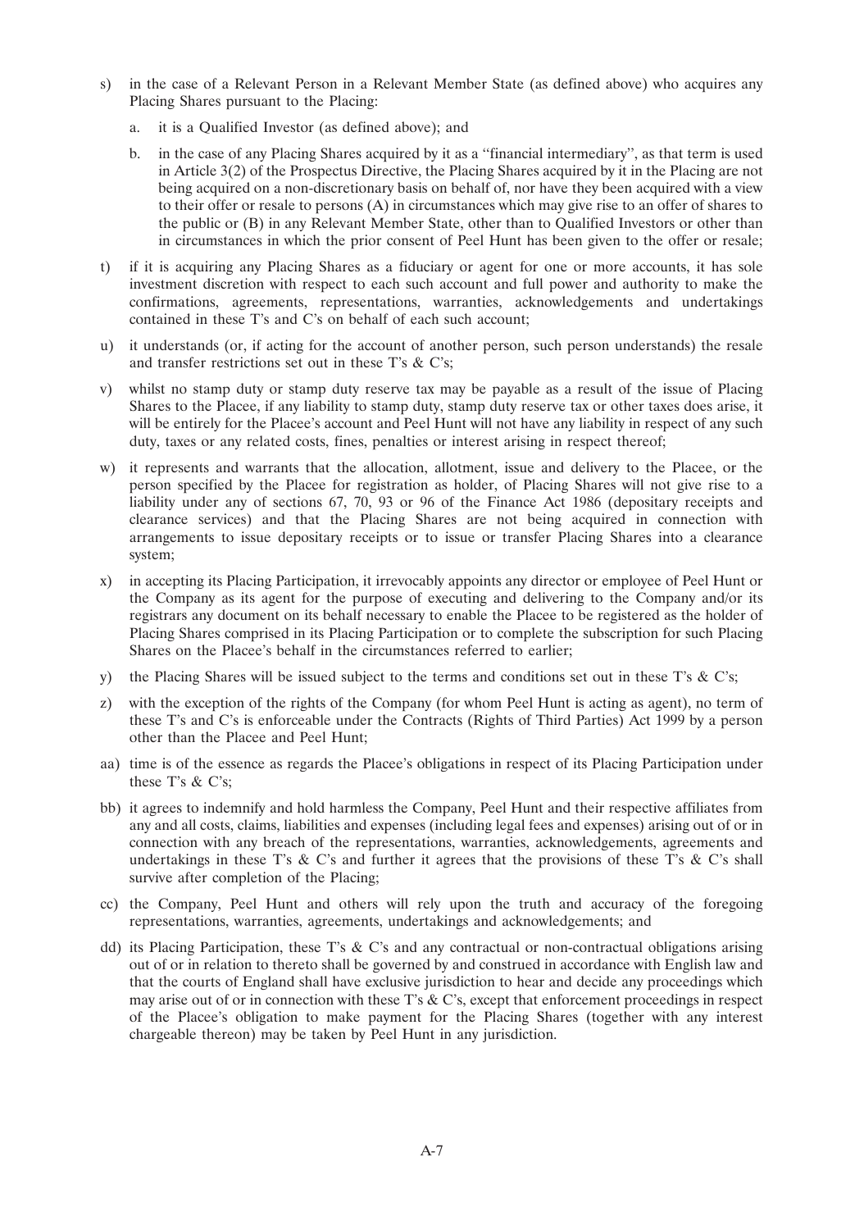- s) in the case of a Relevant Person in a Relevant Member State (as defined above) who acquires any Placing Shares pursuant to the Placing:
	- a. it is a Qualified Investor (as defined above); and
	- b. in the case of any Placing Shares acquired by it as a ''financial intermediary'', as that term is used in Article 3(2) of the Prospectus Directive, the Placing Shares acquired by it in the Placing are not being acquired on a non-discretionary basis on behalf of, nor have they been acquired with a view to their offer or resale to persons (A) in circumstances which may give rise to an offer of shares to the public or (B) in any Relevant Member State, other than to Qualified Investors or other than in circumstances in which the prior consent of Peel Hunt has been given to the offer or resale;
- t) if it is acquiring any Placing Shares as a fiduciary or agent for one or more accounts, it has sole investment discretion with respect to each such account and full power and authority to make the confirmations, agreements, representations, warranties, acknowledgements and undertakings contained in these T's and C's on behalf of each such account;
- u) it understands (or, if acting for the account of another person, such person understands) the resale and transfer restrictions set out in these T's & C's;
- v) whilst no stamp duty or stamp duty reserve tax may be payable as a result of the issue of Placing Shares to the Placee, if any liability to stamp duty, stamp duty reserve tax or other taxes does arise, it will be entirely for the Placee's account and Peel Hunt will not have any liability in respect of any such duty, taxes or any related costs, fines, penalties or interest arising in respect thereof;
- w) it represents and warrants that the allocation, allotment, issue and delivery to the Placee, or the person specified by the Placee for registration as holder, of Placing Shares will not give rise to a liability under any of sections 67, 70, 93 or 96 of the Finance Act 1986 (depositary receipts and clearance services) and that the Placing Shares are not being acquired in connection with arrangements to issue depositary receipts or to issue or transfer Placing Shares into a clearance system;
- x) in accepting its Placing Participation, it irrevocably appoints any director or employee of Peel Hunt or the Company as its agent for the purpose of executing and delivering to the Company and/or its registrars any document on its behalf necessary to enable the Placee to be registered as the holder of Placing Shares comprised in its Placing Participation or to complete the subscription for such Placing Shares on the Placee's behalf in the circumstances referred to earlier;
- y) the Placing Shares will be issued subject to the terms and conditions set out in these T's  $\&$  C's;
- z) with the exception of the rights of the Company (for whom Peel Hunt is acting as agent), no term of these T's and C's is enforceable under the Contracts (Rights of Third Parties) Act 1999 by a person other than the Placee and Peel Hunt;
- aa) time is of the essence as regards the Placee's obligations in respect of its Placing Participation under these T's & C's;
- bb) it agrees to indemnify and hold harmless the Company, Peel Hunt and their respective affiliates from any and all costs, claims, liabilities and expenses (including legal fees and expenses) arising out of or in connection with any breach of the representations, warranties, acknowledgements, agreements and undertakings in these T's  $\&$  C's and further it agrees that the provisions of these T's  $\&$  C's shall survive after completion of the Placing;
- cc) the Company, Peel Hunt and others will rely upon the truth and accuracy of the foregoing representations, warranties, agreements, undertakings and acknowledgements; and
- dd) its Placing Participation, these T's  $\&$  C's and any contractual or non-contractual obligations arising out of or in relation to thereto shall be governed by and construed in accordance with English law and that the courts of England shall have exclusive jurisdiction to hear and decide any proceedings which may arise out of or in connection with these T's & C's, except that enforcement proceedings in respect of the Placee's obligation to make payment for the Placing Shares (together with any interest chargeable thereon) may be taken by Peel Hunt in any jurisdiction.